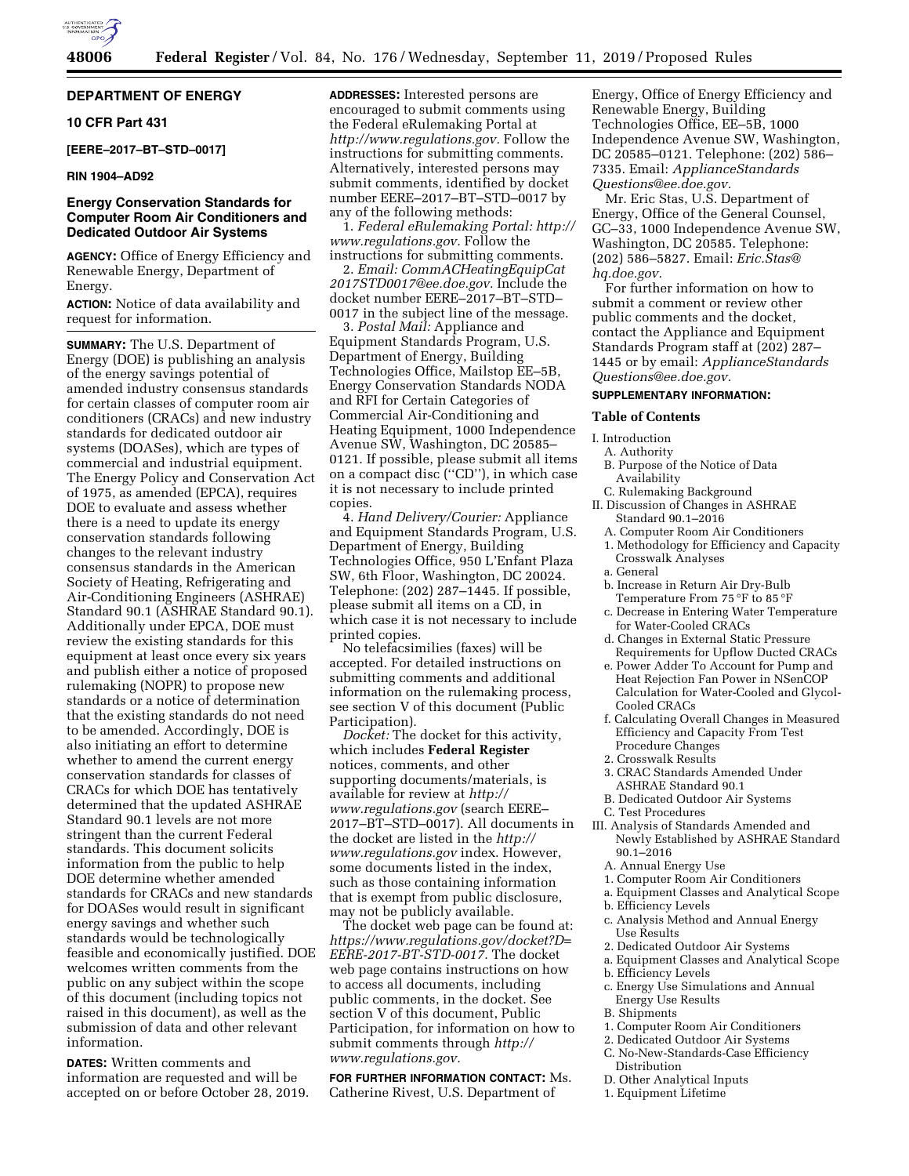

## **DEPARTMENT OF ENERGY**

## **10 CFR Part 431**

**[EERE–2017–BT–STD–0017]** 

## **RIN 1904–AD92**

## **Energy Conservation Standards for Computer Room Air Conditioners and Dedicated Outdoor Air Systems**

**AGENCY:** Office of Energy Efficiency and Renewable Energy, Department of Energy.

**ACTION:** Notice of data availability and request for information.

**SUMMARY:** The U.S. Department of Energy (DOE) is publishing an analysis of the energy savings potential of amended industry consensus standards for certain classes of computer room air conditioners (CRACs) and new industry standards for dedicated outdoor air systems (DOASes), which are types of commercial and industrial equipment. The Energy Policy and Conservation Act of 1975, as amended (EPCA), requires DOE to evaluate and assess whether there is a need to update its energy conservation standards following changes to the relevant industry consensus standards in the American Society of Heating, Refrigerating and Air-Conditioning Engineers (ASHRAE) Standard 90.1 (ASHRAE Standard 90.1). Additionally under EPCA, DOE must review the existing standards for this equipment at least once every six years and publish either a notice of proposed rulemaking (NOPR) to propose new standards or a notice of determination that the existing standards do not need to be amended. Accordingly, DOE is also initiating an effort to determine whether to amend the current energy conservation standards for classes of CRACs for which DOE has tentatively determined that the updated ASHRAE Standard 90.1 levels are not more stringent than the current Federal standards. This document solicits information from the public to help DOE determine whether amended standards for CRACs and new standards for DOASes would result in significant energy savings and whether such standards would be technologically feasible and economically justified. DOE welcomes written comments from the public on any subject within the scope of this document (including topics not raised in this document), as well as the submission of data and other relevant information.

**DATES:** Written comments and information are requested and will be accepted on or before October 28, 2019. **ADDRESSES:** Interested persons are encouraged to submit comments using the Federal eRulemaking Portal at *[http://www.regulations.gov.](http://www.regulations.gov)* Follow the instructions for submitting comments. Alternatively, interested persons may submit comments, identified by docket number EERE–2017–BT–STD–0017 by any of the following methods:

1. *Federal eRulemaking Portal: [http://](http://www.regulations.gov)  [www.regulations.gov.](http://www.regulations.gov)* Follow the instructions for submitting comments.

2. *Email: [CommACHeatingEquipCat](mailto:CommACHeatingEquipCat2017STD0017@ee.doe.gov) [2017STD0017@ee.doe.gov.](mailto:CommACHeatingEquipCat2017STD0017@ee.doe.gov)* Include the docket number EERE–2017–BT–STD– 0017 in the subject line of the message.

3. *Postal Mail:* Appliance and Equipment Standards Program, U.S. Department of Energy, Building Technologies Office, Mailstop EE–5B, Energy Conservation Standards NODA and RFI for Certain Categories of Commercial Air-Conditioning and Heating Equipment, 1000 Independence Avenue SW, Washington, DC 20585– 0121. If possible, please submit all items on a compact disc (''CD''), in which case it is not necessary to include printed copies.

4. *Hand Delivery/Courier:* Appliance and Equipment Standards Program, U.S. Department of Energy, Building Technologies Office, 950 L'Enfant Plaza SW, 6th Floor, Washington, DC 20024. Telephone: (202) 287–1445. If possible, please submit all items on a CD, in which case it is not necessary to include printed copies.

No telefacsimilies (faxes) will be accepted. For detailed instructions on submitting comments and additional information on the rulemaking process, see section V of this document (Public Participation).

*Docket:* The docket for this activity, which includes **Federal Register**  notices, comments, and other supporting documents/materials, is available for review at *[http://](http://www.regulations.gov) [www.regulations.gov](http://www.regulations.gov)* (search EERE– 2017–BT–STD–0017). All documents in the docket are listed in the *[http://](http://www.regulations.gov) [www.regulations.gov](http://www.regulations.gov)* index. However, some documents listed in the index, such as those containing information that is exempt from public disclosure, may not be publicly available.

The docket web page can be found at: *[https://www.regulations.gov/docket?D=](https://www.regulations.gov/docket?D=EERE-2017-BT-STD-0017) [EERE-2017-BT-STD-0017.](https://www.regulations.gov/docket?D=EERE-2017-BT-STD-0017)* The docket web page contains instructions on how to access all documents, including public comments, in the docket. See section V of this document, Public Participation, for information on how to submit comments through *[http://](http://www.regulations.gov) [www.regulations.gov.](http://www.regulations.gov)* 

**FOR FURTHER INFORMATION CONTACT:** Ms. Catherine Rivest, U.S. Department of

Energy, Office of Energy Efficiency and Renewable Energy, Building Technologies Office, EE–5B, 1000 Independence Avenue SW, Washington, DC 20585–0121. Telephone: (202) 586– 7335. Email: *[ApplianceStandards](mailto:ApplianceStandardsQuestions@ee.doe.gov) [Questions@ee.doe.gov.](mailto:ApplianceStandardsQuestions@ee.doe.gov)* 

Mr. Eric Stas, U.S. Department of Energy, Office of the General Counsel, GC–33, 1000 Independence Avenue SW, Washington, DC 20585. Telephone: (202) 586–5827. Email: *[Eric.Stas@](mailto:Eric.Stas@hq.doe.gov) [hq.doe.gov.](mailto:Eric.Stas@hq.doe.gov)* 

For further information on how to submit a comment or review other public comments and the docket, contact the Appliance and Equipment Standards Program staff at (202) 287– 1445 or by email: *[ApplianceStandards](mailto:ApplianceStandardsQuestions@ee.doe.gov) [Questions@ee.doe.gov.](mailto:ApplianceStandardsQuestions@ee.doe.gov)* 

## **SUPPLEMENTARY INFORMATION:**

#### **Table of Contents**

- I. Introduction
- A. Authority
- B. Purpose of the Notice of Data Availability
- C. Rulemaking Background II. Discussion of Changes in ASHRAE Standard 90.1–2016
	- A. Computer Room Air Conditioners
	- 1. Methodology for Efficiency and Capacity Crosswalk Analyses
	- a. General
	- b. Increase in Return Air Dry-Bulb Temperature From 75 °F to 85 °F
	- c. Decrease in Entering Water Temperature for Water-Cooled CRACs
	- d. Changes in External Static Pressure Requirements for Upflow Ducted CRACs
	- e. Power Adder To Account for Pump and Heat Rejection Fan Power in NSenCOP Calculation for Water-Cooled and Glycol-Cooled CRACs
	- f. Calculating Overall Changes in Measured Efficiency and Capacity From Test Procedure Changes
	- 2. Crosswalk Results
	- 3. CRAC Standards Amended Under ASHRAE Standard 90.1
	- B. Dedicated Outdoor Air Systems
- C. Test Procedures
- III. Analysis of Standards Amended and Newly Established by ASHRAE Standard 90.1–2016
	- A. Annual Energy Use
	- 1. Computer Room Air Conditioners
	- a. Equipment Classes and Analytical Scope
	- b. Efficiency Levels
	- c. Analysis Method and Annual Energy Use Results
	- 2. Dedicated Outdoor Air Systems
	- a. Equipment Classes and Analytical Scope
- b. Efficiency Levels
- c. Energy Use Simulations and Annual Energy Use Results
- B. Shipments
- 1. Computer Room Air Conditioners
- 2. Dedicated Outdoor Air Systems
- C. No-New-Standards-Case Efficiency Distribution
- D. Other Analytical Inputs
- 1. Equipment Lifetime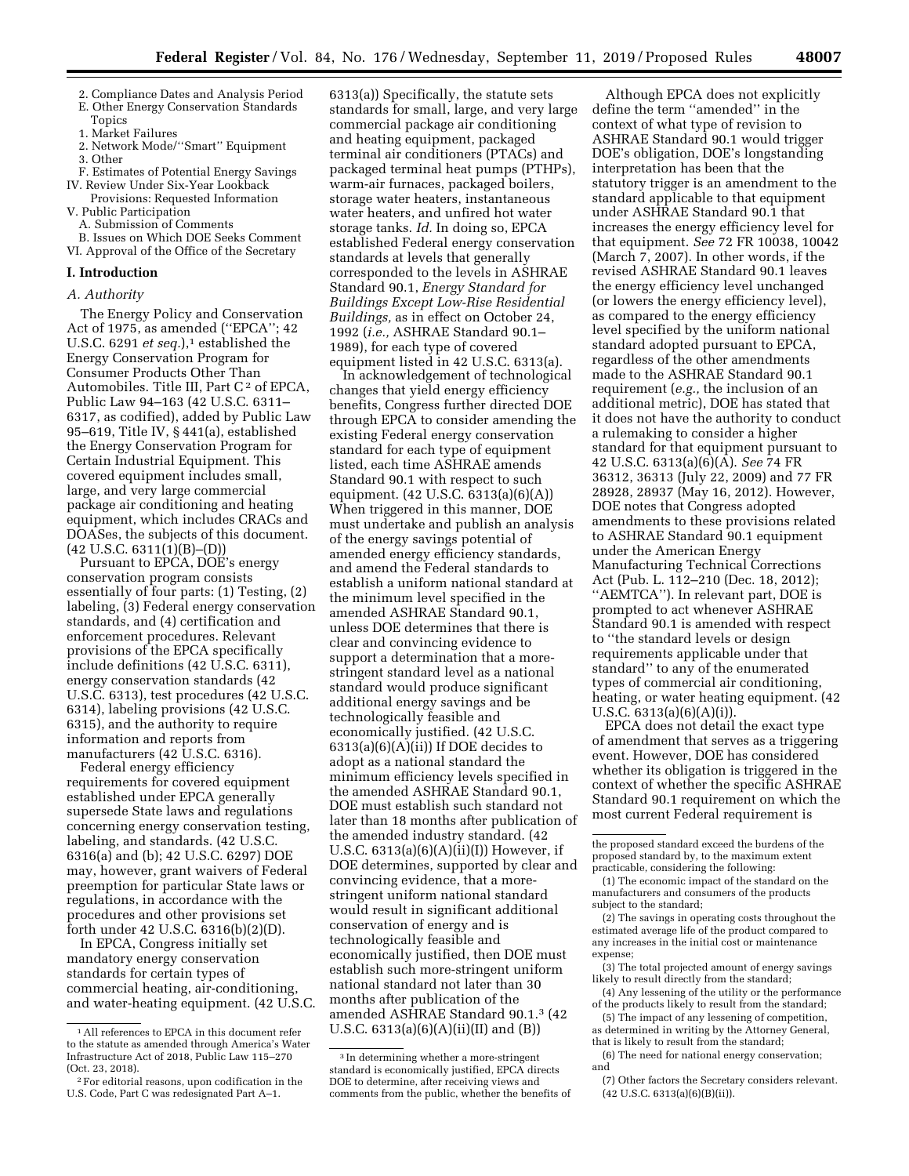- 2. Compliance Dates and Analysis Period
- E. Other Energy Conservation Standards
- Topics
- 1. Market Failures
- 2. Network Mode/''Smart'' Equipment 3. Other
- F. Estimates of Potential Energy Savings IV. Review Under Six-Year Lookback
- Provisions: Requested Information
- V. Public Participation
	- A. Submission of Comments
- B. Issues on Which DOE Seeks Comment VI. Approval of the Office of the Secretary

#### **I. Introduction**

#### *A. Authority*

The Energy Policy and Conservation Act of 1975, as amended (''EPCA''; 42 U.S.C.  $6291$  *et seq.*),<sup>1</sup> established the Energy Conservation Program for Consumer Products Other Than Automobiles. Title III, Part C<sup>2</sup> of EPCA, Public Law 94–163 (42 U.S.C. 6311– 6317, as codified), added by Public Law 95–619, Title IV, § 441(a), established the Energy Conservation Program for Certain Industrial Equipment. This covered equipment includes small, large, and very large commercial package air conditioning and heating equipment, which includes CRACs and DOASes, the subjects of this document. (42 U.S.C. 6311(1)(B)–(D))

Pursuant to EPCA, DOE's energy conservation program consists essentially of four parts: (1) Testing, (2) labeling, (3) Federal energy conservation standards, and (4) certification and enforcement procedures. Relevant provisions of the EPCA specifically include definitions (42 U.S.C. 6311), energy conservation standards (42 U.S.C. 6313), test procedures (42 U.S.C. 6314), labeling provisions (42 U.S.C. 6315), and the authority to require information and reports from manufacturers (42 U.S.C. 6316).

Federal energy efficiency requirements for covered equipment established under EPCA generally supersede State laws and regulations concerning energy conservation testing, labeling, and standards. (42 U.S.C. 6316(a) and (b); 42 U.S.C. 6297) DOE may, however, grant waivers of Federal preemption for particular State laws or regulations, in accordance with the procedures and other provisions set forth under 42 U.S.C. 6316(b)(2)(D).

In EPCA, Congress initially set mandatory energy conservation standards for certain types of commercial heating, air-conditioning, and water-heating equipment. (42 U.S.C.

6313(a)) Specifically, the statute sets standards for small, large, and very large commercial package air conditioning and heating equipment, packaged terminal air conditioners (PTACs) and packaged terminal heat pumps (PTHPs), warm-air furnaces, packaged boilers, storage water heaters, instantaneous water heaters, and unfired hot water storage tanks. *Id.* In doing so, EPCA established Federal energy conservation standards at levels that generally corresponded to the levels in ASHRAE Standard 90.1, *Energy Standard for Buildings Except Low-Rise Residential Buildings,* as in effect on October 24, 1992 (*i.e.,* ASHRAE Standard 90.1– 1989), for each type of covered equipment listed in 42 U.S.C. 6313(a).

In acknowledgement of technological changes that yield energy efficiency benefits, Congress further directed DOE through EPCA to consider amending the existing Federal energy conservation standard for each type of equipment listed, each time ASHRAE amends Standard 90.1 with respect to such equipment. (42 U.S.C. 6313(a)(6)(A)) When triggered in this manner, DOE must undertake and publish an analysis of the energy savings potential of amended energy efficiency standards, and amend the Federal standards to establish a uniform national standard at the minimum level specified in the amended ASHRAE Standard 90.1, unless DOE determines that there is clear and convincing evidence to support a determination that a morestringent standard level as a national standard would produce significant additional energy savings and be technologically feasible and economically justified. (42 U.S.C. 6313(a)(6)(A)(ii)) If DOE decides to adopt as a national standard the minimum efficiency levels specified in the amended ASHRAE Standard 90.1, DOE must establish such standard not later than 18 months after publication of the amended industry standard. (42 U.S.C.  $6313(a)(6)(A)(ii)(I)$  However, if DOE determines, supported by clear and convincing evidence, that a morestringent uniform national standard would result in significant additional conservation of energy and is technologically feasible and economically justified, then DOE must establish such more-stringent uniform national standard not later than 30 months after publication of the amended ASHRAE Standard 90.1.3 (42 U.S.C. 6313(a)(6)(A)(ii)(II) and (B))

Although EPCA does not explicitly define the term ''amended'' in the context of what type of revision to ASHRAE Standard 90.1 would trigger DOE's obligation, DOE's longstanding interpretation has been that the statutory trigger is an amendment to the standard applicable to that equipment under ASHRAE Standard 90.1 that increases the energy efficiency level for that equipment. *See* 72 FR 10038, 10042 (March 7, 2007). In other words, if the revised ASHRAE Standard 90.1 leaves the energy efficiency level unchanged (or lowers the energy efficiency level), as compared to the energy efficiency level specified by the uniform national standard adopted pursuant to EPCA, regardless of the other amendments made to the ASHRAE Standard 90.1 requirement (*e.g.,* the inclusion of an additional metric), DOE has stated that it does not have the authority to conduct a rulemaking to consider a higher standard for that equipment pursuant to 42 U.S.C. 6313(a)(6)(A). *See* 74 FR 36312, 36313 (July 22, 2009) and 77 FR 28928, 28937 (May 16, 2012). However, DOE notes that Congress adopted amendments to these provisions related to ASHRAE Standard 90.1 equipment under the American Energy Manufacturing Technical Corrections Act (Pub. L. 112–210 (Dec. 18, 2012); ''AEMTCA''). In relevant part, DOE is prompted to act whenever ASHRAE Standard 90.1 is amended with respect to ''the standard levels or design requirements applicable under that standard'' to any of the enumerated types of commercial air conditioning, heating, or water heating equipment. (42 U.S.C.  $6313(a)(6)(A)(i)$ .

EPCA does not detail the exact type of amendment that serves as a triggering event. However, DOE has considered whether its obligation is triggered in the context of whether the specific ASHRAE Standard 90.1 requirement on which the most current Federal requirement is

- (3) The total projected amount of energy savings likely to result directly from the standard;
- (4) Any lessening of the utility or the performance of the products likely to result from the standard;
- (5) The impact of any lessening of competition, as determined in writing by the Attorney General, that is likely to result from the standard;
- (6) The need for national energy conservation; and

<sup>1</sup>All references to EPCA in this document refer to the statute as amended through America's Water Infrastructure Act of 2018, Public Law 115–270 (Oct. 23, 2018).

<sup>2</sup>For editorial reasons, upon codification in the U.S. Code, Part C was redesignated Part A–1.

<sup>3</sup> In determining whether a more-stringent standard is economically justified, EPCA directs DOE to determine, after receiving views and comments from the public, whether the benefits of

the proposed standard exceed the burdens of the proposed standard by, to the maximum extent practicable, considering the following:

<sup>(1)</sup> The economic impact of the standard on the manufacturers and consumers of the products subject to the standard;

<sup>(2)</sup> The savings in operating costs throughout the estimated average life of the product compared to any increases in the initial cost or maintenance expense;

<sup>(7)</sup> Other factors the Secretary considers relevant. (42 U.S.C. 6313(a)(6)(B)(ii)).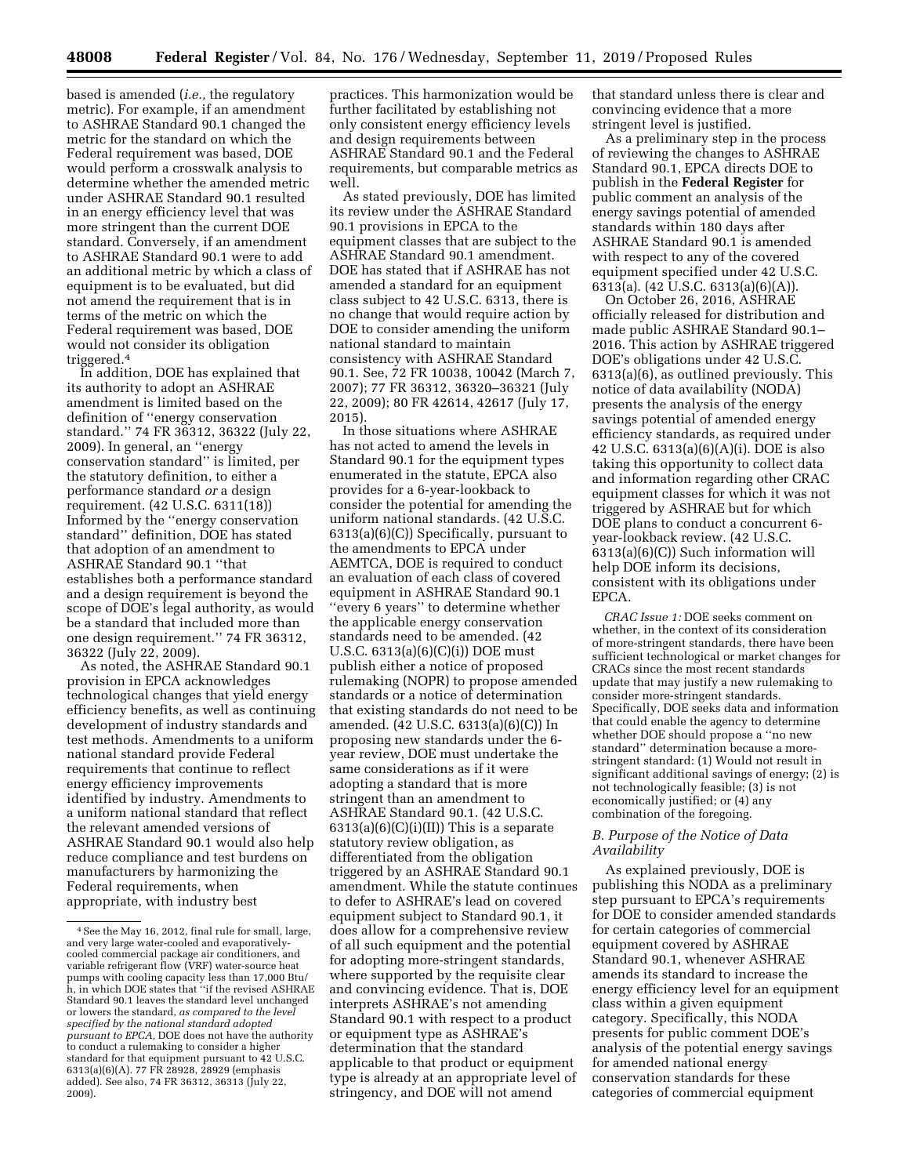based is amended (*i.e.,* the regulatory metric). For example, if an amendment to ASHRAE Standard 90.1 changed the metric for the standard on which the Federal requirement was based, DOE would perform a crosswalk analysis to determine whether the amended metric under ASHRAE Standard 90.1 resulted in an energy efficiency level that was more stringent than the current DOE standard. Conversely, if an amendment to ASHRAE Standard 90.1 were to add an additional metric by which a class of equipment is to be evaluated, but did not amend the requirement that is in terms of the metric on which the Federal requirement was based, DOE would not consider its obligation triggered.4

In addition, DOE has explained that its authority to adopt an ASHRAE amendment is limited based on the definition of ''energy conservation standard.'' 74 FR 36312, 36322 (July 22, 2009). In general, an ''energy conservation standard'' is limited, per the statutory definition, to either a performance standard *or* a design requirement. (42 U.S.C. 6311(18)) Informed by the ''energy conservation standard'' definition, DOE has stated that adoption of an amendment to ASHRAE Standard 90.1 ''that establishes both a performance standard and a design requirement is beyond the scope of DOE's legal authority, as would be a standard that included more than one design requirement.'' 74 FR 36312, 36322 (July 22, 2009).

As noted, the ASHRAE Standard 90.1 provision in EPCA acknowledges technological changes that yield energy efficiency benefits, as well as continuing development of industry standards and test methods. Amendments to a uniform national standard provide Federal requirements that continue to reflect energy efficiency improvements identified by industry. Amendments to a uniform national standard that reflect the relevant amended versions of ASHRAE Standard 90.1 would also help reduce compliance and test burdens on manufacturers by harmonizing the Federal requirements, when appropriate, with industry best

practices. This harmonization would be further facilitated by establishing not only consistent energy efficiency levels and design requirements between ASHRAE Standard 90.1 and the Federal requirements, but comparable metrics as well.

As stated previously, DOE has limited its review under the ASHRAE Standard 90.1 provisions in EPCA to the equipment classes that are subject to the ASHRAE Standard 90.1 amendment. DOE has stated that if ASHRAE has not amended a standard for an equipment class subject to 42 U.S.C. 6313, there is no change that would require action by DOE to consider amending the uniform national standard to maintain consistency with ASHRAE Standard 90.1. See, 72 FR 10038, 10042 (March 7, 2007); 77 FR 36312, 36320–36321 (July 22, 2009); 80 FR 42614, 42617 (July 17, 2015).

In those situations where ASHRAE has not acted to amend the levels in Standard 90.1 for the equipment types enumerated in the statute, EPCA also provides for a 6-year-lookback to consider the potential for amending the uniform national standards. (42 U.S.C. 6313(a)(6)(C)) Specifically, pursuant to the amendments to EPCA under AEMTCA, DOE is required to conduct an evaluation of each class of covered equipment in ASHRAE Standard 90.1 ''every 6 years'' to determine whether the applicable energy conservation standards need to be amended. (42 U.S.C. 6313(a)(6)(C)(i)) DOE must publish either a notice of proposed rulemaking (NOPR) to propose amended standards or a notice of determination that existing standards do not need to be amended. (42 U.S.C. 6313(a)(6)(C)) In proposing new standards under the 6 year review, DOE must undertake the same considerations as if it were adopting a standard that is more stringent than an amendment to ASHRAE Standard 90.1. (42 U.S.C.  $6313(a)(6)(C)(i)(II))$  This is a separate statutory review obligation, as differentiated from the obligation triggered by an ASHRAE Standard 90.1 amendment. While the statute continues to defer to ASHRAE's lead on covered equipment subject to Standard 90.1, it does allow for a comprehensive review of all such equipment and the potential for adopting more-stringent standards, where supported by the requisite clear and convincing evidence. That is, DOE interprets ASHRAE's not amending Standard 90.1 with respect to a product or equipment type as ASHRAE's determination that the standard applicable to that product or equipment type is already at an appropriate level of stringency, and DOE will not amend

that standard unless there is clear and convincing evidence that a more stringent level is justified.

As a preliminary step in the process of reviewing the changes to ASHRAE Standard 90.1, EPCA directs DOE to publish in the **Federal Register** for public comment an analysis of the energy savings potential of amended standards within 180 days after ASHRAE Standard 90.1 is amended with respect to any of the covered equipment specified under 42 U.S.C. 6313(a). (42 U.S.C. 6313(a)(6)(A)).

On October 26, 2016, ASHRAE officially released for distribution and made public ASHRAE Standard 90.1– 2016. This action by ASHRAE triggered DOE's obligations under 42 U.S.C. 6313(a)(6), as outlined previously. This notice of data availability (NODA) presents the analysis of the energy savings potential of amended energy efficiency standards, as required under 42 U.S.C. 6313(a)(6)(A)(i). DOE is also taking this opportunity to collect data and information regarding other CRAC equipment classes for which it was not triggered by ASHRAE but for which DOE plans to conduct a concurrent 6 year-lookback review. (42 U.S.C. 6313(a)(6)(C)) Such information will help DOE inform its decisions, consistent with its obligations under EPCA.

*CRAC Issue 1:* DOE seeks comment on whether, in the context of its consideration of more-stringent standards, there have been sufficient technological or market changes for CRACs since the most recent standards update that may justify a new rulemaking to consider more-stringent standards. Specifically, DOE seeks data and information that could enable the agency to determine whether DOE should propose a ''no new standard'' determination because a morestringent standard: (1) Would not result in significant additional savings of energy; (2) is not technologically feasible; (3) is not economically justified; or (4) any combination of the foregoing.

## *B. Purpose of the Notice of Data Availability*

As explained previously, DOE is publishing this NODA as a preliminary step pursuant to EPCA's requirements for DOE to consider amended standards for certain categories of commercial equipment covered by ASHRAE Standard 90.1, whenever ASHRAE amends its standard to increase the energy efficiency level for an equipment class within a given equipment category. Specifically, this NODA presents for public comment DOE's analysis of the potential energy savings for amended national energy conservation standards for these categories of commercial equipment

<sup>4</sup>See the May 16, 2012, final rule for small, large, and very large water-cooled and evaporativelycooled commercial package air conditioners, and variable refrigerant flow (VRF) water-source heat pumps with cooling capacity less than 17,000 Btu/ h, in which DOE states that ''if the revised ASHRAE Standard 90.1 leaves the standard level unchanged or lowers the standard, *as compared to the level specified by the national standard adopted pursuant to EPCA,* DOE does not have the authority to conduct a rulemaking to consider a higher standard for that equipment pursuant to 42 U.S.C. 6313(a)(6)(A). 77 FR 28928, 28929 (emphasis added). See also, 74 FR 36312, 36313 (July 22, 2009).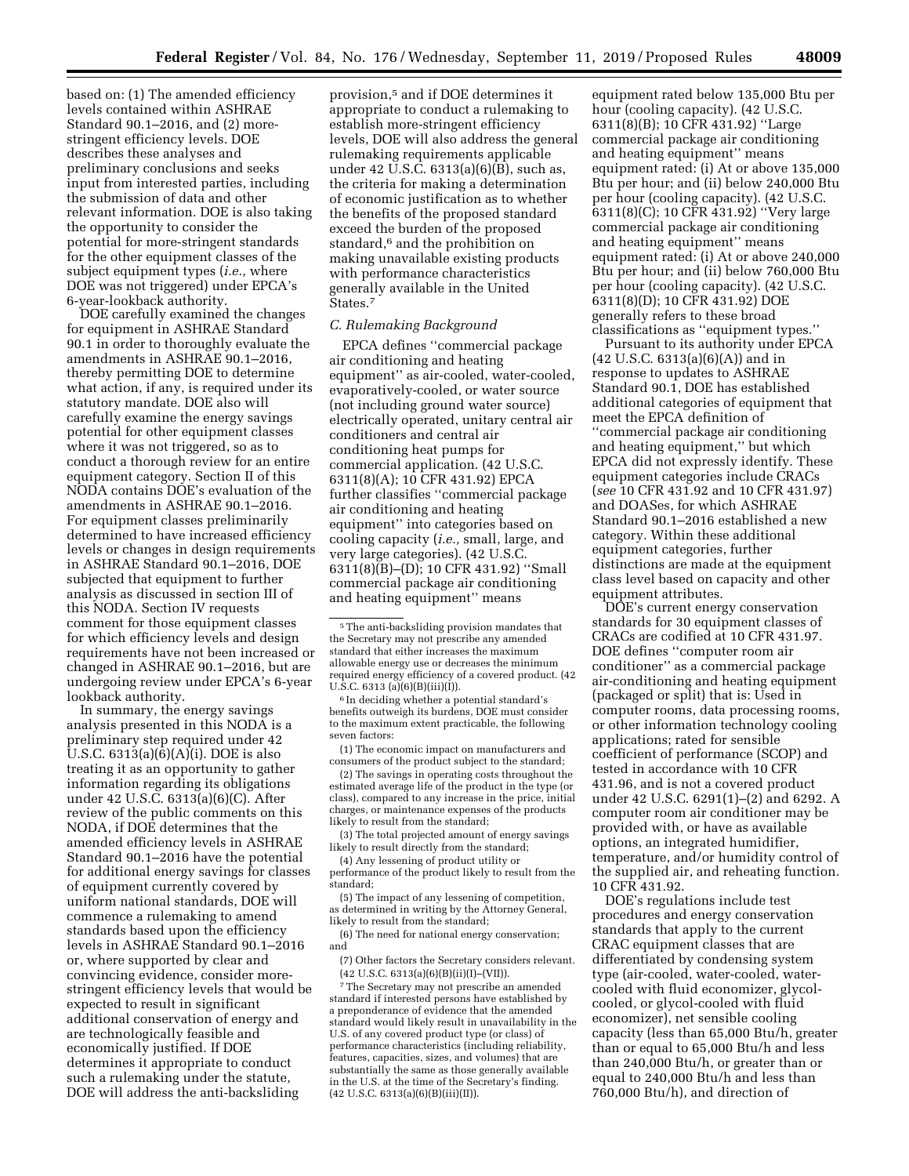based on: (1) The amended efficiency levels contained within ASHRAE Standard 90.1–2016, and (2) morestringent efficiency levels. DOE describes these analyses and preliminary conclusions and seeks input from interested parties, including the submission of data and other relevant information. DOE is also taking the opportunity to consider the potential for more-stringent standards for the other equipment classes of the subject equipment types (*i.e.,* where DOE was not triggered) under EPCA's 6-year-lookback authority.

DOE carefully examined the changes for equipment in ASHRAE Standard 90.1 in order to thoroughly evaluate the amendments in ASHRAE 90.1–2016, thereby permitting DOE to determine what action, if any, is required under its statutory mandate. DOE also will carefully examine the energy savings potential for other equipment classes where it was not triggered, so as to conduct a thorough review for an entire equipment category. Section II of this NODA contains DOE's evaluation of the amendments in ASHRAE 90.1–2016. For equipment classes preliminarily determined to have increased efficiency levels or changes in design requirements in ASHRAE Standard 90.1–2016, DOE subjected that equipment to further analysis as discussed in section III of this NODA. Section IV requests comment for those equipment classes for which efficiency levels and design requirements have not been increased or changed in ASHRAE 90.1–2016, but are undergoing review under EPCA's 6-year lookback authority.

In summary, the energy savings analysis presented in this NODA is a preliminary step required under 42 U.S.C. 6313(a)(6)(A)(i). DOE is also treating it as an opportunity to gather information regarding its obligations under 42 U.S.C. 6313(a)(6)(C). After review of the public comments on this NODA, if DOE determines that the amended efficiency levels in ASHRAE Standard 90.1–2016 have the potential for additional energy savings for classes of equipment currently covered by uniform national standards, DOE will commence a rulemaking to amend standards based upon the efficiency levels in ASHRAE Standard 90.1–2016 or, where supported by clear and convincing evidence, consider morestringent efficiency levels that would be expected to result in significant additional conservation of energy and are technologically feasible and economically justified. If DOE determines it appropriate to conduct such a rulemaking under the statute, DOE will address the anti-backsliding

provision,5 and if DOE determines it appropriate to conduct a rulemaking to establish more-stringent efficiency levels, DOE will also address the general rulemaking requirements applicable under 42 U.S.C. 6313(a)(6)(B), such as, the criteria for making a determination of economic justification as to whether the benefits of the proposed standard exceed the burden of the proposed standard,<sup>6</sup> and the prohibition on making unavailable existing products with performance characteristics generally available in the United States.7

## *C. Rulemaking Background*

EPCA defines ''commercial package air conditioning and heating equipment'' as air-cooled, water-cooled, evaporatively-cooled, or water source (not including ground water source) electrically operated, unitary central air conditioners and central air conditioning heat pumps for commercial application. (42 U.S.C. 6311(8)(A); 10 CFR 431.92) EPCA further classifies ''commercial package air conditioning and heating equipment'' into categories based on cooling capacity (*i.e.,* small, large, and very large categories). (42 U.S.C. 6311(8)(B)–(D); 10 CFR 431.92) ''Small commercial package air conditioning and heating equipment'' means

6 In deciding whether a potential standard's benefits outweigh its burdens, DOE must consider to the maximum extent practicable, the following seven factors:

(1) The economic impact on manufacturers and consumers of the product subject to the standard;

(2) The savings in operating costs throughout the estimated average life of the product in the type (or class), compared to any increase in the price, initial charges, or maintenance expenses of the products likely to result from the standard;

(3) The total projected amount of energy savings likely to result directly from the standard;

(4) Any lessening of product utility or performance of the product likely to result from the standard;

(5) The impact of any lessening of competition, as determined in writing by the Attorney General, likely to result from the standard;

(6) The need for national energy conservation; and

(7) Other factors the Secretary considers relevant.  $(42 \text{ U.S.C. } 6313(a)(6)(B)(ii)(I) - (VII)).$ 

7The Secretary may not prescribe an amended standard if interested persons have established by a preponderance of evidence that the amended standard would likely result in unavailability in the U.S. of any covered product type (or class) of performance characteristics (including reliability, features, capacities, sizes, and volumes) that are substantially the same as those generally available in the U.S. at the time of the Secretary's finding. (42 U.S.C. 6313(a)(6)(B)(iii)(II)).

equipment rated below 135,000 Btu per hour (cooling capacity). (42 U.S.C. 6311(8)(B); 10 CFR 431.92) ''Large commercial package air conditioning and heating equipment'' means equipment rated: (i) At or above 135,000 Btu per hour; and (ii) below 240,000 Btu per hour (cooling capacity). (42 U.S.C. 6311(8)(C); 10 CFR 431.92) ''Very large commercial package air conditioning and heating equipment'' means equipment rated: (i) At or above 240,000 Btu per hour; and (ii) below 760,000 Btu per hour (cooling capacity). (42 U.S.C. 6311(8)(D); 10 CFR 431.92) DOE generally refers to these broad classifications as ''equipment types.''

Pursuant to its authority under EPCA (42 U.S.C. 6313(a)(6)(A)) and in response to updates to ASHRAE Standard 90.1, DOE has established additional categories of equipment that meet the EPCA definition of ''commercial package air conditioning and heating equipment,'' but which EPCA did not expressly identify. These equipment categories include CRACs (*see* 10 CFR 431.92 and 10 CFR 431.97) and DOASes, for which ASHRAE Standard 90.1–2016 established a new category. Within these additional equipment categories, further distinctions are made at the equipment class level based on capacity and other equipment attributes.

DOE's current energy conservation standards for 30 equipment classes of CRACs are codified at 10 CFR 431.97. DOE defines ''computer room air conditioner'' as a commercial package air-conditioning and heating equipment (packaged or split) that is: Used in computer rooms, data processing rooms, or other information technology cooling applications; rated for sensible coefficient of performance (SCOP) and tested in accordance with 10 CFR 431.96, and is not a covered product under 42 U.S.C. 6291(1)–(2) and 6292. A computer room air conditioner may be provided with, or have as available options, an integrated humidifier, temperature, and/or humidity control of the supplied air, and reheating function. 10 CFR 431.92.

DOE's regulations include test procedures and energy conservation standards that apply to the current CRAC equipment classes that are differentiated by condensing system type (air-cooled, water-cooled, watercooled with fluid economizer, glycolcooled, or glycol-cooled with fluid economizer), net sensible cooling capacity (less than 65,000 Btu/h, greater than or equal to 65,000 Btu/h and less than 240,000 Btu/h, or greater than or equal to 240,000 Btu/h and less than 760,000 Btu/h), and direction of

<sup>5</sup>The anti-backsliding provision mandates that the Secretary may not prescribe any amended standard that either increases the maximum allowable energy use or decreases the minimum required energy efficiency of a covered product. (42 U.S.C. 6313 (a)(6)(B)(iii)(I)).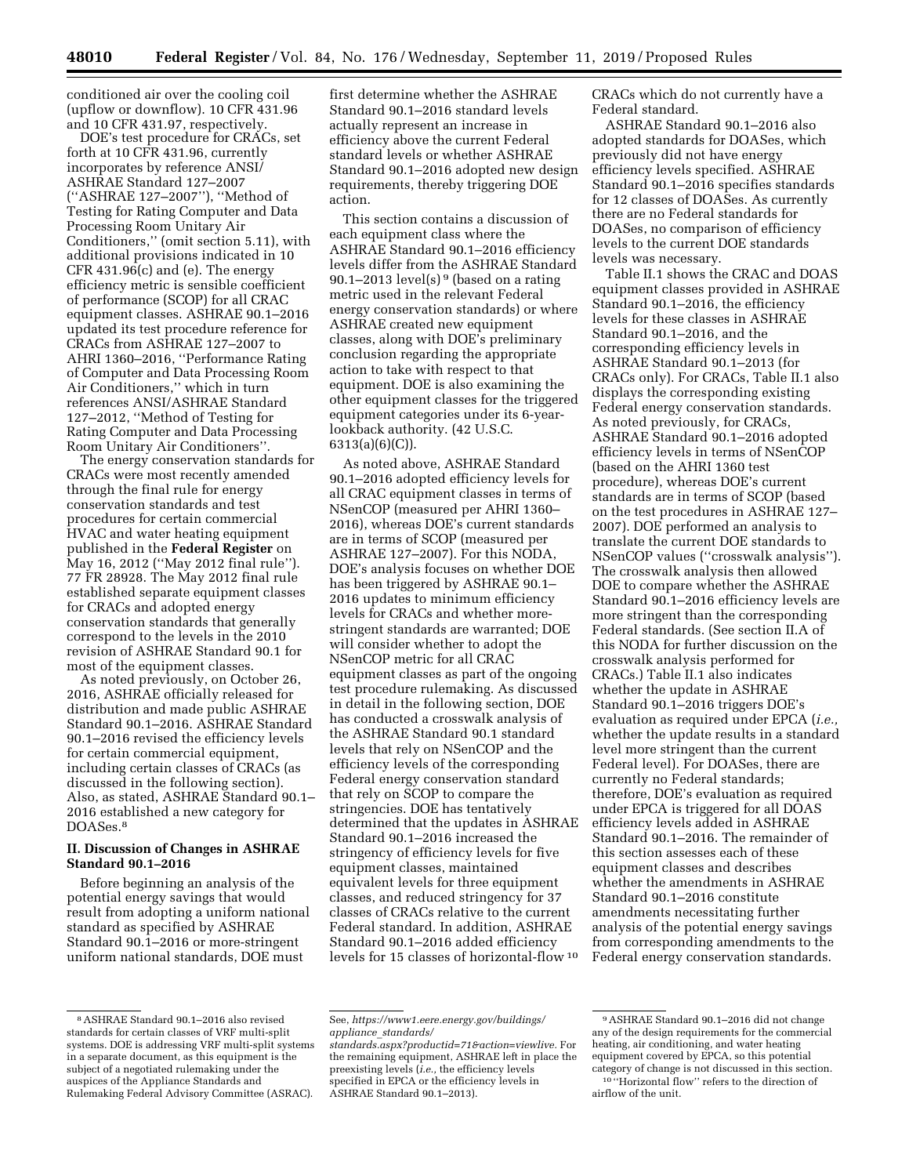conditioned air over the cooling coil (upflow or downflow). 10 CFR 431.96 and 10 CFR 431.97, respectively.

DOE's test procedure for CRACs, set forth at 10 CFR 431.96, currently incorporates by reference ANSI/ ASHRAE Standard 127–2007 (''ASHRAE 127–2007''), ''Method of Testing for Rating Computer and Data Processing Room Unitary Air Conditioners,'' (omit section 5.11), with additional provisions indicated in 10 CFR 431.96(c) and (e). The energy efficiency metric is sensible coefficient of performance (SCOP) for all CRAC equipment classes. ASHRAE 90.1–2016 updated its test procedure reference for CRACs from ASHRAE 127–2007 to AHRI 1360–2016, ''Performance Rating of Computer and Data Processing Room Air Conditioners,'' which in turn references ANSI/ASHRAE Standard 127–2012, ''Method of Testing for Rating Computer and Data Processing Room Unitary Air Conditioners''.

The energy conservation standards for CRACs were most recently amended through the final rule for energy conservation standards and test procedures for certain commercial HVAC and water heating equipment published in the **Federal Register** on May 16, 2012 (''May 2012 final rule''). 77 FR 28928. The May 2012 final rule established separate equipment classes for CRACs and adopted energy conservation standards that generally correspond to the levels in the 2010 revision of ASHRAE Standard 90.1 for most of the equipment classes.

As noted previously, on October 26, 2016, ASHRAE officially released for distribution and made public ASHRAE Standard 90.1–2016. ASHRAE Standard 90.1–2016 revised the efficiency levels for certain commercial equipment, including certain classes of CRACs (as discussed in the following section). Also, as stated, ASHRAE Standard 90.1– 2016 established a new category for DOASes.8

## **II. Discussion of Changes in ASHRAE Standard 90.1–2016**

Before beginning an analysis of the potential energy savings that would result from adopting a uniform national standard as specified by ASHRAE Standard 90.1–2016 or more-stringent uniform national standards, DOE must

first determine whether the ASHRAE Standard 90.1–2016 standard levels actually represent an increase in efficiency above the current Federal standard levels or whether ASHRAE Standard 90.1–2016 adopted new design requirements, thereby triggering DOE action.

This section contains a discussion of each equipment class where the ASHRAE Standard 90.1–2016 efficiency levels differ from the ASHRAE Standard 90.1–2013 level(s)<sup>9</sup> (based on a rating metric used in the relevant Federal energy conservation standards) or where ASHRAE created new equipment classes, along with DOE's preliminary conclusion regarding the appropriate action to take with respect to that equipment. DOE is also examining the other equipment classes for the triggered equipment categories under its 6-yearlookback authority. (42 U.S.C. 6313(a)(6)(C)).

As noted above, ASHRAE Standard 90.1–2016 adopted efficiency levels for all CRAC equipment classes in terms of NSenCOP (measured per AHRI 1360– 2016), whereas DOE's current standards are in terms of SCOP (measured per ASHRAE 127–2007). For this NODA, DOE's analysis focuses on whether DOE has been triggered by ASHRAE 90.1– 2016 updates to minimum efficiency levels for CRACs and whether morestringent standards are warranted; DOE will consider whether to adopt the NSenCOP metric for all CRAC equipment classes as part of the ongoing test procedure rulemaking. As discussed in detail in the following section, DOE has conducted a crosswalk analysis of the ASHRAE Standard 90.1 standard levels that rely on NSenCOP and the efficiency levels of the corresponding Federal energy conservation standard that rely on SCOP to compare the stringencies. DOE has tentatively determined that the updates in ASHRAE Standard 90.1–2016 increased the stringency of efficiency levels for five equipment classes, maintained equivalent levels for three equipment classes, and reduced stringency for 37 classes of CRACs relative to the current Federal standard. In addition, ASHRAE Standard 90.1–2016 added efficiency levels for 15 classes of horizontal-flow 10

CRACs which do not currently have a Federal standard.

ASHRAE Standard 90.1–2016 also adopted standards for DOASes, which previously did not have energy efficiency levels specified. ASHRAE Standard 90.1–2016 specifies standards for 12 classes of DOASes. As currently there are no Federal standards for DOASes, no comparison of efficiency levels to the current DOE standards levels was necessary.

Table II.1 shows the CRAC and DOAS equipment classes provided in ASHRAE Standard 90.1–2016, the efficiency levels for these classes in ASHRAE Standard 90.1–2016, and the corresponding efficiency levels in ASHRAE Standard 90.1–2013 (for CRACs only). For CRACs, Table II.1 also displays the corresponding existing Federal energy conservation standards. As noted previously, for CRACs, ASHRAE Standard 90.1–2016 adopted efficiency levels in terms of NSenCOP (based on the AHRI 1360 test procedure), whereas DOE's current standards are in terms of SCOP (based on the test procedures in ASHRAE 127– 2007). DOE performed an analysis to translate the current DOE standards to NSenCOP values (''crosswalk analysis''). The crosswalk analysis then allowed DOE to compare whether the ASHRAE Standard 90.1–2016 efficiency levels are more stringent than the corresponding Federal standards. (See section II.A of this NODA for further discussion on the crosswalk analysis performed for CRACs.) Table II.1 also indicates whether the update in ASHRAE Standard 90.1–2016 triggers DOE's evaluation as required under EPCA (*i.e.,*  whether the update results in a standard level more stringent than the current Federal level). For DOASes, there are currently no Federal standards; therefore, DOE's evaluation as required under EPCA is triggered for all DOAS efficiency levels added in ASHRAE Standard 90.1–2016. The remainder of this section assesses each of these equipment classes and describes whether the amendments in ASHRAE Standard 90.1–2016 constitute amendments necessitating further analysis of the potential energy savings from corresponding amendments to the Federal energy conservation standards.

<sup>8</sup>ASHRAE Standard 90.1–2016 also revised standards for certain classes of VRF multi-split systems. DOE is addressing VRF multi-split systems in a separate document, as this equipment is the subject of a negotiated rulemaking under the auspices of the Appliance Standards and Rulemaking Federal Advisory Committee (ASRAC).

See, *[https://www1.eere.energy.gov/buildings/](https://www1.eere.energy.gov/buildings/appliance_standards/standards.aspx?productid=71&action=viewlive) appliance*\_*[standards/](https://www1.eere.energy.gov/buildings/appliance_standards/standards.aspx?productid=71&action=viewlive)* 

*[standards.aspx?productid=71&action=viewlive.](https://www1.eere.energy.gov/buildings/appliance_standards/standards.aspx?productid=71&action=viewlive)* For the remaining equipment, ASHRAE left in place the preexisting levels (*i.e.,* the efficiency levels specified in EPCA or the efficiency levels in ASHRAE Standard 90.1–2013).

<sup>9</sup>ASHRAE Standard 90.1–2016 did not change any of the design requirements for the commercial heating, air conditioning, and water heating equipment covered by EPCA, so this potential category of change is not discussed in this section. 10 ''Horizontal flow'' refers to the direction of airflow of the unit.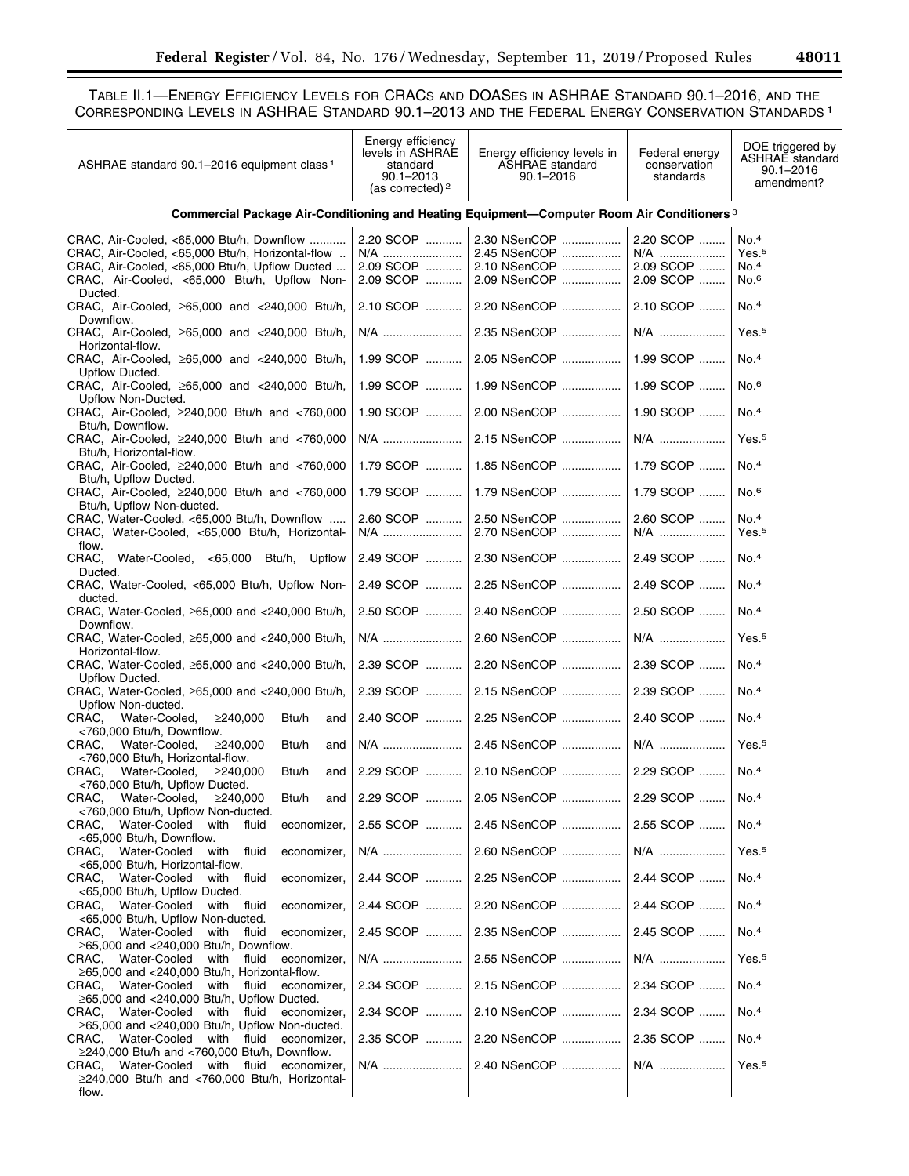TABLE II.1—ENERGY EFFICIENCY LEVELS FOR CRACS AND DOASES IN ASHRAE STANDARD 90.1–2016, AND THE CORRESPONDING LEVELS IN ASHRAE STANDARD 90.1–2013 AND THE FEDERAL ENERGY CONSERVATION STANDARDS 1

| ASHRAE standard 90.1-2016 equipment class <sup>1</sup>                                                                                                                                                     | Energy efficiency<br>levels in ASHRAE<br>standard<br>90.1-2013<br>(as corrected) <sup>2</sup> | Energy efficiency levels in<br><b>ASHRAE</b> standard<br>$90.1 - 2016$ | Federal energy<br>conservation<br>standards | DOE triggered by<br><b>ASHRAE</b> standard<br>$90.1 - 2016$<br>amendment? |
|------------------------------------------------------------------------------------------------------------------------------------------------------------------------------------------------------------|-----------------------------------------------------------------------------------------------|------------------------------------------------------------------------|---------------------------------------------|---------------------------------------------------------------------------|
| Commercial Package Air-Conditioning and Heating Equipment—Computer Room Air Conditioners <sup>3</sup>                                                                                                      |                                                                                               |                                                                        |                                             |                                                                           |
| CRAC, Air-Cooled, <65,000 Btu/h, Downflow<br>CRAC, Air-Cooled, <65,000 Btu/h, Horizontal-flow<br>CRAC, Air-Cooled, <65,000 Btu/h, Upflow Ducted<br>CRAC, Air-Cooled, <65,000 Btu/h, Upflow Non-<br>Ducted. | 2.20 SCOP<br>N/A<br>2.09 SCOP<br>2.09 SCOP                                                    | 2.30 NSenCOP<br>2.45 NSenCOP<br>2.10 NSenCOP<br>2.09 NSenCOP           | 2.20 SCOP<br>N/A<br>2.09 SCOP<br>2.09 SCOP  | No. <sup>4</sup><br>Yes. <sub>5</sub><br>No.4<br>No. <sup>6</sup>         |
| CRAC, Air-Cooled, ≥65,000 and <240,000 Btu/h,<br>Downflow.                                                                                                                                                 | 2.10 SCOP                                                                                     | 2.20 NSenCOP                                                           | 2.10 SCOP                                   | No. <sup>4</sup>                                                          |
| CRAC, Air-Cooled, ≥65,000 and <240,000 Btu/h,<br>Horizontal-flow.                                                                                                                                          | N/A                                                                                           | 2.35 NSenCOP                                                           | N/A                                         | Yes. <sup>5</sup>                                                         |
| CRAC, Air-Cooled, ≥65,000 and <240,000 Btu/h,<br>Upflow Ducted.                                                                                                                                            | 1.99 SCOP                                                                                     | 2.05 NSenCOP                                                           | 1.99 SCOP                                   | No.4                                                                      |
| CRAC, Air-Cooled, ≥65,000 and <240,000 Btu/h,<br>Upflow Non-Ducted.                                                                                                                                        | 1.99 SCOP                                                                                     | 1.99 NSenCOP                                                           | 1.99 SCOP                                   | No. <sub>6</sub>                                                          |
| CRAC, Air-Cooled, ≥240,000 Btu/h and <760,000<br>Btu/h, Downflow.                                                                                                                                          | 1.90 SCOP                                                                                     | 2.00 NSenCOP                                                           | 1.90 SCOP                                   | No. <sup>4</sup>                                                          |
| CRAC, Air-Cooled, ≥240,000 Btu/h and <760,000<br>Btu/h, Horizontal-flow.                                                                                                                                   | N/A                                                                                           | 2.15 NSenCOP                                                           | N/A                                         | Yes. <sub>5</sub>                                                         |
| CRAC, Air-Cooled, ≥240,000 Btu/h and <760,000<br>Btu/h, Upflow Ducted.                                                                                                                                     | 1.79 SCOP                                                                                     | 1.85 NSenCOP                                                           | 1.79 SCOP                                   | No.4                                                                      |
| CRAC, Air-Cooled, ≥240,000 Btu/h and <760,000<br>Btu/h, Upflow Non-ducted.                                                                                                                                 | 1.79 SCOP                                                                                     | 1.79 NSenCOP                                                           | 1.79 SCOP                                   | No. <sup>6</sup>                                                          |
| CRAC, Water-Cooled, <65,000 Btu/h, Downflow<br>CRAC, Water-Cooled, <65,000 Btu/h, Horizontal-<br>flow.                                                                                                     | 2.60 SCOP<br>N/A                                                                              | 2.50 NSenCOP<br>2.70 NSenCOP                                           | 2.60 SCOP<br>N/A                            | No.4<br>Yes. <sup>5</sup>                                                 |
| CRAC, Water-Cooled, <65,000 Btu/h, Upflow<br>Ducted.                                                                                                                                                       | 2.49 SCOP                                                                                     | 2.30 NSenCOP                                                           | 2.49 SCOP                                   | No.4                                                                      |
| CRAC, Water-Cooled, <65,000 Btu/h, Upflow Non-<br>ducted.                                                                                                                                                  | 2.49 SCOP                                                                                     | 2.25 NSenCOP                                                           | 2.49 SCOP                                   | No. <sup>4</sup>                                                          |
| CRAC, Water-Cooled, ≥65,000 and <240,000 Btu/h,<br>Downflow.                                                                                                                                               | 2.50 SCOP                                                                                     | 2.40 NSenCOP                                                           | 2.50 SCOP                                   | No.4                                                                      |
| CRAC, Water-Cooled, ≥65,000 and <240,000 Btu/h,<br>Horizontal-flow.                                                                                                                                        | N/A                                                                                           | 2.60 NSenCOP                                                           | N/A                                         | Yes. <sup>5</sup>                                                         |
| CRAC, Water-Cooled, ≥65,000 and <240,000 Btu/h,<br>Upflow Ducted.                                                                                                                                          | 2.39 SCOP                                                                                     | 2.20 NSenCOP                                                           | 2.39 SCOP                                   | No. <sup>4</sup>                                                          |
| CRAC, Water-Cooled, ≥65,000 and <240,000 Btu/h,<br>Upflow Non-ducted.                                                                                                                                      | 2.39 SCOP                                                                                     | 2.15 NSenCOP                                                           | 2.39 SCOP                                   | No. <sup>4</sup>                                                          |
| Btu/h<br>CRAC, Water-Cooled,<br>≥240.000<br>and<br><760,000 Btu/h, Downflow.                                                                                                                               | 2.40 SCOP                                                                                     | 2.25 NSenCOP                                                           | 2.40 SCOP                                   | No.4                                                                      |
| CRAC.<br>Water-Cooled,<br>≥240,000<br>Btu/h<br>and<br><760,000 Btu/h, Horizontal-flow.                                                                                                                     |                                                                                               | 2.45 NSenCOP                                                           | N/A                                         | Yes. <sup>5</sup>                                                         |
| CRAC.<br>Water-Cooled,<br>≥240,000<br>Btu/h<br>and<br><760,000 Btu/h, Upflow Ducted.                                                                                                                       |                                                                                               | 2.29 SCOP  2.10 NSenCOP  2.29 SCOP                                     |                                             | No.4                                                                      |
| CRAC, Water-Cooled, ≥240,000<br>Btu/h<br>and<br><760,000 Btu/h, Upflow Non-ducted.                                                                                                                         |                                                                                               | 2.29 SCOP    2.05 NSenCOP                                              | 2.29 SCOP                                   | No.4                                                                      |
| CRAC, Water-Cooled with fluid<br>economizer,<br><65,000 Btu/h, Downflow.                                                                                                                                   |                                                                                               | 2.55 SCOP  2.45 NSenCOP  2.55 SCOP                                     |                                             | No.4                                                                      |
| CRAC, Water-Cooled with fluid<br>economizer,<br><65,000 Btu/h, Horizontal-flow.                                                                                                                            |                                                                                               |                                                                        | N/A                                         | Yes. <sup>5</sup>                                                         |
| CRAC, Water-Cooled with fluid<br>economizer,<br><65,000 Btu/h, Upflow Ducted.                                                                                                                              |                                                                                               | 2.44 SCOP  2.25 NSenCOP  2.44 SCOP                                     |                                             | No.4                                                                      |
| CRAC, Water-Cooled with fluid<br>economizer,<br><65,000 Btu/h, Upflow Non-ducted.                                                                                                                          |                                                                                               | 2.44 SCOP  2.20 NSenCOP  2.44 SCOP                                     |                                             | No.4                                                                      |
| CRAC, Water-Cooled with fluid<br>economizer,<br>$\geq 65,000$ and $\lt$ 240,000 Btu/h, Downflow.                                                                                                           |                                                                                               | 2.45 SCOP  2.35 NSenCOP  2.45 SCOP                                     |                                             | No.4                                                                      |
| CRAC, Water-Cooled with fluid<br>economizer,<br>$\geq$ 65,000 and <240,000 Btu/h, Horizontal-flow.                                                                                                         |                                                                                               |                                                                        | N/A                                         | Yes. <sup>5</sup>                                                         |
| CRAC, Water-Cooled with fluid economizer,<br>$\geq$ 65,000 and <240,000 Btu/h, Upflow Ducted.                                                                                                              |                                                                                               | 2.34 SCOP  2.15 NSenCOP  2.34 SCOP                                     |                                             | No.4                                                                      |
| CRAC, Water-Cooled with fluid economizer,<br>$\geq 65,000$ and <240,000 Btu/h, Upflow Non-ducted.                                                                                                          |                                                                                               | 2.34 SCOP  2.10 NSenCOP  2.34 SCOP                                     |                                             | No.4                                                                      |
| CRAC, Water-Cooled with fluid economizer,<br>$\geq$ 240,000 Btu/h and <760,000 Btu/h, Downflow.                                                                                                            |                                                                                               | 2.35 SCOP  2.20 NSenCOP  2.35 SCOP                                     |                                             | No.4                                                                      |
| CRAC, Water-Cooled with fluid economizer,<br>$\geq$ 240,000 Btu/h and <760,000 Btu/h, Horizontal-<br>flow.                                                                                                 | N/A                                                                                           | 2.40 NSenCOP                                                           | N/A                                         | Yes. <sup>5</sup>                                                         |
|                                                                                                                                                                                                            |                                                                                               |                                                                        |                                             |                                                                           |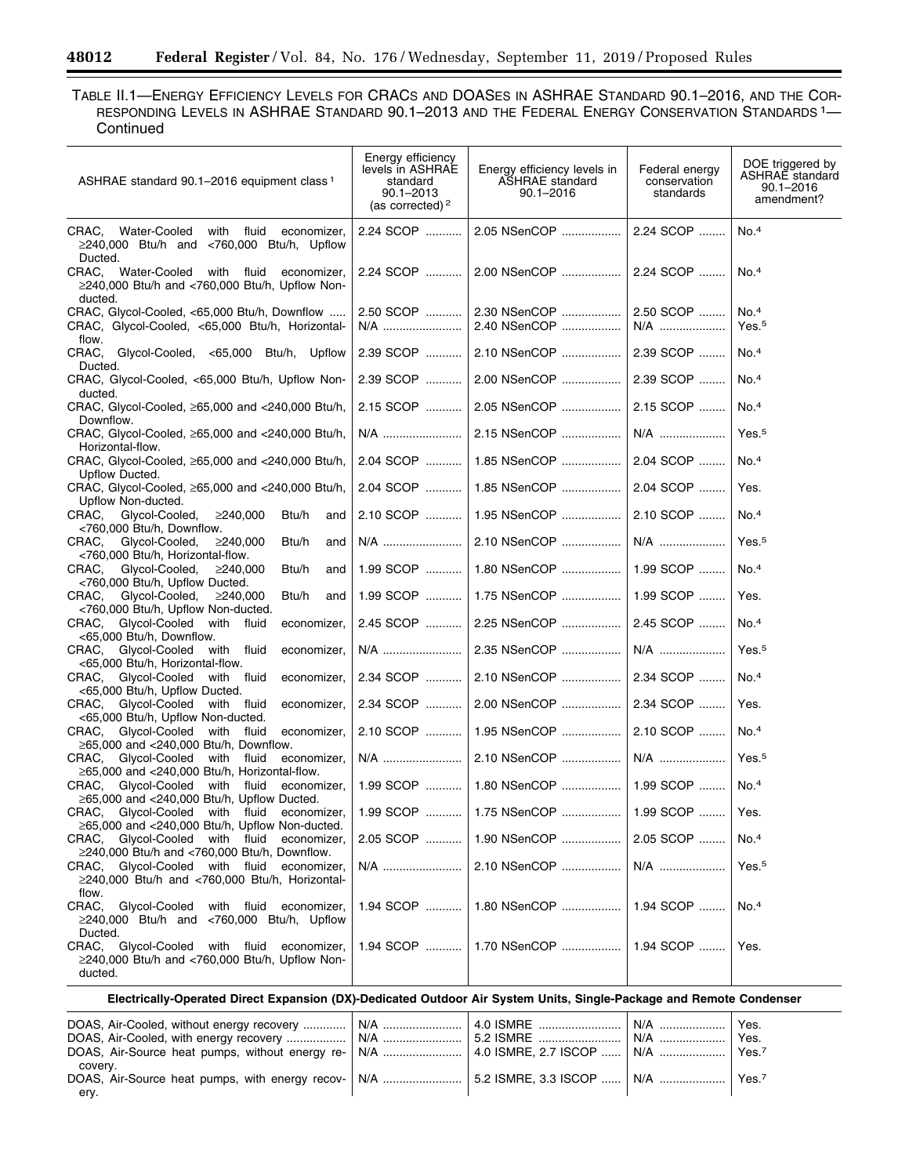$\equiv$ 

TABLE II.1—ENERGY EFFICIENCY LEVELS FOR CRACS AND DOASES IN ASHRAE STANDARD 90.1–2016, AND THE COR-RESPONDING LEVELS IN ASHRAE STANDARD 90.1-2013 AND THE FEDERAL ENERGY CONSERVATION STANDARDS <sup>1</sup>-**Continued** 

| ASHRAE standard 90.1-2016 equipment class 1                                                                                 | Energy efficiency<br>levels in ASHRAE<br>standard<br>$90.1 - 2013$<br>(as corrected) $2$ | Energy efficiency levels in<br><b>ASHRAE</b> standard<br>$90.1 - 2016$ | Federal energy<br>conservation<br>standards | DOE triggered by<br><b>ASHRAE</b> standard<br>90.1-2016<br>amendment? |
|-----------------------------------------------------------------------------------------------------------------------------|------------------------------------------------------------------------------------------|------------------------------------------------------------------------|---------------------------------------------|-----------------------------------------------------------------------|
| CRAC, Water-Cooled with fluid economizer,<br>$\geq$ 240,000 Btu/h and <760,000 Btu/h, Upflow<br>Ducted.                     | 2.24 SCOP                                                                                | 2.05 NSenCOP                                                           | 2.24 SCOP                                   | No. <sup>4</sup>                                                      |
| CRAC.<br>Water-Cooled with fluid<br>economizer,<br>$\geq$ 240,000 Btu/h and <760,000 Btu/h, Upflow Non-<br>ducted.          | 2.24 SCOP                                                                                | 2.00 NSenCOP                                                           | 2.24 SCOP                                   | No. <sup>4</sup>                                                      |
| CRAC, Glycol-Cooled, <65,000 Btu/h, Downflow<br>CRAC, Glycol-Cooled, <65,000 Btu/h, Horizontal-<br>flow.                    | 2.50 SCOP   <br>N/A                                                                      | 2.30 NSenCOP<br>2.40 NSenCOP                                           | 2.50 SCOP<br>N/A                            | No.4<br>Yes. <sup>5</sup>                                             |
| CRAC, Glycol-Cooled, <65,000 Btu/h, Upflow<br>Ducted.                                                                       | 2.39 SCOP                                                                                | 2.10 NSenCOP                                                           | 2.39 SCOP                                   | No.4                                                                  |
| CRAC, Glycol-Cooled, <65,000 Btu/h, Upflow Non-<br>ducted.                                                                  | 2.39 SCOP                                                                                | 2.00 NSenCOP                                                           | 2.39 SCOP                                   | No. <sup>4</sup>                                                      |
| CRAC, Glycol-Cooled, ≥65,000 and <240,000 Btu/h,<br>Downflow.                                                               | 2.15 SCOP                                                                                | 2.05 NSenCOP                                                           | 2.15 SCOP                                   | No.4                                                                  |
| CRAC, Glycol-Cooled, $\geq 65,000$ and <240,000 Btu/h,<br>Horizontal-flow.                                                  | N/A                                                                                      | 2.15 NSenCOP                                                           | $N/A$                                       | Yes. <sup>5</sup>                                                     |
| CRAC, Glycol-Cooled, ≥65,000 and <240,000 Btu/h,<br>Upflow Ducted.                                                          | 2.04 SCOP                                                                                | 1.85 NSenCOP                                                           | 2.04 SCOP                                   | No.4                                                                  |
| CRAC, Glycol-Cooled, $\geq 65,000$ and <240,000 Btu/h,<br>Upflow Non-ducted.                                                | 2.04 SCOP                                                                                | 1.85 NSenCOP                                                           | 2.04 SCOP                                   | Yes.                                                                  |
| Btu/h<br>CRAC.<br>Glycol-Cooled,<br>≥240,000<br>and<br><760,000 Btu/h, Downflow.                                            | 2.10 SCOP                                                                                | 1.95 NSenCOP                                                           | 2.10 SCOP                                   | No. <sup>4</sup>                                                      |
| Btu/h<br>CRAC.<br>Glycol-Cooled,<br>≥240.000<br>and<br><760,000 Btu/h, Horizontal-flow.                                     | N/A                                                                                      | 2.10 NSenCOP                                                           | N/A                                         | Yes. <sup>5</sup>                                                     |
| Glycol-Cooled,<br>Btu/h<br>CRAC.<br>≥240,000<br>and<br><760,000 Btu/h, Upflow Ducted.                                       | 1.99 SCOP                                                                                | 1.80 NSenCOP                                                           | 1.99 SCOP                                   | No. <sup>4</sup>                                                      |
| Glycol-Cooled,<br>Btu/h<br>CRAC.<br>≥240,000<br>and<br><760,000 Btu/h, Upflow Non-ducted.                                   | 1.99 SCOP                                                                                | 1.75 NSenCOP                                                           | 1.99 SCOP                                   | Yes.                                                                  |
| CRAC, Glycol-Cooled with fluid<br>economizer,<br><65,000 Btu/h, Downflow.                                                   | 2.45 SCOP                                                                                | 2.25 NSenCOP                                                           | 2.45 SCOP                                   | No. <sup>4</sup>                                                      |
| CRAC, Glycol-Cooled with fluid<br>economizer,<br><65,000 Btu/h, Horizontal-flow.                                            | N/A                                                                                      | 2.35 NSenCOP                                                           | N/A                                         | Yes. <sup>5</sup>                                                     |
| Glycol-Cooled with fluid<br>CRAC.<br>economizer,<br><65,000 Btu/h, Upflow Ducted.                                           | 2.34 SCOP                                                                                | 2.10 NSenCOP                                                           | 2.34 SCOP                                   | No. <sup>4</sup>                                                      |
| CRAC, Glycol-Cooled with fluid<br>economizer,<br><65,000 Btu/h, Upflow Non-ducted.                                          | 2.34 SCOP                                                                                | 2.00 NSenCOP                                                           | 2.34 SCOP                                   | Yes.                                                                  |
| Glycol-Cooled with fluid<br>CRAC.<br>economizer,<br>≥65,000 and <240,000 Btu/h, Downflow.                                   | 2.10 SCOP                                                                                | 1.95 NSenCOP                                                           | 2.10 SCOP                                   | No. <sup>4</sup>                                                      |
| Glycol-Cooled with fluid<br>CRAC.<br>economizer,<br>$\geq 65,000$ and <240,000 Btu/h, Horizontal-flow.                      |                                                                                          | 2.10 NSenCOP                                                           | N/A                                         | Yes. <sup>5</sup>                                                     |
| Glycol-Cooled with fluid<br>CRAC.<br>economizer,<br>$\geq$ 65,000 and <240,000 Btu/h, Upflow Ducted.                        |                                                                                          | 1.99 SCOP    1.80 NSenCOP    1.99 SCOP                                 |                                             | No. <sup>4</sup>                                                      |
| CRAC, Glycol-Cooled with fluid economizer,<br>$\geq 65,000$ and <240,000 Btu/h, Upflow Non-ducted.                          |                                                                                          | 1.99 SCOP    1.75 NSenCOP                                              | 1.99 SCOP                                   | Yes.                                                                  |
| Glvcol-Cooled with fluid<br>CRAC.<br>economizer,<br>$\geq$ 240,000 Btu/h and <760,000 Btu/h, Downflow.                      |                                                                                          | 2.05 SCOP    1.90 NSenCOP                                              | 2.05 SCOP                                   | No. <sup>4</sup>                                                      |
| CRAC, Glycol-Cooled with fluid economizer,<br>$\geq$ 240,000 Btu/h and <760,000 Btu/h, Horizontal-                          |                                                                                          |                                                                        | N/A                                         | Yes. <sup>5</sup>                                                     |
| flow.<br>CRAC,<br>Glycol-Cooled with fluid economizer,<br>$\geq$ 240,000 Btu/h and <760,000 Btu/h, Upflow                   |                                                                                          | 1.94 SCOP    1.80 NSenCOP    1.94 SCOP                                 |                                             | No. <sup>4</sup>                                                      |
| Ducted.<br>CRAC, Glycol-Cooled with fluid<br>economizer,<br>$\geq$ 240,000 Btu/h and <760,000 Btu/h, Upflow Non-<br>ducted. |                                                                                          | 1.94 SCOP    1.70 NSenCOP    1.94 SCOP                                 |                                             | Yes.                                                                  |
| Electrically-Operated Direct Expansion (DX)-Dedicated Outdoor Air System Units, Single-Package and Remote Condenser         |                                                                                          |                                                                        |                                             |                                                                       |

| DOAS, Air-Cooled, without energy recovery ………….   N/A ……………………   4.0 ISMRE ………………………   N/A …………………   Yes.<br>DOAS, Air-Cooled, with energy recovery ……………….   N/A …………………….   5.2 ISMRE …………………….   N/A ………………….  <br>DOAS, Air-Source heat pumps, without energy re- $\mid$ N/A ………………………   4.0 ISMRE, 2.7 ISCOP ……   N/A …………………   Yes.7 |  | Yes. |
|--------------------------------------------------------------------------------------------------------------------------------------------------------------------------------------------------------------------------------------------------------------------------------------------------------------------------------------------|--|------|
| covery.<br>DOAS, Air-Source heat pumps, with energy recov- $\vert$ N/A ……………………… 5.2 ISMRE, 3.3 ISCOP …… $\vert$ N/A …………………   Yes.7<br>erv.                                                                                                                                                                                               |  |      |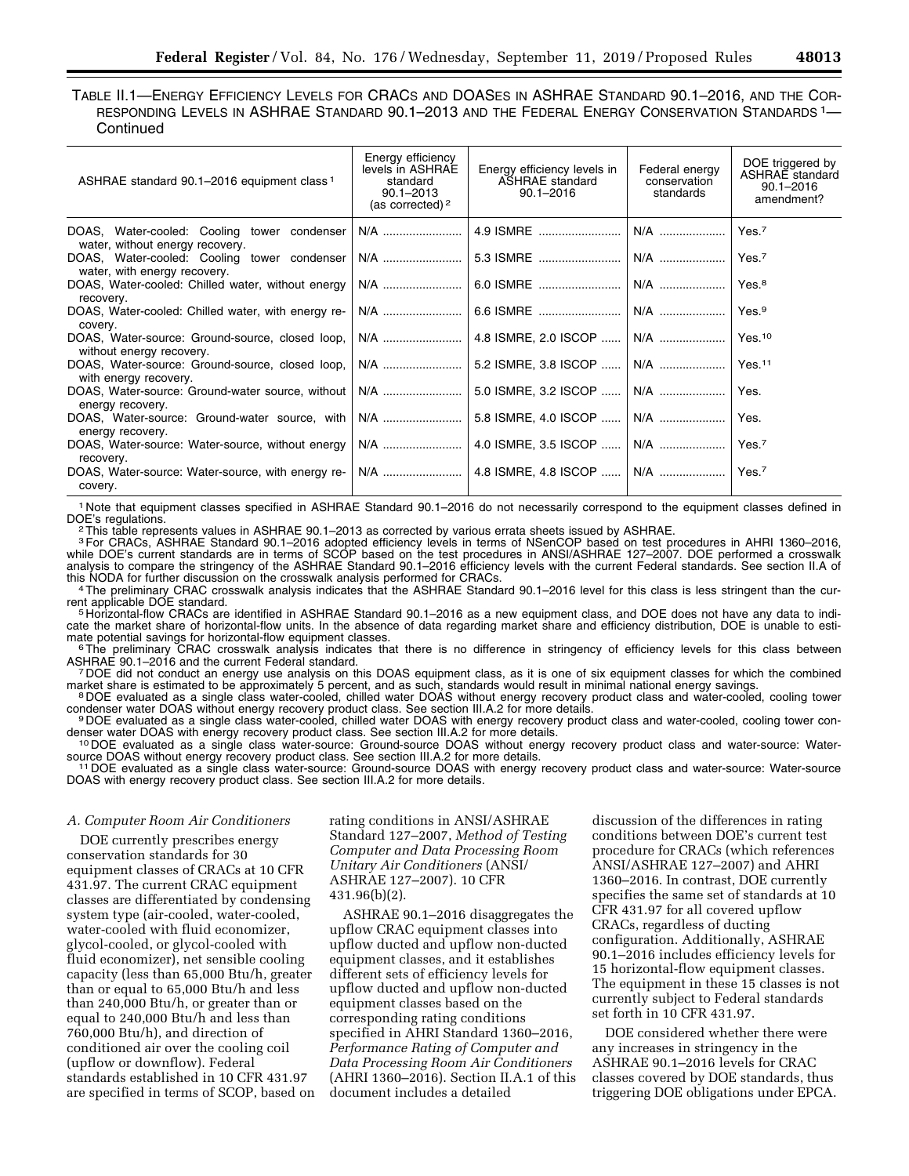| TABLE II.1—ENERGY EFFICIENCY LEVELS FOR CRACS AND DOASES IN ASHRAE STANDARD 90.1-2016, AND THE COR- |  |
|-----------------------------------------------------------------------------------------------------|--|
| RESPONDING LEVELS IN ASHRAE STANDARD 90.1-2013 AND THE FEDERAL ENERGY CONSERVATION STANDARDS 1—     |  |
| Continued                                                                                           |  |

| ASHRAE standard 90.1-2016 equipment class <sup>1</sup>                                                     | Energy efficiency<br>levels in ASHRAE<br>standard<br>$90.1 - 2013$<br>(as corrected) $2$ | Energy efficiency levels in<br><b>ASHRAE</b> standard<br>$90.1 - 2016$ | Federal energy<br>conservation<br>standards | DOE triggered by<br>ASHRAE standard<br>$90.1 - 2016$<br>amendment? |
|------------------------------------------------------------------------------------------------------------|------------------------------------------------------------------------------------------|------------------------------------------------------------------------|---------------------------------------------|--------------------------------------------------------------------|
| DOAS, Water-cooled: Cooling tower condenser   N/A    4.9 ISMRE    N/A<br>water, without energy recovery.   |                                                                                          |                                                                        |                                             | Yes. <sup>7</sup>                                                  |
| water, with energy recovery.                                                                               |                                                                                          |                                                                        | N/A                                         | Yes. <sup>7</sup>                                                  |
| DOAS, Water-cooled: Chilled water, without energy   N/A    6.0 ISMRE<br>recovery.                          |                                                                                          |                                                                        | N/A                                         | Yes. <sup>8</sup>                                                  |
| covery.                                                                                                    |                                                                                          |                                                                        |                                             | Yes. <sup>9</sup>                                                  |
| DOAS, Water-source: Ground-source, closed loop, N/A  4.8 ISMRE, 2.0 ISCOP  N/A<br>without energy recovery. |                                                                                          |                                                                        |                                             | Yes. <sup>10</sup>                                                 |
| with energy recovery.                                                                                      |                                                                                          |                                                                        | N/A                                         | Yes. <sup>11</sup>                                                 |
| DOAS, Water-source: Ground-water source, without   N/A    5.0 ISMRE, 3.2 ISCOP<br>energy recovery.         |                                                                                          |                                                                        | N/A                                         | Yes.                                                               |
| DOAS, Water-source: Ground-water source, with N/A  5.8 ISMRE, 4.0 ISCOP<br>energy recovery.                |                                                                                          |                                                                        | $N/A$                                       | Yes.                                                               |
| recovery.                                                                                                  |                                                                                          |                                                                        | N/A                                         | Yes. <sup>7</sup>                                                  |
| covery.                                                                                                    |                                                                                          |                                                                        |                                             | Yes. <sup>7</sup>                                                  |

1 Note that equipment classes specified in ASHRAE Standard 90.1–2016 do not necessarily correspond to the equipment classes defined in

 $2$ This table represents values in ASHRAE 90.1–2013 as corrected by various errata sheets issued by ASHRAE.

3For CRACs, ASHRAE Standard 90.1–2016 adopted efficiency levels in terms of NSenCOP based on test procedures in AHRI 1360–2016, while DOE's current standards are in terms of SCOP based on the test procedures in ANSI/ASHRAE 127–2007. DOE performed a crosswalk analysis to compare the stringency of the ASHRAE Standard 90.1–2016 efficiency levels with the current Federal standards. See section II.A of<br>this NODA for further discussion on the crosswalk analysis performed for CRACs.

this NODA for further discussion on the crosswalk analysis performed for CRACs. 4The preliminary CRAC crosswalk analysis indicates that the ASHRAE Standard 90.1–2016 level for this class is less stringent than the cur-

rent applicable DOE standard.<br><sup>5</sup> Horizontal-flow CRACs are identified in ASHRAE Standard 90.1–2016 as a new equipment class, and DOE does not have any data to indicate the market share of horizontal-flow units. In the absence of data regarding market share and efficiency distribution, DOE is unable to esti-<br>mate potential savings for horizontal-flow equipment classes.

<sup>6</sup>The preliminary CRAC crosswalk analysis indicates that there is no difference in stringency of efficiency levels for this class between<br>ASHRAE 90.1–2016 and the current Federal standard.

<sup>7</sup> DOE did not conduct an energy use analysis on this DOAS equipment class, as it is one of six equipment classes for which the combined market share is estimated to be approximately 5 percent, and as such, standards woul

BOE evaluated as a single class water-cooled, chilled water DOAS without energy recovery product class and water-cooled, cooling tower<br>condenser water DOAS without energy recovery product class. See section III.A.2 for mor

<sup>9</sup>DOE evaluated as a single class water-cooled, chilled water DOAS with energy recovery product class and water-cooled, cooling tower con-<br>denser water DOAS with energy recovery product class. See section III.A.2 for more

<sup>10</sup> DOE evaluated as a single class water-source: Ground-source DOAS without energy recovery product class and water-source: Water-<br>source DOAS without energy recovery product class. See section III.A.2 for more details.

<sup>11</sup> DOE evaluated as a single class water-source: Ground-source DOAS with energy recovery product class and water-source: Water-source DOAS with energy recovery product class. See section III.A.2 for more details.

#### *A. Computer Room Air Conditioners*

DOE currently prescribes energy conservation standards for 30 equipment classes of CRACs at 10 CFR 431.97. The current CRAC equipment classes are differentiated by condensing system type (air-cooled, water-cooled, water-cooled with fluid economizer, glycol-cooled, or glycol-cooled with fluid economizer), net sensible cooling capacity (less than 65,000 Btu/h, greater than or equal to 65,000 Btu/h and less than 240,000 Btu/h, or greater than or equal to 240,000 Btu/h and less than 760,000 Btu/h), and direction of conditioned air over the cooling coil (upflow or downflow). Federal standards established in 10 CFR 431.97 are specified in terms of SCOP, based on rating conditions in ANSI/ASHRAE Standard 127–2007, *Method of Testing Computer and Data Processing Room Unitary Air Conditioners* (ANSI/ ASHRAE 127–2007). 10 CFR 431.96(b)(2).

ASHRAE 90.1–2016 disaggregates the upflow CRAC equipment classes into upflow ducted and upflow non-ducted equipment classes, and it establishes different sets of efficiency levels for upflow ducted and upflow non-ducted equipment classes based on the corresponding rating conditions specified in AHRI Standard 1360–2016, *Performance Rating of Computer and Data Processing Room Air Conditioners*  (AHRI 1360–2016). Section II.A.1 of this document includes a detailed

discussion of the differences in rating conditions between DOE's current test procedure for CRACs (which references ANSI/ASHRAE 127–2007) and AHRI 1360–2016. In contrast, DOE currently specifies the same set of standards at 10 CFR 431.97 for all covered upflow CRACs, regardless of ducting configuration. Additionally, ASHRAE 90.1–2016 includes efficiency levels for 15 horizontal-flow equipment classes. The equipment in these 15 classes is not currently subject to Federal standards set forth in 10 CFR 431.97.

DOE considered whether there were any increases in stringency in the ASHRAE 90.1–2016 levels for CRAC classes covered by DOE standards, thus triggering DOE obligations under EPCA.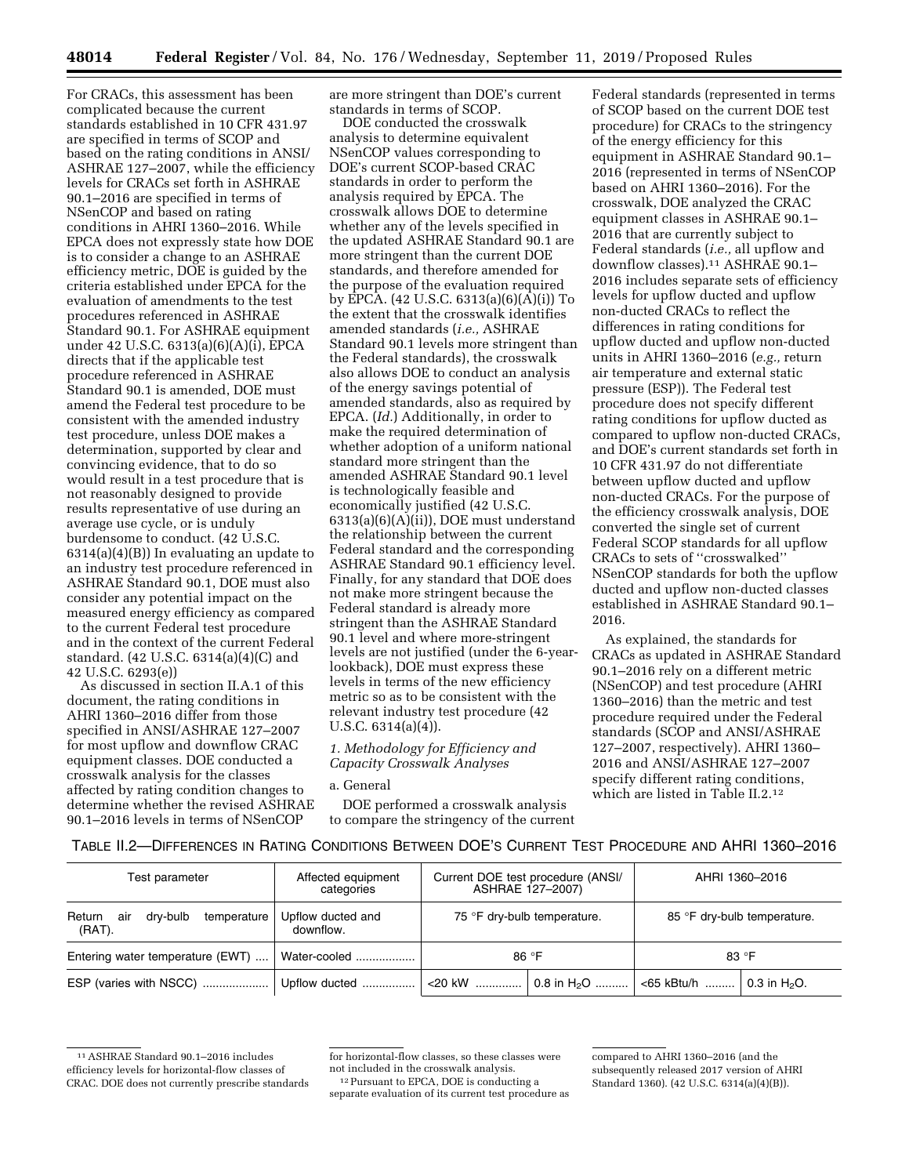For CRACs, this assessment has been complicated because the current standards established in 10 CFR 431.97 are specified in terms of SCOP and based on the rating conditions in ANSI/ ASHRAE 127–2007, while the efficiency levels for CRACs set forth in ASHRAE 90.1–2016 are specified in terms of NSenCOP and based on rating conditions in AHRI 1360–2016. While EPCA does not expressly state how DOE is to consider a change to an ASHRAE efficiency metric, DOE is guided by the criteria established under EPCA for the evaluation of amendments to the test procedures referenced in ASHRAE Standard 90.1. For ASHRAE equipment under 42 U.S.C. 6313(a)(6)(A)(i), EPCA directs that if the applicable test procedure referenced in ASHRAE Standard 90.1 is amended, DOE must amend the Federal test procedure to be consistent with the amended industry test procedure, unless DOE makes a determination, supported by clear and convincing evidence, that to do so would result in a test procedure that is not reasonably designed to provide results representative of use during an average use cycle, or is unduly burdensome to conduct. (42 U.S.C. 6314(a)(4)(B)) In evaluating an update to an industry test procedure referenced in ASHRAE Standard 90.1, DOE must also consider any potential impact on the measured energy efficiency as compared to the current Federal test procedure and in the context of the current Federal standard. (42 U.S.C. 6314(a)(4)(C) and 42 U.S.C. 6293(e))

As discussed in section II.A.1 of this document, the rating conditions in AHRI 1360–2016 differ from those specified in ANSI/ASHRAE 127–2007 for most upflow and downflow CRAC equipment classes. DOE conducted a crosswalk analysis for the classes affected by rating condition changes to determine whether the revised ASHRAE 90.1–2016 levels in terms of NSenCOP

are more stringent than DOE's current standards in terms of SCOP.

DOE conducted the crosswalk analysis to determine equivalent NSenCOP values corresponding to DOE's current SCOP-based CRAC standards in order to perform the analysis required by EPCA. The crosswalk allows DOE to determine whether any of the levels specified in the updated ASHRAE Standard 90.1 are more stringent than the current DOE standards, and therefore amended for the purpose of the evaluation required by EPCA. (42 U.S.C. 6313(a)(6)(A)(i)) To the extent that the crosswalk identifies amended standards (*i.e.,* ASHRAE Standard 90.1 levels more stringent than the Federal standards), the crosswalk also allows DOE to conduct an analysis of the energy savings potential of amended standards, also as required by EPCA. (*Id.*) Additionally, in order to make the required determination of whether adoption of a uniform national standard more stringent than the amended ASHRAE Standard 90.1 level is technologically feasible and economically justified (42 U.S.C. 6313(a)(6)(A)(ii)), DOE must understand the relationship between the current Federal standard and the corresponding ASHRAE Standard 90.1 efficiency level. Finally, for any standard that DOE does not make more stringent because the Federal standard is already more stringent than the ASHRAE Standard 90.1 level and where more-stringent levels are not justified (under the 6-yearlookback), DOE must express these levels in terms of the new efficiency metric so as to be consistent with the relevant industry test procedure (42 U.S.C. 6314(a)(4)).

*1. Methodology for Efficiency and Capacity Crosswalk Analyses* 

## a. General

DOE performed a crosswalk analysis to compare the stringency of the current

Federal standards (represented in terms of SCOP based on the current DOE test procedure) for CRACs to the stringency of the energy efficiency for this equipment in ASHRAE Standard 90.1– 2016 (represented in terms of NSenCOP based on AHRI 1360–2016). For the crosswalk, DOE analyzed the CRAC equipment classes in ASHRAE 90.1– 2016 that are currently subject to Federal standards (*i.e.,* all upflow and downflow classes).11 ASHRAE 90.1– 2016 includes separate sets of efficiency levels for upflow ducted and upflow non-ducted CRACs to reflect the differences in rating conditions for upflow ducted and upflow non-ducted units in AHRI 1360–2016 (*e.g.,* return air temperature and external static pressure (ESP)). The Federal test procedure does not specify different rating conditions for upflow ducted as compared to upflow non-ducted CRACs, and DOE's current standards set forth in 10 CFR 431.97 do not differentiate between upflow ducted and upflow non-ducted CRACs. For the purpose of the efficiency crosswalk analysis, DOE converted the single set of current Federal SCOP standards for all upflow CRACs to sets of ''crosswalked'' NSenCOP standards for both the upflow ducted and upflow non-ducted classes established in ASHRAE Standard 90.1– 2016.

As explained, the standards for CRACs as updated in ASHRAE Standard 90.1–2016 rely on a different metric (NSenCOP) and test procedure (AHRI 1360–2016) than the metric and test procedure required under the Federal standards (SCOP and ANSI/ASHRAE 127–2007, respectively). AHRI 1360– 2016 and ANSI/ASHRAE 127–2007 specify different rating conditions, which are listed in Table II.2.12

|  |  | TABLE II.2—DIFFERENCES IN RATING CONDITIONS BETWEEN DOE'S CURRENT TEST PROCEDURE AND AHRI 1360–2016 |  |
|--|--|-----------------------------------------------------------------------------------------------------|--|
|  |  |                                                                                                     |  |

| Test parameter                                        | Affected equipment<br>categories |                             | Current DOE test procedure (ANSI/<br>ASHRAE 127-2007) | AHRI 1360-2016              |                 |
|-------------------------------------------------------|----------------------------------|-----------------------------|-------------------------------------------------------|-----------------------------|-----------------|
| air<br>drv-bulb<br>temperature<br>Return<br>$(RAT)$ . | Upflow ducted and<br>downflow.   | 75 °F dry-bulb temperature. |                                                       | 85 °F dry-bulb temperature. |                 |
| Entering water temperature (EWT)                      | Water-cooled                     | 86 °F                       |                                                       | 83 $\degree$ F              |                 |
|                                                       |                                  |                             |                                                       |                             | 0.3 in $H_2O$ . |

<sup>11</sup>ASHRAE Standard 90.1–2016 includes efficiency levels for horizontal-flow classes of CRAC. DOE does not currently prescribe standards

for horizontal-flow classes, so these classes were not included in the crosswalk analysis.

<sup>12</sup>Pursuant to EPCA, DOE is conducting a separate evaluation of its current test procedure as

compared to AHRI 1360–2016 (and the subsequently released 2017 version of AHRI Standard 1360). (42 U.S.C. 6314(a)(4)(B)).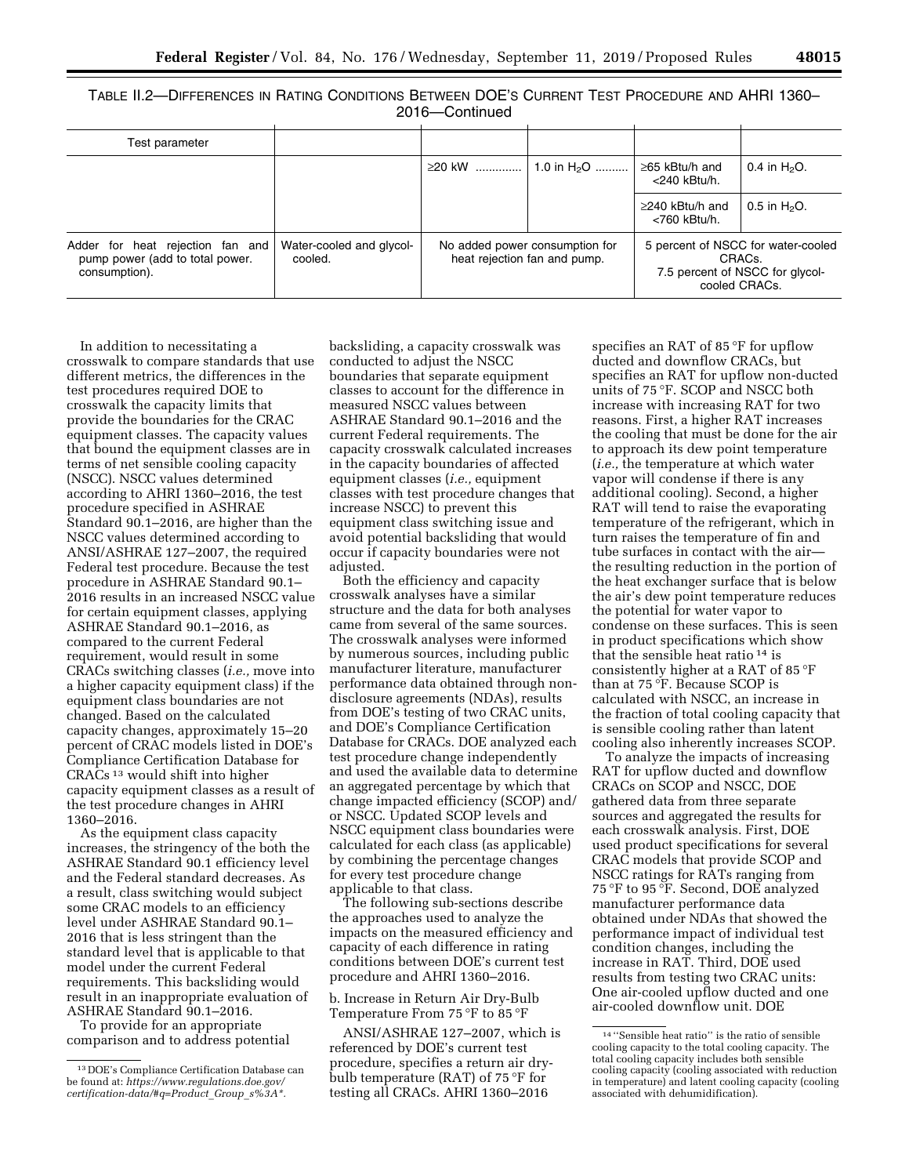TABLE II.2—DIFFERENCES IN RATING CONDITIONS BETWEEN DOE'S CURRENT TEST PROCEDURE AND AHRI 1360– 2016—Continued

| Test parameter                                                                       |                                     |                                                                |               |                                       |                                                                                                               |
|--------------------------------------------------------------------------------------|-------------------------------------|----------------------------------------------------------------|---------------|---------------------------------------|---------------------------------------------------------------------------------------------------------------|
|                                                                                      |                                     | ≥20 kW                                                         | 1.0 in $H_2O$ | ≥65 kBtu/h and<br><240 kBtu/h.        | 0.4 in $H_2O$ .                                                                                               |
|                                                                                      |                                     |                                                                |               | $\geq$ 240 kBtu/h and<br><760 kBtu/h. | 0.5 in $H_2O$ .                                                                                               |
| Adder for heat rejection fan and<br>pump power (add to total power.<br>consumption). | Water-cooled and glycol-<br>cooled. | No added power consumption for<br>heat rejection fan and pump. |               |                                       | 5 percent of NSCC for water-cooled<br>CRAC <sub>s</sub> .<br>7.5 percent of NSCC for glycol-<br>cooled CRACs. |

In addition to necessitating a crosswalk to compare standards that use different metrics, the differences in the test procedures required DOE to crosswalk the capacity limits that provide the boundaries for the CRAC equipment classes. The capacity values that bound the equipment classes are in terms of net sensible cooling capacity (NSCC). NSCC values determined according to AHRI 1360–2016, the test procedure specified in ASHRAE Standard 90.1–2016, are higher than the NSCC values determined according to ANSI/ASHRAE 127–2007, the required Federal test procedure. Because the test procedure in ASHRAE Standard 90.1– 2016 results in an increased NSCC value for certain equipment classes, applying ASHRAE Standard 90.1–2016, as compared to the current Federal requirement, would result in some CRACs switching classes (*i.e.,* move into a higher capacity equipment class) if the equipment class boundaries are not changed. Based on the calculated capacity changes, approximately 15–20 percent of CRAC models listed in DOE's Compliance Certification Database for CRACs 13 would shift into higher capacity equipment classes as a result of the test procedure changes in AHRI 1360–2016.

As the equipment class capacity increases, the stringency of the both the ASHRAE Standard 90.1 efficiency level and the Federal standard decreases. As a result, class switching would subject some CRAC models to an efficiency level under ASHRAE Standard 90.1– 2016 that is less stringent than the standard level that is applicable to that model under the current Federal requirements. This backsliding would result in an inappropriate evaluation of ASHRAE Standard 90.1–2016.

To provide for an appropriate comparison and to address potential

backsliding, a capacity crosswalk was conducted to adjust the NSCC boundaries that separate equipment classes to account for the difference in measured NSCC values between ASHRAE Standard 90.1–2016 and the current Federal requirements. The capacity crosswalk calculated increases in the capacity boundaries of affected equipment classes (*i.e.,* equipment classes with test procedure changes that increase NSCC) to prevent this equipment class switching issue and avoid potential backsliding that would occur if capacity boundaries were not adjusted.

Both the efficiency and capacity crosswalk analyses have a similar structure and the data for both analyses came from several of the same sources. The crosswalk analyses were informed by numerous sources, including public manufacturer literature, manufacturer performance data obtained through nondisclosure agreements (NDAs), results from DOE's testing of two CRAC units, and DOE's Compliance Certification Database for CRACs. DOE analyzed each test procedure change independently and used the available data to determine an aggregated percentage by which that change impacted efficiency (SCOP) and/ or NSCC. Updated SCOP levels and NSCC equipment class boundaries were calculated for each class (as applicable) by combining the percentage changes for every test procedure change applicable to that class.

The following sub-sections describe the approaches used to analyze the impacts on the measured efficiency and capacity of each difference in rating conditions between DOE's current test procedure and AHRI 1360–2016.

b. Increase in Return Air Dry-Bulb Temperature From 75 °F to 85 °F

ANSI/ASHRAE 127–2007, which is referenced by DOE's current test procedure, specifies a return air drybulb temperature (RAT) of 75 °F for testing all CRACs. AHRI 1360–2016

specifies an RAT of 85 °F for upflow ducted and downflow CRACs, but specifies an RAT for upflow non-ducted units of 75 °F. SCOP and NSCC both increase with increasing RAT for two reasons. First, a higher RAT increases the cooling that must be done for the air to approach its dew point temperature (*i.e.,* the temperature at which water vapor will condense if there is any additional cooling). Second, a higher RAT will tend to raise the evaporating temperature of the refrigerant, which in turn raises the temperature of fin and tube surfaces in contact with the air the resulting reduction in the portion of the heat exchanger surface that is below the air's dew point temperature reduces the potential for water vapor to condense on these surfaces. This is seen in product specifications which show that the sensible heat ratio 14 is consistently higher at a RAT of 85 °F than at 75 °F. Because SCOP is calculated with NSCC, an increase in the fraction of total cooling capacity that is sensible cooling rather than latent cooling also inherently increases SCOP.

To analyze the impacts of increasing RAT for upflow ducted and downflow CRACs on SCOP and NSCC, DOE gathered data from three separate sources and aggregated the results for each crosswalk analysis. First, DOE used product specifications for several CRAC models that provide SCOP and NSCC ratings for RATs ranging from 75 °F to 95 °F. Second, DOE analyzed manufacturer performance data obtained under NDAs that showed the performance impact of individual test condition changes, including the increase in RAT. Third, DOE used results from testing two CRAC units: One air-cooled upflow ducted and one air-cooled downflow unit. DOE

<sup>13</sup> DOE's Compliance Certification Database can be found at: *[https://www.regulations.doe.gov/](https://www.regulations.doe.gov/certification-data/#q=Product_Group_s%3A*)  [certification-data/#q=Product](https://www.regulations.doe.gov/certification-data/#q=Product_Group_s%3A*)*\_*Group*\_*s%3A\*.* 

<sup>14</sup> ''Sensible heat ratio'' is the ratio of sensible cooling capacity to the total cooling capacity. The total cooling capacity includes both sensible cooling capacity (cooling associated with reduction in temperature) and latent cooling capacity (cooling associated with dehumidification).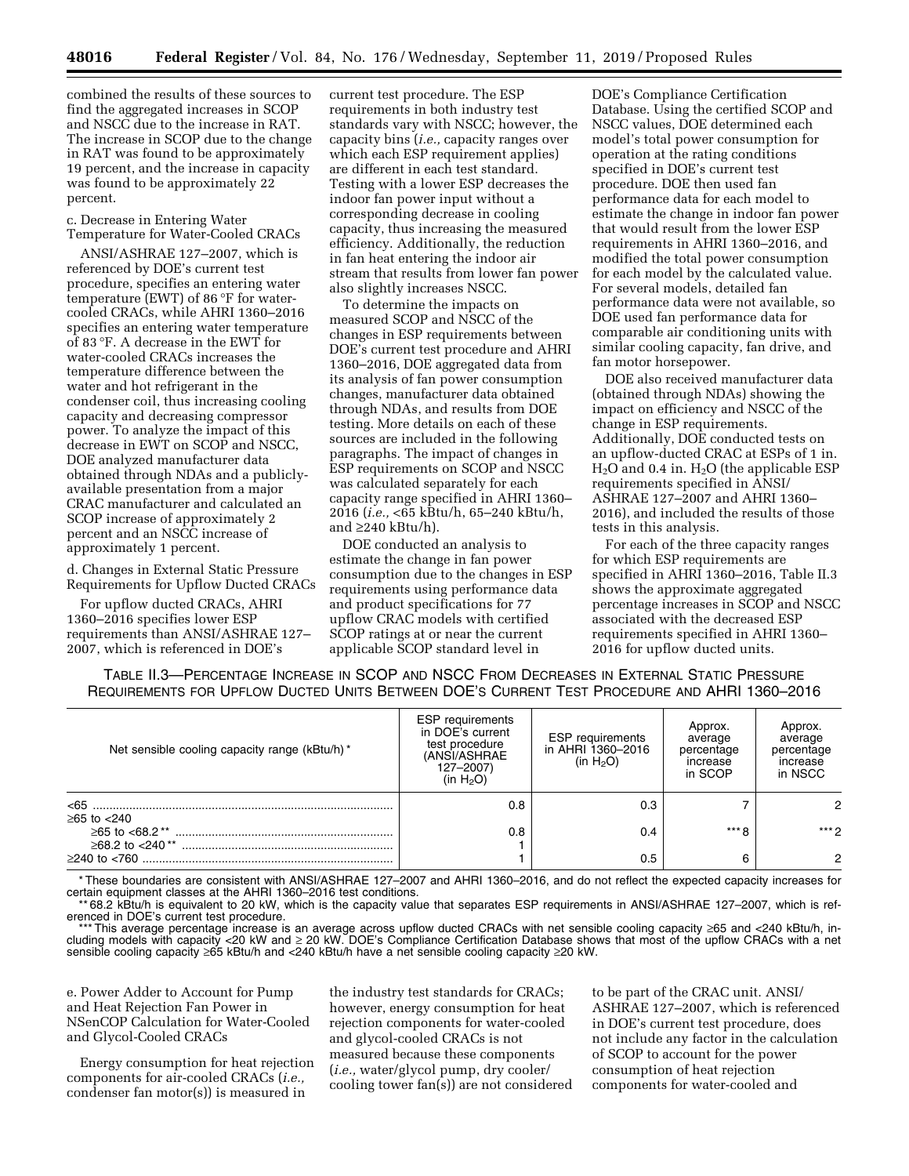combined the results of these sources to find the aggregated increases in SCOP and NSCC due to the increase in RAT. The increase in SCOP due to the change in RAT was found to be approximately 19 percent, and the increase in capacity was found to be approximately 22 percent.

c. Decrease in Entering Water Temperature for Water-Cooled CRACs

ANSI/ASHRAE 127–2007, which is referenced by DOE's current test procedure, specifies an entering water temperature (EWT) of 86 °F for watercooled CRACs, while AHRI 1360–2016 specifies an entering water temperature of 83 °F. A decrease in the EWT for water-cooled CRACs increases the temperature difference between the water and hot refrigerant in the condenser coil, thus increasing cooling capacity and decreasing compressor power. To analyze the impact of this decrease in EWT on SCOP and NSCC, DOE analyzed manufacturer data obtained through NDAs and a publiclyavailable presentation from a major CRAC manufacturer and calculated an SCOP increase of approximately 2 percent and an NSCC increase of approximately 1 percent.

d. Changes in External Static Pressure Requirements for Upflow Ducted CRACs

For upflow ducted CRACs, AHRI 1360–2016 specifies lower ESP requirements than ANSI/ASHRAE 127– 2007, which is referenced in DOE's

current test procedure. The ESP requirements in both industry test standards vary with NSCC; however, the capacity bins (*i.e.,* capacity ranges over which each ESP requirement applies) are different in each test standard. Testing with a lower ESP decreases the indoor fan power input without a corresponding decrease in cooling capacity, thus increasing the measured efficiency. Additionally, the reduction in fan heat entering the indoor air stream that results from lower fan power also slightly increases NSCC.

To determine the impacts on measured SCOP and NSCC of the changes in ESP requirements between DOE's current test procedure and AHRI 1360–2016, DOE aggregated data from its analysis of fan power consumption changes, manufacturer data obtained through NDAs, and results from DOE testing. More details on each of these sources are included in the following paragraphs. The impact of changes in ESP requirements on SCOP and NSCC was calculated separately for each capacity range specified in AHRI 1360– 2016 (*i.e.,* <65 kBtu/h, 65–240 kBtu/h, and  $\geq$ 240 kBtu/h).

DOE conducted an analysis to estimate the change in fan power consumption due to the changes in ESP requirements using performance data and product specifications for 77 upflow CRAC models with certified SCOP ratings at or near the current applicable SCOP standard level in

DOE's Compliance Certification Database. Using the certified SCOP and NSCC values, DOE determined each model's total power consumption for operation at the rating conditions specified in DOE's current test procedure. DOE then used fan performance data for each model to estimate the change in indoor fan power that would result from the lower ESP requirements in AHRI 1360–2016, and modified the total power consumption for each model by the calculated value. For several models, detailed fan performance data were not available, so DOE used fan performance data for comparable air conditioning units with similar cooling capacity, fan drive, and fan motor horsepower.

DOE also received manufacturer data (obtained through NDAs) showing the impact on efficiency and NSCC of the change in ESP requirements. Additionally, DOE conducted tests on an upflow-ducted CRAC at ESPs of 1 in.  $H<sub>2</sub>O$  and 0.4 in.  $H<sub>2</sub>O$  (the applicable ESP requirements specified in ANSI/ ASHRAE 127–2007 and AHRI 1360– 2016), and included the results of those tests in this analysis.

For each of the three capacity ranges for which ESP requirements are specified in AHRI 1360–2016, Table II.3 shows the approximate aggregated percentage increases in SCOP and NSCC associated with the decreased ESP requirements specified in AHRI 1360– 2016 for upflow ducted units.

TABLE II.3—PERCENTAGE INCREASE IN SCOP AND NSCC FROM DECREASES IN EXTERNAL STATIC PRESSURE REQUIREMENTS FOR UPFLOW DUCTED UNITS BETWEEN DOE'S CURRENT TEST PROCEDURE AND AHRI 1360–2016

| Net sensible cooling capacity range (kBtu/h) *      | <b>ESP</b> requirements<br>in DOE's current<br>test procedure<br>(ANSI/ASHRAE<br>127-2007)<br>(in $H_2O$ ) | <b>ESP</b> requirements<br>in AHRI 1360-2016<br>(in $H_2O$ ) | Approx.<br>average<br>percentage<br>increase<br>in SCOP | Approx.<br>average<br>percentage<br>increase<br>in NSCC |
|-----------------------------------------------------|------------------------------------------------------------------------------------------------------------|--------------------------------------------------------------|---------------------------------------------------------|---------------------------------------------------------|
| <65                                                 | 0.8                                                                                                        | 0.3                                                          |                                                         | 2                                                       |
| $≥65$ to $<$ 240<br>≥65 to <68.2**                  | 0.8                                                                                                        | 0.4                                                          | $***Q$                                                  | *** 2                                                   |
| $>68.2$ to $<$ 240 <sup>**</sup><br>$≥$ 240 to <760 |                                                                                                            | 0.5                                                          | 6                                                       | 2                                                       |

\* These boundaries are consistent with ANSI/ASHRAE 127–2007 and AHRI 1360–2016, and do not reflect the expected capacity increases for certain equipment classes at the AHRI 1360–2016 test conditions.

\*\* 68.2 kBtu/h is equivalent to 20 kW, which is the capacity value that separates ESP requirements in ANSI/ASHRAE 127–2007, which is referenced in DOE's current test procedure.

\*\*\* This average percentage increase is an average across upflow ducted CRACs with net sensible cooling capacity ≥65 and <240 kBtu/h, including models with capacity <20 kW and ≥ 20 kW. DOE's Compliance Certification Database shows that most of the upflow CRACs with a net sensible cooling capacity ≥65 kBtu/h and <240 kBtu/h have a net sensible cooling capacity ≥20 kW.

e. Power Adder to Account for Pump and Heat Rejection Fan Power in NSenCOP Calculation for Water-Cooled and Glycol-Cooled CRACs

Energy consumption for heat rejection components for air-cooled CRACs (*i.e.,*  condenser fan motor(s)) is measured in

the industry test standards for CRACs; however, energy consumption for heat rejection components for water-cooled and glycol-cooled CRACs is not measured because these components (*i.e.,* water/glycol pump, dry cooler/ cooling tower fan(s)) are not considered to be part of the CRAC unit. ANSI/ ASHRAE 127–2007, which is referenced in DOE's current test procedure, does not include any factor in the calculation of SCOP to account for the power consumption of heat rejection components for water-cooled and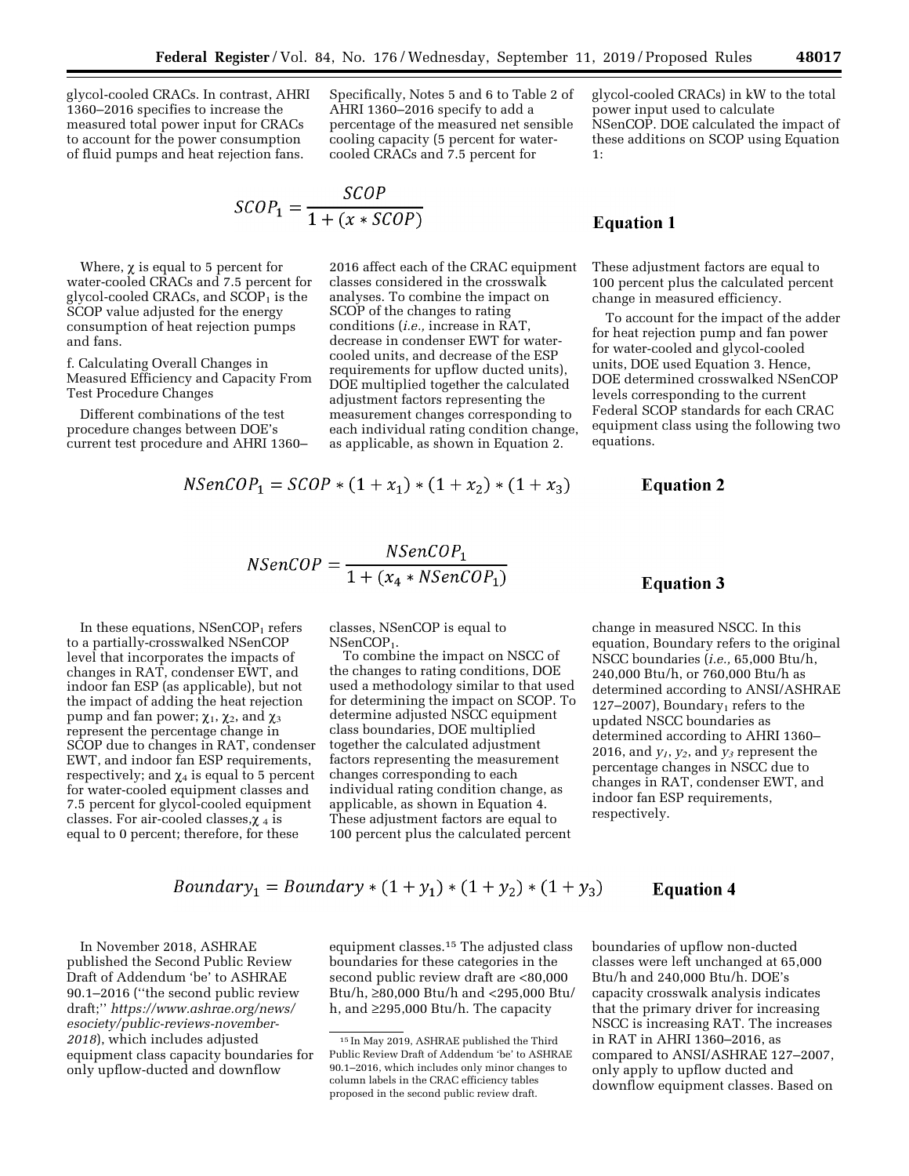glycol-cooled CRACs. In contrast, AHRI 1360–2016 specifies to increase the measured total power input for CRACs to account for the power consumption of fluid pumps and heat rejection fans.

Specifically, Notes 5 and 6 to Table 2 of AHRI 1360–2016 specify to add a percentage of the measured net sensible cooling capacity (5 percent for watercooled CRACs and 7.5 percent for

$$
\mathit{SCOP}_1 = \frac{\mathit{SCOP}}{1 + (x * \mathit{SCOP})}
$$

Where,  $\chi$  is equal to 5 percent for water-cooled CRACs and 7.5 percent for glycol-cooled CRACs, and  $SCOP<sub>1</sub>$  is the SCOP value adjusted for the energy consumption of heat rejection pumps and fans.

f. Calculating Overall Changes in Measured Efficiency and Capacity From Test Procedure Changes

Different combinations of the test procedure changes between DOE's current test procedure and AHRI 1360–

2016 affect each of the CRAC equipment classes considered in the crosswalk analyses. To combine the impact on SCOP of the changes to rating conditions (*i.e.,* increase in RAT, decrease in condenser EWT for watercooled units, and decrease of the ESP requirements for upflow ducted units), DOE multiplied together the calculated adjustment factors representing the measurement changes corresponding to each individual rating condition change, as applicable, as shown in Equation 2.

$$
NSenCOP_1 = SCOP * (1 + x_1) * (1 + x_2) * (1 + x_3)
$$

glycol-cooled CRACs) in kW to the total power input used to calculate NSenCOP. DOE calculated the impact of these additions on SCOP using Equation 1:

## **Equation 1**

These adjustment factors are equal to 100 percent plus the calculated percent change in measured efficiency.

To account for the impact of the adder for heat rejection pump and fan power for water-cooled and glycol-cooled units, DOE used Equation 3. Hence, DOE determined crosswalked NSenCOP levels corresponding to the current Federal SCOP standards for each CRAC equipment class using the following two equations.

## **Equation 2**

$$
NSenCOP = \frac{NSenCOP_1}{1 + (x_4 * NSenCOP_1)}
$$

In these equations,  $NSenCOP<sub>1</sub>$  refers to a partially-crosswalked NSenCOP level that incorporates the impacts of changes in RAT, condenser EWT, and indoor fan ESP (as applicable), but not the impact of adding the heat rejection pump and fan power;  $\chi_1$ ,  $\chi_2$ , and  $\chi_3$ represent the percentage change in SCOP due to changes in RAT, condenser EWT, and indoor fan ESP requirements, respectively; and  $\chi_4$  is equal to 5 percent for water-cooled equipment classes and 7.5 percent for glycol-cooled equipment classes. For air-cooled classes, $\chi_4$  is equal to 0 percent; therefore, for these

classes, NSenCOP is equal to NSenCOP<sub>1</sub>.

To combine the impact on NSCC of the changes to rating conditions, DOE used a methodology similar to that used for determining the impact on SCOP. To determine adjusted NSCC equipment class boundaries, DOE multiplied together the calculated adjustment factors representing the measurement changes corresponding to each individual rating condition change, as applicable, as shown in Equation 4. These adjustment factors are equal to 100 percent plus the calculated percent

## **Equation 3**

change in measured NSCC. In this equation, Boundary refers to the original NSCC boundaries (*i.e.,* 65,000 Btu/h, 240,000 Btu/h, or 760,000 Btu/h as determined according to ANSI/ASHRAE  $127-2007$ , Boundary<sub>1</sub> refers to the updated NSCC boundaries as determined according to AHRI 1360– 2016, and  $y_1$ ,  $y_2$ , and  $y_3$  represent the percentage changes in NSCC due to changes in RAT, condenser EWT, and indoor fan ESP requirements, respectively.

## Boundary<sub>1</sub> = Boundary \*  $(1 + y_1) * (1 + y_2) * (1 + y_3)$

In November 2018, ASHRAE published the Second Public Review Draft of Addendum 'be' to ASHRAE 90.1–2016 (''the second public review draft;'' *[https://www.ashrae.org/news/](https://www.ashrae.org/news/esociety/public-reviews-november-2018)  [esociety/public-reviews-november-](https://www.ashrae.org/news/esociety/public-reviews-november-2018)[2018](https://www.ashrae.org/news/esociety/public-reviews-november-2018)*), which includes adjusted equipment class capacity boundaries for only upflow-ducted and downflow

equipment classes.15 The adjusted class boundaries for these categories in the second public review draft are <80,000 Btu/h, ≥80,000 Btu/h and <295,000 Btu/ h, and ≥295,000 Btu/h. The capacity

# **Equation 4**

boundaries of upflow non-ducted classes were left unchanged at 65,000 Btu/h and 240,000 Btu/h. DOE's capacity crosswalk analysis indicates that the primary driver for increasing NSCC is increasing RAT. The increases in RAT in AHRI 1360–2016, as compared to ANSI/ASHRAE 127–2007, only apply to upflow ducted and downflow equipment classes. Based on

<sup>15</sup> In May 2019, ASHRAE published the Third Public Review Draft of Addendum 'be' to ASHRAE 90.1–2016, which includes only minor changes to column labels in the CRAC efficiency tables proposed in the second public review draft.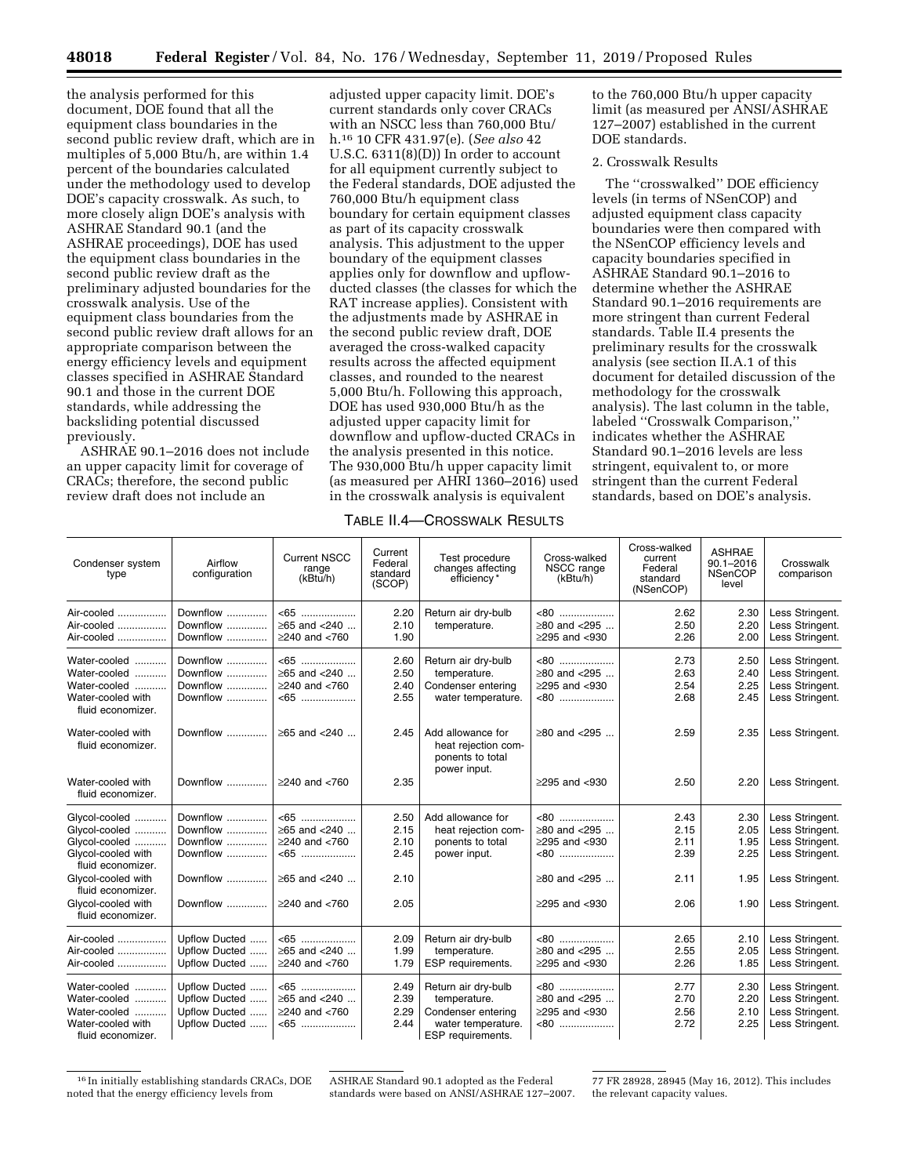the analysis performed for this document, DOE found that all the equipment class boundaries in the second public review draft, which are in multiples of 5,000 Btu/h, are within 1.4 percent of the boundaries calculated under the methodology used to develop DOE's capacity crosswalk. As such, to more closely align DOE's analysis with ASHRAE Standard 90.1 (and the ASHRAE proceedings), DOE has used the equipment class boundaries in the second public review draft as the preliminary adjusted boundaries for the crosswalk analysis. Use of the equipment class boundaries from the second public review draft allows for an appropriate comparison between the energy efficiency levels and equipment classes specified in ASHRAE Standard 90.1 and those in the current DOE standards, while addressing the backsliding potential discussed previously.

ASHRAE 90.1–2016 does not include an upper capacity limit for coverage of CRACs; therefore, the second public review draft does not include an

adjusted upper capacity limit. DOE's current standards only cover CRACs with an NSCC less than 760,000 Btu/ h.16 10 CFR 431.97(e). (*See also* 42 U.S.C. 6311(8)(D)) In order to account for all equipment currently subject to the Federal standards, DOE adjusted the 760,000 Btu/h equipment class boundary for certain equipment classes as part of its capacity crosswalk analysis. This adjustment to the upper boundary of the equipment classes applies only for downflow and upflowducted classes (the classes for which the RAT increase applies). Consistent with the adjustments made by ASHRAE in the second public review draft, DOE averaged the cross-walked capacity results across the affected equipment classes, and rounded to the nearest 5,000 Btu/h. Following this approach, DOE has used 930,000 Btu/h as the adjusted upper capacity limit for downflow and upflow-ducted CRACs in the analysis presented in this notice. The 930,000 Btu/h upper capacity limit (as measured per AHRI 1360–2016) used in the crosswalk analysis is equivalent

to the 760,000 Btu/h upper capacity limit (as measured per ANSI/ASHRAE 127–2007) established in the current DOE standards.

## 2. Crosswalk Results

The ''crosswalked'' DOE efficiency levels (in terms of NSenCOP) and adjusted equipment class capacity boundaries were then compared with the NSenCOP efficiency levels and capacity boundaries specified in ASHRAE Standard 90.1–2016 to determine whether the ASHRAE Standard 90.1–2016 requirements are more stringent than current Federal standards. Table II.4 presents the preliminary results for the crosswalk analysis (see section II.A.1 of this document for detailed discussion of the methodology for the crosswalk analysis). The last column in the table, labeled ''Crosswalk Comparison,'' indicates whether the ASHRAE Standard 90.1–2016 levels are less stringent, equivalent to, or more stringent than the current Federal standards, based on DOE's analysis.

## TABLE II.4—CROSSWALK RESULTS

| Condenser system<br>type                | Airflow<br>configuration | Current NSCC<br>range<br>(kBtu/h) | Current<br>Federal<br>standard<br>(SCOP) | Test procedure<br>changes affecting<br>efficiency*                           | Cross-walked<br>NSCC range<br>(kBtu/h) | Cross-walked<br>current<br>Federal<br>standard<br>(NSenCOP) | <b>ASHRAE</b><br>$90.1 - 2016$<br><b>NSenCOP</b><br>level | Crosswalk<br>comparison |
|-----------------------------------------|--------------------------|-----------------------------------|------------------------------------------|------------------------------------------------------------------------------|----------------------------------------|-------------------------------------------------------------|-----------------------------------------------------------|-------------------------|
| Air-cooled                              | Downflow                 | $<65$                             | 2.20                                     | Return air dry-bulb                                                          | $< 80$                                 | 2.62                                                        | 2.30                                                      | Less Stringent.         |
| Air-cooled                              | Downflow                 | ≥65 and <240                      | 2.10                                     | temperature.                                                                 | $\geq 80$ and <295                     | 2.50                                                        | 2.20                                                      | Less Stringent.         |
| Air-cooled                              | Downflow                 | $\geq$ 240 and <760               | 1.90                                     |                                                                              | $\geq$ 295 and <930                    | 2.26                                                        | 2.00                                                      | Less Stringent.         |
| Water-cooled                            | Downflow                 | $<65$                             | 2.60                                     | Return air dry-bulb                                                          | $< 80$                                 | 2.73                                                        | 2.50                                                      | Less Stringent.         |
| Water-cooled                            | Downflow                 | ≥65 and <240                      | 2.50                                     | temperature.                                                                 | ≥80 and <295                           | 2.63                                                        | 2.40                                                      | Less Stringent.         |
| Water-cooled                            | Downflow                 | $\geq$ 240 and <760               | 2.40                                     | Condenser entering                                                           | $\geq$ 295 and <930                    | 2.54                                                        | 2.25                                                      | Less Stringent.         |
| Water-cooled with<br>fluid economizer.  | Downflow                 | $<65$                             | 2.55                                     | water temperature.                                                           | $<80$                                  | 2.68                                                        | 2.45                                                      | Less Stringent.         |
| Water-cooled with<br>fluid economizer.  | Downflow                 | ≥65 and <240                      | 2.45                                     | Add allowance for<br>heat rejection com-<br>ponents to total<br>power input. | ≥80 and <295                           | 2.59                                                        | 2.35                                                      | Less Stringent.         |
| Water-cooled with<br>fluid economizer.  | Downflow                 | $>240$ and $< 760$                | 2.35                                     |                                                                              | $\geq$ 295 and <930                    | 2.50                                                        | 2.20                                                      | Less Stringent.         |
| Glycol-cooled                           | Downflow                 | $<65$                             | 2.50                                     | Add allowance for                                                            | $<80$                                  | 2.43                                                        | 2.30                                                      | Less Stringent.         |
| Glycol-cooled                           | Downflow                 | ≥65 and <240                      | 2.15                                     | heat rejection com-                                                          | $\geq 80$ and <295                     | 2.15                                                        | 2.05                                                      | Less Stringent.         |
| Glycol-cooled                           | Downflow                 | $>240$ and $< 760$                | 2.10                                     | ponents to total                                                             | $>295$ and $< 930$                     | 2.11                                                        | 1.95                                                      | Less Stringent.         |
| Glycol-cooled with<br>fluid economizer. | Downflow                 | $< 65$                            | 2.45                                     | power input.                                                                 | -80                                    | 2.39                                                        | 2.25                                                      | Less Stringent.         |
| Glycol-cooled with<br>fluid economizer. | Downflow                 | $\geq 65$ and <240                | 2.10                                     |                                                                              | ≥80 and <295                           | 2.11                                                        | 1.95                                                      | Less Stringent.         |
| Glycol-cooled with<br>fluid economizer. | Downflow                 | $\geq$ 240 and <760               | 2.05                                     |                                                                              | $\geq$ 295 and <930                    | 2.06                                                        | 1.90                                                      | Less Stringent.         |
| Air-cooled                              | Upflow Ducted            | $<65$                             | 2.09                                     | Return air dry-bulb                                                          | $< 80$                                 | 2.65                                                        | 2.10                                                      | Less Stringent.         |
| Air-cooled                              | Upflow Ducted            | ≥65 and <240                      | 1.99                                     | temperature.                                                                 | ≥80 and <295                           | 2.55                                                        | 2.05                                                      | Less Stringent.         |
| Air-cooled                              | Upflow Ducted            | $\geq$ 240 and <760               | 1.79                                     | ESP requirements.                                                            | $\geq$ 295 and <930                    | 2.26                                                        | 1.85                                                      | Less Stringent.         |
| Water-cooled                            | Upflow Ducted            | $<65$                             | 2.49                                     | Return air dry-bulb                                                          | $< 80$                                 | 2.77                                                        | 2.30                                                      | Less Stringent.         |
| Water-cooled                            | Upflow Ducted            | ≥65 and <240                      | 2.39                                     | temperature.                                                                 | ≥80 and <295                           | 2.70                                                        | 2.20                                                      | Less Stringent.         |
| Water-cooled                            | Upflow Ducted            | $>240$ and $< 760$                | 2.29                                     | Condenser entering                                                           | $\geq$ 295 and <930                    | 2.56                                                        | 2.10                                                      | Less Stringent.         |
| Water-cooled with<br>fluid economizer.  | Upflow Ducted            | <65<br>.                          | 2.44                                     | water temperature.<br>ESP requirements.                                      | $<80$                                  | 2.72                                                        | 2.25                                                      | Less Stringent.         |

<sup>16</sup> In initially establishing standards CRACs, DOE noted that the energy efficiency levels from

ASHRAE Standard 90.1 adopted as the Federal standards were based on ANSI/ASHRAE 127–2007.

77 FR 28928, 28945 (May 16, 2012). This includes the relevant capacity values.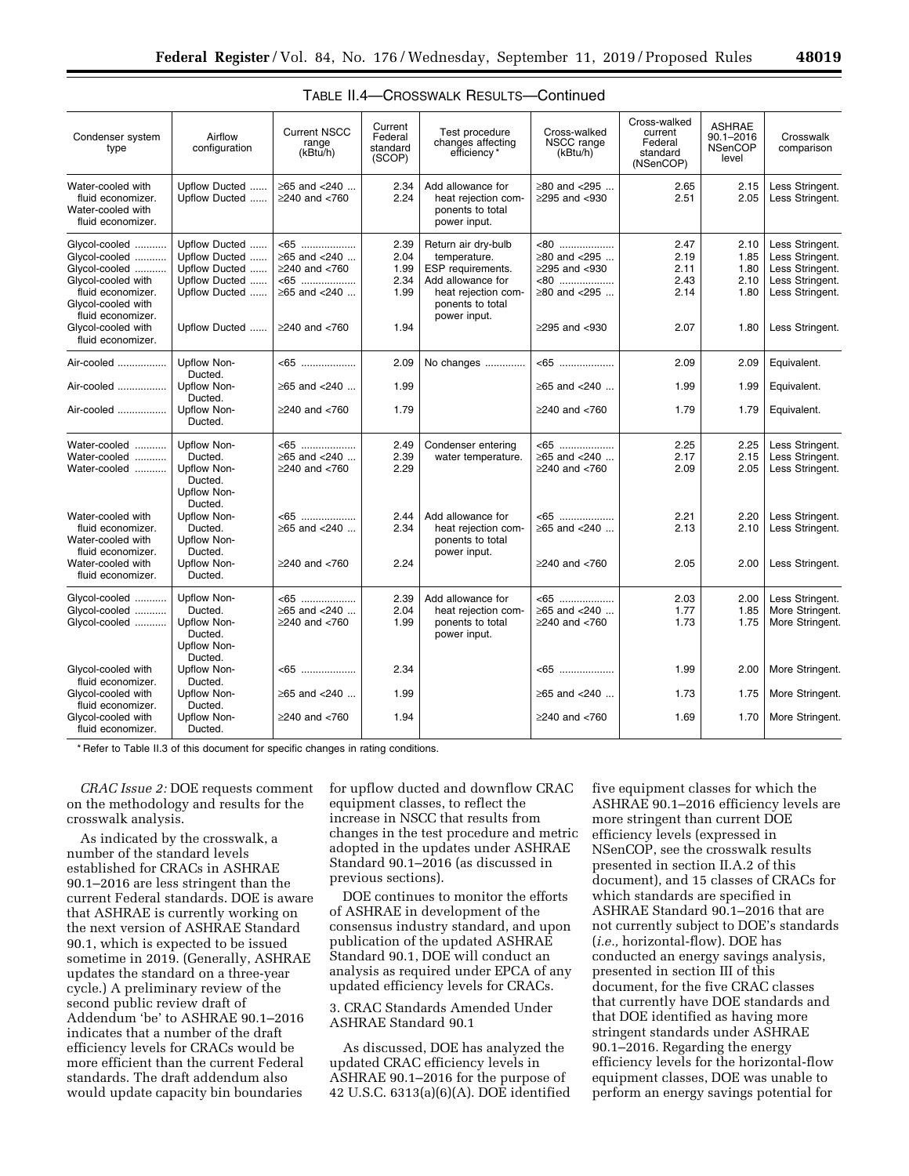| Condenser system<br>type                                                                                                                                    | Airflow<br>configuration                                                                                    | <b>Current NSCC</b><br>range<br>(kBtu/h)                                                 | Current<br>Federal<br>standard<br>(SCOP)     | Test procedure<br>changes affecting<br>efficiency*                                                                                       | Cross-walked<br>NSCC range<br>(kBtu/h)                                                             | Cross-walked<br>current<br>Federal<br>standard<br>(NSenCOP) | <b>ASHRAE</b><br>$90.1 - 2016$<br><b>NSenCOP</b><br>level | Crosswalk<br>comparison                                                                                        |
|-------------------------------------------------------------------------------------------------------------------------------------------------------------|-------------------------------------------------------------------------------------------------------------|------------------------------------------------------------------------------------------|----------------------------------------------|------------------------------------------------------------------------------------------------------------------------------------------|----------------------------------------------------------------------------------------------------|-------------------------------------------------------------|-----------------------------------------------------------|----------------------------------------------------------------------------------------------------------------|
| Water-cooled with<br>fluid economizer.<br>Water-cooled with<br>fluid economizer.                                                                            | Upflow Ducted<br>Upflow Ducted                                                                              | ≥65 and <240<br>$\geq$ 240 and <760                                                      | 2.34<br>2.24                                 | Add allowance for<br>heat rejection com-<br>ponents to total<br>power input.                                                             | ≥80 and <295<br>$\geq$ 295 and <930                                                                | 2.65<br>2.51                                                | 2.15<br>2.05                                              | Less Stringent.<br>Less Stringent.                                                                             |
| Glycol-cooled<br>Glycol-cooled<br>Glycol-cooled<br>Glycol-cooled with<br>fluid economizer.<br>Glycol-cooled with<br>fluid economizer.<br>Glycol-cooled with | Upflow Ducted<br>Upflow Ducted<br>Upflow Ducted<br>Upflow Ducted<br>Upflow Ducted<br>Upflow Ducted          | $<65$<br>≥65 and <240<br>$\geq$ 240 and <760<br>$<65$<br>≥65 and <240<br>$≥240$ and <760 | 2.39<br>2.04<br>1.99<br>2.34<br>1.99<br>1.94 | Return air dry-bulb<br>temperature.<br>ESP requirements.<br>Add allowance for<br>heat rejection com-<br>ponents to total<br>power input. | $<80$<br>≥80 and <295<br>$\geq$ 295 and <930<br>$<80$<br>$\geq$ 80 and <295<br>$\geq$ 295 and <930 | 2.47<br>2.19<br>2.11<br>2.43<br>2.14<br>2.07                | 2.10<br>1.85<br>1.80<br>2.10<br>1.80<br>1.80              | Less Stringent.<br>Less Stringent.<br>Less Stringent.<br>Less Stringent.<br>Less Stringent.<br>Less Stringent. |
| fluid economizer.<br>Air-cooled<br>Air-cooled<br>Air-cooled                                                                                                 | Upflow Non-<br>Ducted.<br>Upflow Non-<br>Ducted.<br>Upflow Non-                                             | $<65$<br>≥65 and <240<br>$≥$ 240 and <760                                                | 2.09<br>1.99<br>1.79                         | No changes                                                                                                                               | $<65$<br>≥65 and <240<br>$\geq$ 240 and <760                                                       | 2.09<br>1.99<br>1.79                                        | 2.09<br>1.99<br>1.79                                      | Equivalent.<br>Equivalent.<br>Equivalent.                                                                      |
| Water-cooled<br>Water-cooled<br>Water-cooled                                                                                                                | Ducted.<br><b>Upflow Non-</b><br>Ducted.<br>Upflow Non-<br>Ducted.                                          | $<65$<br>≥65 and <240<br>$≥$ 240 and <760                                                | 2.49<br>2.39<br>2.29                         | Condenser entering<br>water temperature.                                                                                                 | $<65$<br>≥65 and <240<br>$\geq$ 240 and <760                                                       | 2.25<br>2.17<br>2.09                                        | 2.25<br>2.15<br>2.05                                      | Less Stringent.<br>Less Stringent.<br>Less Stringent.                                                          |
| Water-cooled with<br>fluid economizer.<br>Water-cooled with<br>fluid economizer.<br>Water-cooled with<br>fluid economizer.                                  | Upflow Non-<br>Ducted.<br><b>Upflow Non-</b><br>Ducted.<br>Upflow Non-<br>Ducted.<br>Upflow Non-<br>Ducted. | <65<br>≥65 and <240<br>$\geq$ 240 and <760                                               | 2.44<br>2.34<br>2.24                         | Add allowance for<br>heat rejection com-<br>ponents to total<br>power input.                                                             | $<65$<br>$>65$ and $< 240$<br>$\geq$ 240 and <760                                                  | 2.21<br>2.13<br>2.05                                        | 2.20<br>2.10<br>2.00                                      | Less Stringent.<br>Less Stringent.<br>Less Stringent.                                                          |
| Glycol-cooled<br>Glycol-cooled<br>Glycol-cooled                                                                                                             | Upflow Non-<br>Ducted.<br>Upflow Non-<br>Ducted.<br>Upflow Non-                                             | $<65$<br>≥65 and <240<br>$\geq$ 240 and <760                                             | 2.39<br>2.04<br>1.99                         | Add allowance for<br>heat rejection com-<br>ponents to total<br>power input.                                                             | $<65$<br>≥65 and <240<br>$\geq$ 240 and <760                                                       | 2.03<br>1.77<br>1.73                                        | 2.00<br>1.85<br>1.75                                      | Less Stringent.<br>More Stringent.<br>More Stringent.                                                          |
| Glycol-cooled with<br>fluid economizer.<br>Glycol-cooled with<br>fluid economizer.                                                                          | Ducted.<br>Upflow Non-<br>Ducted.<br>Upflow Non-<br>Ducted.                                                 | $< 65$<br>≥65 and <240                                                                   | 2.34<br>1.99                                 |                                                                                                                                          | $< 65$<br>≥65 and <240                                                                             | 1.99<br>1.73                                                | 2.00<br>1.75                                              | More Stringent.<br>More Stringent.                                                                             |
| Glvcol-cooled with<br>fluid economizer.                                                                                                                     | Upflow Non-<br>Ducted.                                                                                      | $≥$ 240 and <760                                                                         | 1.94                                         |                                                                                                                                          | $\geq$ 240 and <760                                                                                | 1.69                                                        | 1.70                                                      | More Stringent.                                                                                                |

## TABLE II.4—CROSSWALK RESULTS—Continued

\* Refer to Table II.3 of this document for specific changes in rating conditions.

*CRAC Issue 2:* DOE requests comment on the methodology and results for the crosswalk analysis.

As indicated by the crosswalk, a number of the standard levels established for CRACs in ASHRAE 90.1–2016 are less stringent than the current Federal standards. DOE is aware that ASHRAE is currently working on the next version of ASHRAE Standard 90.1, which is expected to be issued sometime in 2019. (Generally, ASHRAE updates the standard on a three-year cycle.) A preliminary review of the second public review draft of Addendum 'be' to ASHRAE 90.1–2016 indicates that a number of the draft efficiency levels for CRACs would be more efficient than the current Federal standards. The draft addendum also would update capacity bin boundaries

for upflow ducted and downflow CRAC equipment classes, to reflect the increase in NSCC that results from changes in the test procedure and metric adopted in the updates under ASHRAE Standard 90.1–2016 (as discussed in previous sections).

DOE continues to monitor the efforts of ASHRAE in development of the consensus industry standard, and upon publication of the updated ASHRAE Standard 90.1, DOE will conduct an analysis as required under EPCA of any updated efficiency levels for CRACs.

3. CRAC Standards Amended Under ASHRAE Standard 90.1

As discussed, DOE has analyzed the updated CRAC efficiency levels in ASHRAE 90.1–2016 for the purpose of 42 U.S.C. 6313(a)(6)(A). DOE identified five equipment classes for which the ASHRAE 90.1–2016 efficiency levels are more stringent than current DOE efficiency levels (expressed in NSenCOP, see the crosswalk results presented in section II.A.2 of this document), and 15 classes of CRACs for which standards are specified in ASHRAE Standard 90.1–2016 that are not currently subject to DOE's standards (*i.e.,* horizontal-flow). DOE has conducted an energy savings analysis, presented in section III of this document, for the five CRAC classes that currently have DOE standards and that DOE identified as having more stringent standards under ASHRAE 90.1–2016. Regarding the energy efficiency levels for the horizontal-flow equipment classes, DOE was unable to perform an energy savings potential for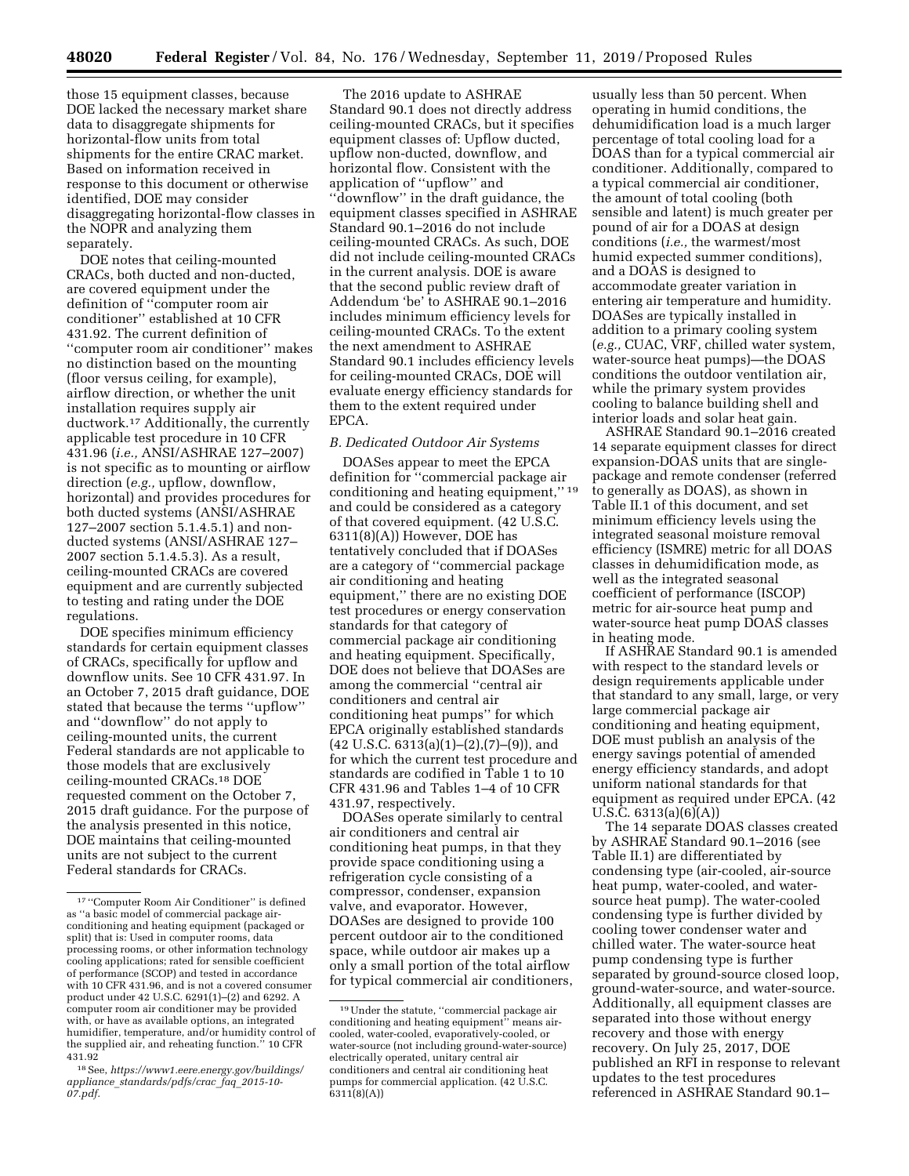those 15 equipment classes, because DOE lacked the necessary market share data to disaggregate shipments for horizontal-flow units from total shipments for the entire CRAC market. Based on information received in response to this document or otherwise identified, DOE may consider disaggregating horizontal-flow classes in the NOPR and analyzing them separately.

DOE notes that ceiling-mounted CRACs, both ducted and non-ducted, are covered equipment under the definition of ''computer room air conditioner'' established at 10 CFR 431.92. The current definition of ''computer room air conditioner'' makes no distinction based on the mounting (floor versus ceiling, for example), airflow direction, or whether the unit installation requires supply air ductwork.17 Additionally, the currently applicable test procedure in 10 CFR 431.96 (*i.e.,* ANSI/ASHRAE 127–2007) is not specific as to mounting or airflow direction (*e.g.,* upflow, downflow, horizontal) and provides procedures for both ducted systems (ANSI/ASHRAE 127–2007 section 5.1.4.5.1) and nonducted systems (ANSI/ASHRAE 127– 2007 section 5.1.4.5.3). As a result, ceiling-mounted CRACs are covered equipment and are currently subjected to testing and rating under the DOE regulations.

DOE specifies minimum efficiency standards for certain equipment classes of CRACs, specifically for upflow and downflow units. See 10 CFR 431.97. In an October 7, 2015 draft guidance, DOE stated that because the terms ''upflow'' and ''downflow'' do not apply to ceiling-mounted units, the current Federal standards are not applicable to those models that are exclusively ceiling-mounted CRACs.18 DOE requested comment on the October 7, 2015 draft guidance. For the purpose of the analysis presented in this notice, DOE maintains that ceiling-mounted units are not subject to the current Federal standards for CRACs.

The 2016 update to ASHRAE Standard 90.1 does not directly address ceiling-mounted CRACs, but it specifies equipment classes of: Upflow ducted, upflow non-ducted, downflow, and horizontal flow. Consistent with the application of ''upflow'' and ''downflow'' in the draft guidance, the equipment classes specified in ASHRAE Standard 90.1–2016 do not include ceiling-mounted CRACs. As such, DOE did not include ceiling-mounted CRACs in the current analysis. DOE is aware that the second public review draft of Addendum 'be' to ASHRAE 90.1–2016 includes minimum efficiency levels for ceiling-mounted CRACs. To the extent the next amendment to ASHRAE Standard 90.1 includes efficiency levels for ceiling-mounted CRACs, DOE will evaluate energy efficiency standards for them to the extent required under EPCA.

#### *B. Dedicated Outdoor Air Systems*

DOASes appear to meet the EPCA definition for ''commercial package air conditioning and heating equipment,'' 19 and could be considered as a category of that covered equipment. (42 U.S.C. 6311(8)(A)) However, DOE has tentatively concluded that if DOASes are a category of ''commercial package air conditioning and heating equipment,'' there are no existing DOE test procedures or energy conservation standards for that category of commercial package air conditioning and heating equipment. Specifically, DOE does not believe that DOASes are among the commercial ''central air conditioners and central air conditioning heat pumps'' for which EPCA originally established standards  $(42 \text{ U.S.C. } 6313(a)(1)–(2),(7)–(9))$ , and for which the current test procedure and standards are codified in Table 1 to 10 CFR 431.96 and Tables 1–4 of 10 CFR 431.97, respectively.

DOASes operate similarly to central air conditioners and central air conditioning heat pumps, in that they provide space conditioning using a refrigeration cycle consisting of a compressor, condenser, expansion valve, and evaporator. However, DOASes are designed to provide 100 percent outdoor air to the conditioned space, while outdoor air makes up a only a small portion of the total airflow for typical commercial air conditioners,

usually less than 50 percent. When operating in humid conditions, the dehumidification load is a much larger percentage of total cooling load for a DOAS than for a typical commercial air conditioner. Additionally, compared to a typical commercial air conditioner, the amount of total cooling (both sensible and latent) is much greater per pound of air for a DOAS at design conditions (*i.e.,* the warmest/most humid expected summer conditions), and a DOAS is designed to accommodate greater variation in entering air temperature and humidity. DOASes are typically installed in addition to a primary cooling system (*e.g.,* CUAC, VRF, chilled water system, water-source heat pumps)—the DOAS conditions the outdoor ventilation air, while the primary system provides cooling to balance building shell and interior loads and solar heat gain.

ASHRAE Standard 90.1–2016 created 14 separate equipment classes for direct expansion-DOAS units that are singlepackage and remote condenser (referred to generally as DOAS), as shown in Table II.1 of this document, and set minimum efficiency levels using the integrated seasonal moisture removal efficiency (ISMRE) metric for all DOAS classes in dehumidification mode, as well as the integrated seasonal coefficient of performance (ISCOP) metric for air-source heat pump and water-source heat pump DOAS classes in heating mode.

If ASHRAE Standard 90.1 is amended with respect to the standard levels or design requirements applicable under that standard to any small, large, or very large commercial package air conditioning and heating equipment, DOE must publish an analysis of the energy savings potential of amended energy efficiency standards, and adopt uniform national standards for that equipment as required under EPCA. (42 U.S.C. 6313(a)(6)(A))

The 14 separate DOAS classes created by ASHRAE Standard 90.1–2016 (see Table II.1) are differentiated by condensing type (air-cooled, air-source heat pump, water-cooled, and watersource heat pump). The water-cooled condensing type is further divided by cooling tower condenser water and chilled water. The water-source heat pump condensing type is further separated by ground-source closed loop, ground-water-source, and water-source. Additionally, all equipment classes are separated into those without energy recovery and those with energy recovery. On July 25, 2017, DOE published an RFI in response to relevant updates to the test procedures referenced in ASHRAE Standard 90.1–

<sup>17</sup> ''Computer Room Air Conditioner'' is defined as ''a basic model of commercial package airconditioning and heating equipment (packaged or split) that is: Used in computer rooms, data processing rooms, or other information technology cooling applications; rated for sensible coefficient of performance (SCOP) and tested in accordance with 10 CFR 431.96, and is not a covered consumer product under 42 U.S.C. 6291(1)–(2) and 6292. A computer room air conditioner may be provided with, or have as available options, an integrated humidifier, temperature, and/or humidity control of the supplied air, and reheating function.'' 10 CFR 431.92

<sup>18</sup>See, *[https://www1.eere.energy.gov/buildings/](https://www1.eere.energy.gov/buildings/appliance_standards/pdfs/crac_faq_2015-10-07.pdf)  appliance*\_*[standards/pdfs/crac](https://www1.eere.energy.gov/buildings/appliance_standards/pdfs/crac_faq_2015-10-07.pdf)*\_*faq*\_*2015-10- [07.pdf.](https://www1.eere.energy.gov/buildings/appliance_standards/pdfs/crac_faq_2015-10-07.pdf)* 

<sup>19</sup>Under the statute, ''commercial package air conditioning and heating equipment'' means aircooled, water-cooled, evaporatively-cooled, or water-source (not including ground-water-source) electrically operated, unitary central air conditioners and central air conditioning heat pumps for commercial application. (42 U.S.C.  $6311(8)(A)$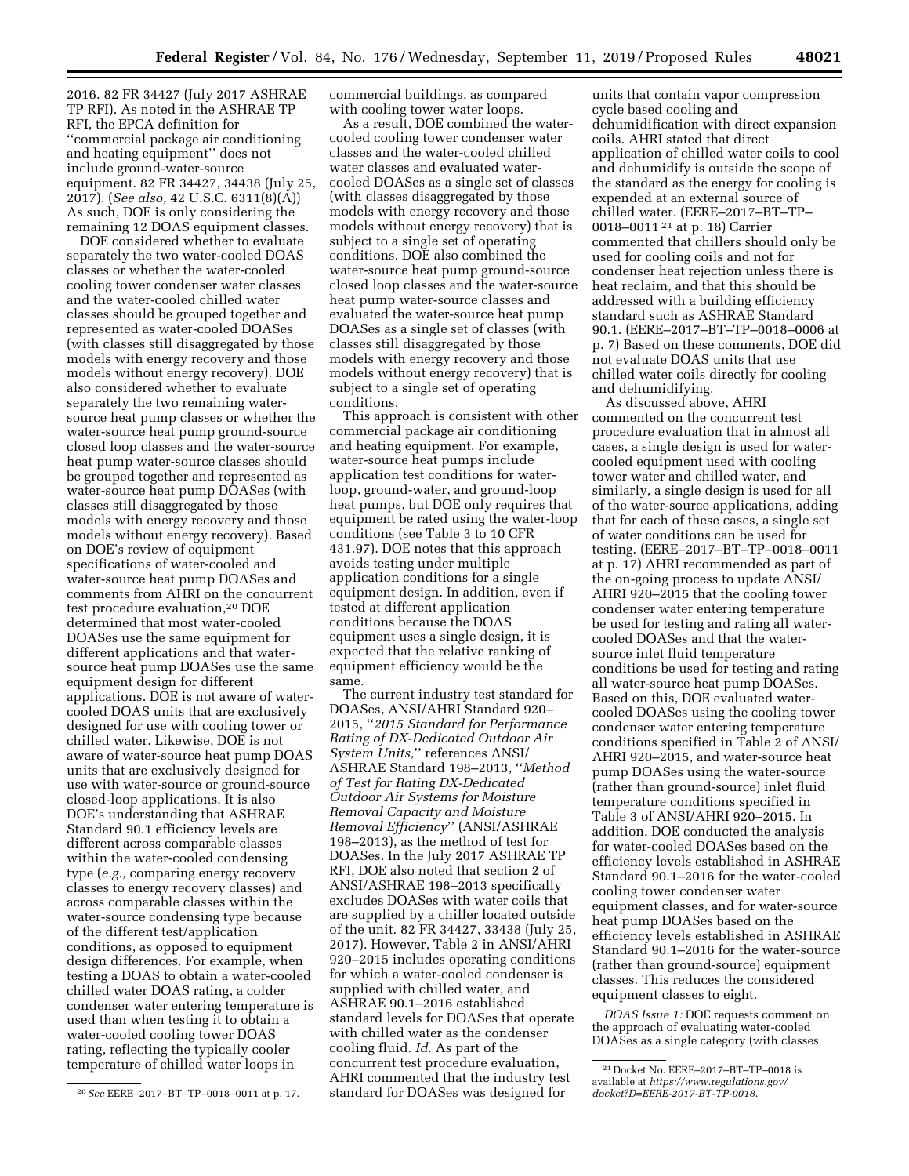2016. 82 FR 34427 (July 2017 ASHRAE TP RFI). As noted in the ASHRAE TP RFI, the EPCA definition for ''commercial package air conditioning and heating equipment'' does not include ground-water-source equipment. 82 FR 34427, 34438 (July 25, 2017). (*See also,* 42 U.S.C. 6311(8)(A)) As such, DOE is only considering the remaining 12 DOAS equipment classes.

DOE considered whether to evaluate separately the two water-cooled DOAS classes or whether the water-cooled cooling tower condenser water classes and the water-cooled chilled water classes should be grouped together and represented as water-cooled DOASes (with classes still disaggregated by those models with energy recovery and those models without energy recovery). DOE also considered whether to evaluate separately the two remaining watersource heat pump classes or whether the water-source heat pump ground-source closed loop classes and the water-source heat pump water-source classes should be grouped together and represented as water-source heat pump DOASes (with classes still disaggregated by those models with energy recovery and those models without energy recovery). Based on DOE's review of equipment specifications of water-cooled and water-source heat pump DOASes and comments from AHRI on the concurrent test procedure evaluation,20 DOE determined that most water-cooled DOASes use the same equipment for different applications and that watersource heat pump DOASes use the same equipment design for different applications. DOE is not aware of watercooled DOAS units that are exclusively designed for use with cooling tower or chilled water. Likewise, DOE is not aware of water-source heat pump DOAS units that are exclusively designed for use with water-source or ground-source closed-loop applications. It is also DOE's understanding that ASHRAE Standard 90.1 efficiency levels are different across comparable classes within the water-cooled condensing type (*e.g.,* comparing energy recovery classes to energy recovery classes) and across comparable classes within the water-source condensing type because of the different test/application conditions, as opposed to equipment design differences. For example, when testing a DOAS to obtain a water-cooled chilled water DOAS rating, a colder condenser water entering temperature is used than when testing it to obtain a water-cooled cooling tower DOAS rating, reflecting the typically cooler temperature of chilled water loops in

commercial buildings, as compared with cooling tower water loops.

As a result, DOE combined the watercooled cooling tower condenser water classes and the water-cooled chilled water classes and evaluated watercooled DOASes as a single set of classes (with classes disaggregated by those models with energy recovery and those models without energy recovery) that is subject to a single set of operating conditions. DOE also combined the water-source heat pump ground-source closed loop classes and the water-source heat pump water-source classes and evaluated the water-source heat pump DOASes as a single set of classes (with classes still disaggregated by those models with energy recovery and those models without energy recovery) that is subject to a single set of operating conditions.

This approach is consistent with other commercial package air conditioning and heating equipment. For example, water-source heat pumps include application test conditions for waterloop, ground-water, and ground-loop heat pumps, but DOE only requires that equipment be rated using the water-loop conditions (see Table 3 to 10 CFR 431.97). DOE notes that this approach avoids testing under multiple application conditions for a single equipment design. In addition, even if tested at different application conditions because the DOAS equipment uses a single design, it is expected that the relative ranking of equipment efficiency would be the same.

The current industry test standard for DOASes, ANSI/AHRI Standard 920– 2015, ''*2015 Standard for Performance Rating of DX-Dedicated Outdoor Air System Units,*'' references ANSI/ ASHRAE Standard 198–2013, ''*Method of Test for Rating DX-Dedicated Outdoor Air Systems for Moisture Removal Capacity and Moisture Removal Efficiency*'' (ANSI/ASHRAE 198–2013), as the method of test for DOASes. In the July 2017 ASHRAE TP RFI, DOE also noted that section 2 of ANSI/ASHRAE 198–2013 specifically excludes DOASes with water coils that are supplied by a chiller located outside of the unit. 82 FR 34427, 33438 (July 25, 2017). However, Table 2 in ANSI/AHRI 920–2015 includes operating conditions for which a water-cooled condenser is supplied with chilled water, and ASHRAE 90.1–2016 established standard levels for DOASes that operate with chilled water as the condenser cooling fluid. *Id.* As part of the concurrent test procedure evaluation, AHRI commented that the industry test standard for DOASes was designed for

units that contain vapor compression cycle based cooling and dehumidification with direct expansion coils. AHRI stated that direct application of chilled water coils to cool and dehumidify is outside the scope of the standard as the energy for cooling is expended at an external source of chilled water. (EERE–2017–BT–TP– 0018–0011 21 at p. 18) Carrier commented that chillers should only be used for cooling coils and not for condenser heat rejection unless there is heat reclaim, and that this should be addressed with a building efficiency standard such as ASHRAE Standard 90.1. (EERE–2017–BT–TP–0018–0006 at p. 7) Based on these comments, DOE did not evaluate DOAS units that use chilled water coils directly for cooling and dehumidifying.

As discussed above, AHRI commented on the concurrent test procedure evaluation that in almost all cases, a single design is used for watercooled equipment used with cooling tower water and chilled water, and similarly, a single design is used for all of the water-source applications, adding that for each of these cases, a single set of water conditions can be used for testing. (EERE–2017–BT–TP–0018–0011 at p. 17) AHRI recommended as part of the on-going process to update ANSI/ AHRI 920–2015 that the cooling tower condenser water entering temperature be used for testing and rating all watercooled DOASes and that the watersource inlet fluid temperature conditions be used for testing and rating all water-source heat pump DOASes. Based on this, DOE evaluated watercooled DOASes using the cooling tower condenser water entering temperature conditions specified in Table 2 of ANSI/ AHRI 920–2015, and water-source heat pump DOASes using the water-source (rather than ground-source) inlet fluid temperature conditions specified in Table 3 of ANSI/AHRI 920–2015. In addition, DOE conducted the analysis for water-cooled DOASes based on the efficiency levels established in ASHRAE Standard 90.1–2016 for the water-cooled cooling tower condenser water equipment classes, and for water-source heat pump DOASes based on the efficiency levels established in ASHRAE Standard 90.1–2016 for the water-source (rather than ground-source) equipment classes. This reduces the considered equipment classes to eight.

*DOAS Issue 1:* DOE requests comment on the approach of evaluating water-cooled DOASes as a single category (with classes

<sup>20</sup>*See* EERE–2017–BT–TP–0018–0011 at p. 17.

<sup>21</sup> Docket No. EERE–2017–BT–TP–0018 is available at *[https://www.regulations.gov/](https://www.regulations.gov/docket?D=EERE-2017-BT-TP-0018)  [docket?D=EERE-2017-BT-TP-0018](https://www.regulations.gov/docket?D=EERE-2017-BT-TP-0018)*.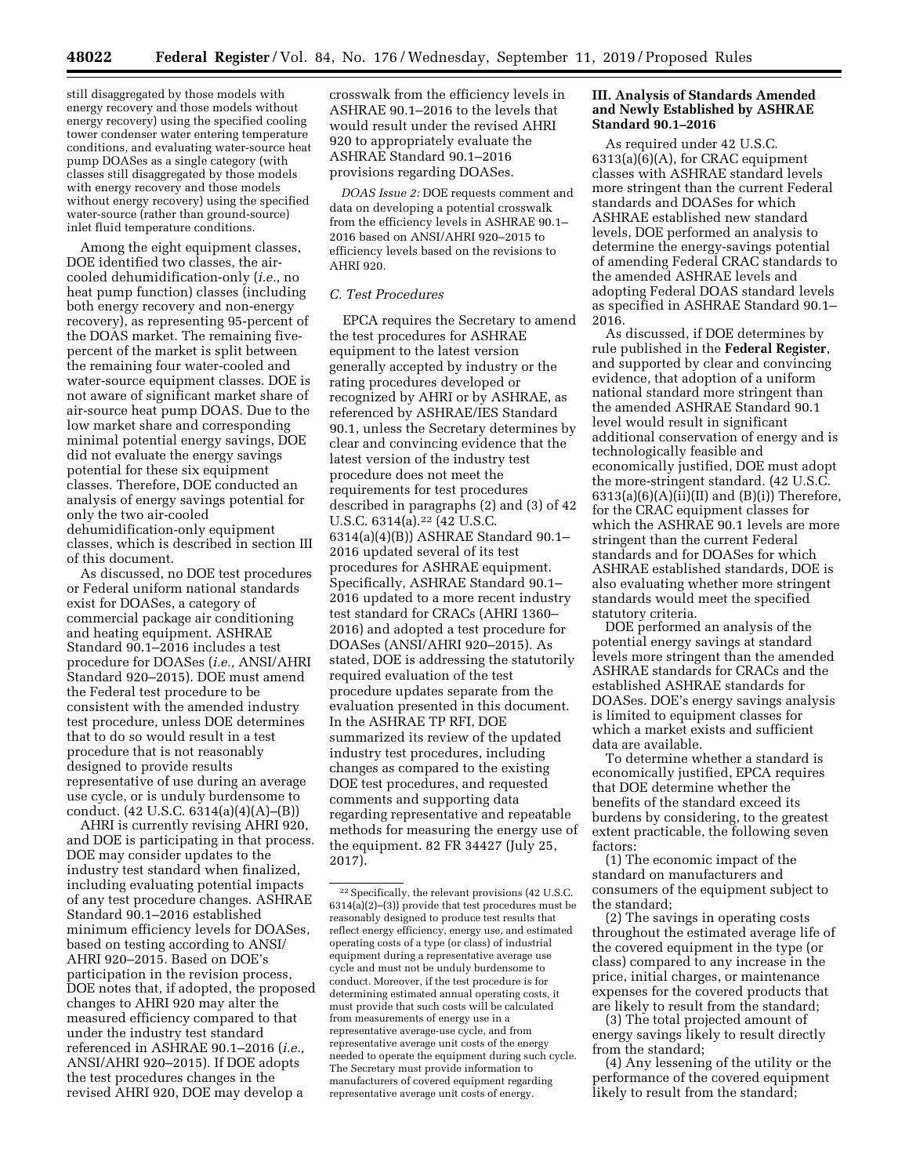still disaggregated by those models with energy recovery and those models without energy recovery) using the specified cooling tower condenser water entering temperature conditions, and evaluating water-source heat pump DOASes as a single category (with classes still disaggregated by those models with energy recovery and those models without energy recovery) using the specified water-source (rather than ground-source) inlet fluid temperature conditions.

Among the eight equipment classes, DOE identified two classes, the aircooled dehumidification-only (*i.e.,* no heat pump function) classes (including both energy recovery and non-energy recovery), as representing 95-percent of the DOAS market. The remaining fivepercent of the market is split between the remaining four water-cooled and water-source equipment classes. DOE is not aware of significant market share of air-source heat pump DOAS. Due to the low market share and corresponding minimal potential energy savings, DOE did not evaluate the energy savings potential for these six equipment classes. Therefore, DOE conducted an analysis of energy savings potential for only the two air-cooled dehumidification-only equipment classes, which is described in section III of this document.

As discussed, no DOE test procedures or Federal uniform national standards exist for DOASes, a category of commercial package air conditioning and heating equipment. ASHRAE Standard 90.1–2016 includes a test procedure for DOASes (*i.e.,* ANSI/AHRI Standard 920–2015). DOE must amend the Federal test procedure to be consistent with the amended industry test procedure, unless DOE determines that to do so would result in a test procedure that is not reasonably designed to provide results representative of use during an average use cycle, or is unduly burdensome to conduct. (42 U.S.C. 6314(a)(4)(A)–(B))

AHRI is currently revising AHRI 920, and DOE is participating in that process. DOE may consider updates to the industry test standard when finalized, including evaluating potential impacts of any test procedure changes. ASHRAE Standard 90.1–2016 established minimum efficiency levels for DOASes, based on testing according to ANSI/ AHRI 920–2015. Based on DOE's participation in the revision process, DOE notes that, if adopted, the proposed changes to AHRI 920 may alter the measured efficiency compared to that under the industry test standard referenced in ASHRAE 90.1–2016 (*i.e.,*  ANSI/AHRI 920–2015). If DOE adopts the test procedures changes in the revised AHRI 920, DOE may develop a

crosswalk from the efficiency levels in ASHRAE 90.1–2016 to the levels that would result under the revised AHRI 920 to appropriately evaluate the ASHRAE Standard 90.1–2016 provisions regarding DOASes.

*DOAS Issue 2:* DOE requests comment and data on developing a potential crosswalk from the efficiency levels in ASHRAE 90.1– 2016 based on ANSI/AHRI 920–2015 to efficiency levels based on the revisions to AHRI 920.

## *C. Test Procedures*

EPCA requires the Secretary to amend the test procedures for ASHRAE equipment to the latest version generally accepted by industry or the rating procedures developed or recognized by AHRI or by ASHRAE, as referenced by ASHRAE/IES Standard 90.1, unless the Secretary determines by clear and convincing evidence that the latest version of the industry test procedure does not meet the requirements for test procedures described in paragraphs (2) and (3) of 42 U.S.C. 6314(a).22 (42 U.S.C. 6314(a)(4)(B)) ASHRAE Standard 90.1– 2016 updated several of its test procedures for ASHRAE equipment. Specifically, ASHRAE Standard 90.1– 2016 updated to a more recent industry test standard for CRACs (AHRI 1360– 2016) and adopted a test procedure for DOASes (ANSI/AHRI 920–2015). As stated, DOE is addressing the statutorily required evaluation of the test procedure updates separate from the evaluation presented in this document. In the ASHRAE TP RFI, DOE summarized its review of the updated industry test procedures, including changes as compared to the existing DOE test procedures, and requested comments and supporting data regarding representative and repeatable methods for measuring the energy use of the equipment. 82 FR 34427 (July 25, 2017).

## **III. Analysis of Standards Amended and Newly Established by ASHRAE Standard 90.1–2016**

As required under 42 U.S.C. 6313(a)(6)(A), for CRAC equipment classes with ASHRAE standard levels more stringent than the current Federal standards and DOASes for which ASHRAE established new standard levels, DOE performed an analysis to determine the energy-savings potential of amending Federal CRAC standards to the amended ASHRAE levels and adopting Federal DOAS standard levels as specified in ASHRAE Standard 90.1– 2016.

As discussed, if DOE determines by rule published in the **Federal Register**, and supported by clear and convincing evidence, that adoption of a uniform national standard more stringent than the amended ASHRAE Standard 90.1 level would result in significant additional conservation of energy and is technologically feasible and economically justified, DOE must adopt the more-stringent standard. (42 U.S.C.  $6313(a)(6)(A)(ii)(II)$  and  $(B)(i)$ ) Therefore, for the CRAC equipment classes for which the ASHRAE 90.1 levels are more stringent than the current Federal standards and for DOASes for which ASHRAE established standards, DOE is also evaluating whether more stringent standards would meet the specified statutory criteria.

DOE performed an analysis of the potential energy savings at standard levels more stringent than the amended ASHRAE standards for CRACs and the established ASHRAE standards for DOASes. DOE's energy savings analysis is limited to equipment classes for which a market exists and sufficient data are available.

To determine whether a standard is economically justified, EPCA requires that DOE determine whether the benefits of the standard exceed its burdens by considering, to the greatest extent practicable, the following seven factors:

(1) The economic impact of the standard on manufacturers and consumers of the equipment subject to the standard;

(2) The savings in operating costs throughout the estimated average life of the covered equipment in the type (or class) compared to any increase in the price, initial charges, or maintenance expenses for the covered products that are likely to result from the standard;

(3) The total projected amount of energy savings likely to result directly from the standard;

(4) Any lessening of the utility or the performance of the covered equipment likely to result from the standard;

<sup>22</sup>Specifically, the relevant provisions (42 U.S.C.  $6314(a)(2)$ –(3)) provide that test procedures must be reasonably designed to produce test results that reflect energy efficiency, energy use, and estimated operating costs of a type (or class) of industrial equipment during a representative average use cycle and must not be unduly burdensome to conduct. Moreover, if the test procedure is for determining estimated annual operating costs, it must provide that such costs will be calculated from measurements of energy use in a representative average-use cycle, and from representative average unit costs of the energy needed to operate the equipment during such cycle. The Secretary must provide information to manufacturers of covered equipment regarding representative average unit costs of energy.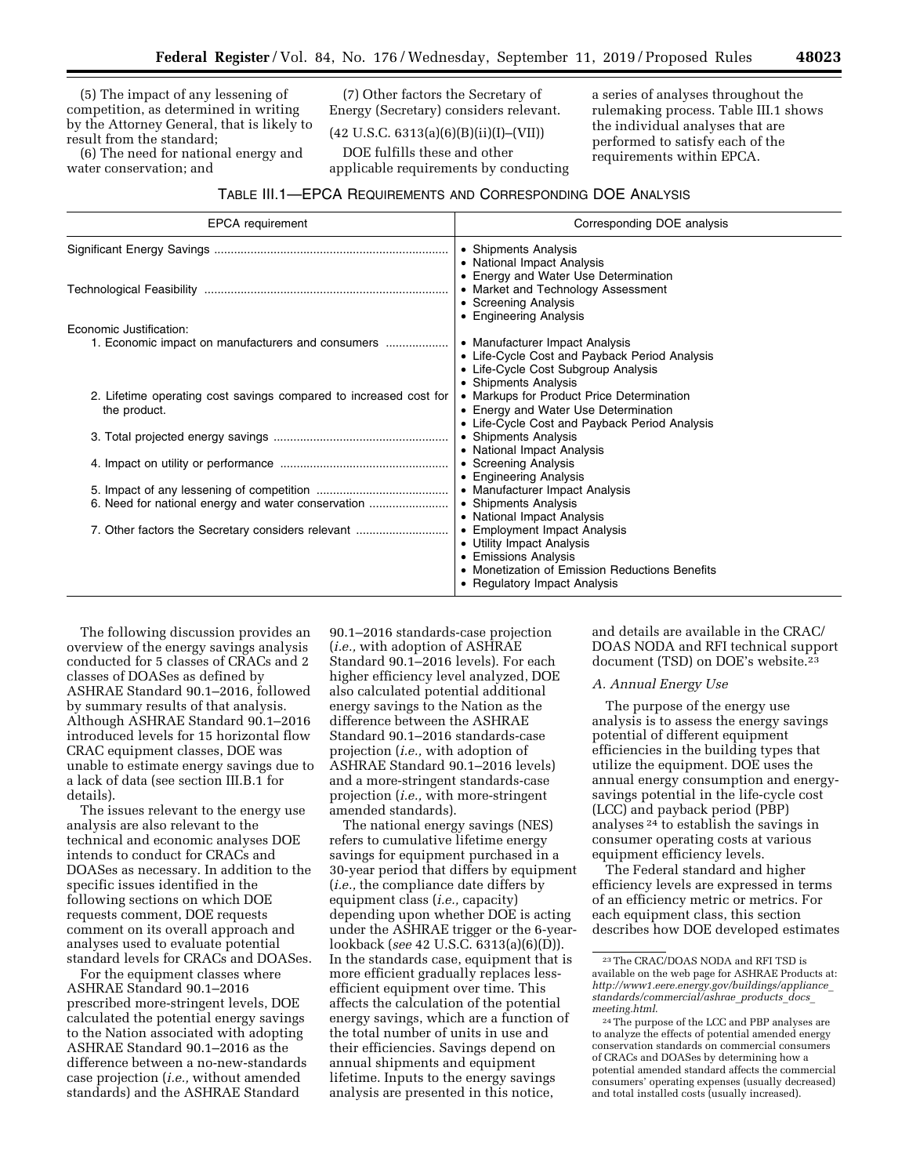(5) The impact of any lessening of competition, as determined in writing by the Attorney General, that is likely to result from the standard;

(6) The need for national energy and water conservation; and

(7) Other factors the Secretary of Energy (Secretary) considers relevant.

## $(42 \text{ U.S.C. } 6313(a)(6)(B)(ii)(I)–(VII))$

DOE fulfills these and other applicable requirements by conducting a series of analyses throughout the rulemaking process. Table III.1 shows the individual analyses that are performed to satisfy each of the requirements within EPCA.

## TABLE III.1—EPCA REQUIREMENTS AND CORRESPONDING DOE ANALYSIS

| <b>EPCA</b> requirement                                                           | Corresponding DOE analysis                                                                                                                                          |
|-----------------------------------------------------------------------------------|---------------------------------------------------------------------------------------------------------------------------------------------------------------------|
|                                                                                   | • Shipments Analysis<br>• National Impact Analysis<br>• Energy and Water Use Determination                                                                          |
|                                                                                   | • Market and Technology Assessment<br>• Screening Analysis<br>• Engineering Analysis                                                                                |
| Economic Justification:<br>1. Economic impact on manufacturers and consumers      | • Manufacturer Impact Analysis<br>• Life-Cycle Cost and Payback Period Analysis<br>• Life-Cycle Cost Subgroup Analysis                                              |
| 2. Lifetime operating cost savings compared to increased cost for<br>the product. | • Shipments Analysis<br>• Markups for Product Price Determination<br>• Energy and Water Use Determination<br>• Life-Cycle Cost and Payback Period Analysis          |
|                                                                                   | • Shipments Analysis<br>• National Impact Analysis                                                                                                                  |
|                                                                                   | • Screening Analysis<br>• Engineering Analysis                                                                                                                      |
| 6. Need for national energy and water conservation                                | • Manufacturer Impact Analysis<br>• Shipments Analysis<br>• National Impact Analysis                                                                                |
| 7. Other factors the Secretary considers relevant                                 | • Employment Impact Analysis<br>• Utility Impact Analysis<br>• Emissions Analysis<br>• Monetization of Emission Reductions Benefits<br>• Regulatory Impact Analysis |

The following discussion provides an overview of the energy savings analysis conducted for 5 classes of CRACs and 2 classes of DOASes as defined by ASHRAE Standard 90.1–2016, followed by summary results of that analysis. Although ASHRAE Standard 90.1–2016 introduced levels for 15 horizontal flow CRAC equipment classes, DOE was unable to estimate energy savings due to a lack of data (see section III.B.1 for details).

The issues relevant to the energy use analysis are also relevant to the technical and economic analyses DOE intends to conduct for CRACs and DOASes as necessary. In addition to the specific issues identified in the following sections on which DOE requests comment, DOE requests comment on its overall approach and analyses used to evaluate potential standard levels for CRACs and DOASes.

For the equipment classes where ASHRAE Standard 90.1–2016 prescribed more-stringent levels, DOE calculated the potential energy savings to the Nation associated with adopting ASHRAE Standard 90.1–2016 as the difference between a no-new-standards case projection (*i.e.,* without amended standards) and the ASHRAE Standard

90.1–2016 standards-case projection (*i.e.,* with adoption of ASHRAE Standard 90.1–2016 levels). For each higher efficiency level analyzed, DOE also calculated potential additional energy savings to the Nation as the difference between the ASHRAE Standard 90.1–2016 standards-case projection (*i.e.,* with adoption of ASHRAE Standard 90.1–2016 levels) and a more-stringent standards-case projection (*i.e.,* with more-stringent amended standards).

The national energy savings (NES) refers to cumulative lifetime energy savings for equipment purchased in a 30-year period that differs by equipment (*i.e.,* the compliance date differs by equipment class (*i.e.,* capacity) depending upon whether DOE is acting under the ASHRAE trigger or the 6-yearlookback (*see* 42 U.S.C. 6313(a)(6)(D)). In the standards case, equipment that is more efficient gradually replaces lessefficient equipment over time. This affects the calculation of the potential energy savings, which are a function of the total number of units in use and their efficiencies. Savings depend on annual shipments and equipment lifetime. Inputs to the energy savings analysis are presented in this notice,

and details are available in the CRAC/ DOAS NODA and RFI technical support document (TSD) on DOE's website.23

## *A. Annual Energy Use*

The purpose of the energy use analysis is to assess the energy savings potential of different equipment efficiencies in the building types that utilize the equipment. DOE uses the annual energy consumption and energysavings potential in the life-cycle cost (LCC) and payback period (PBP) analyses 24 to establish the savings in consumer operating costs at various equipment efficiency levels.

The Federal standard and higher efficiency levels are expressed in terms of an efficiency metric or metrics. For each equipment class, this section describes how DOE developed estimates

<sup>23</sup>The CRAC/DOAS NODA and RFI TSD is available on the web page for ASHRAE Products at: *[http://www1.eere.energy.gov/buildings/appliance](http://www1.eere.energy.gov/buildings/appliance_standards/commercial/ashrae_products_docs_meeting.html)*\_ *[standards/commercial/ashrae](http://www1.eere.energy.gov/buildings/appliance_standards/commercial/ashrae_products_docs_meeting.html)*\_*products*\_*docs*\_ *[meeting.html](http://www1.eere.energy.gov/buildings/appliance_standards/commercial/ashrae_products_docs_meeting.html)*.

<sup>24</sup>The purpose of the LCC and PBP analyses are to analyze the effects of potential amended energy conservation standards on commercial consumers of CRACs and DOASes by determining how a potential amended standard affects the commercial consumers' operating expenses (usually decreased) and total installed costs (usually increased).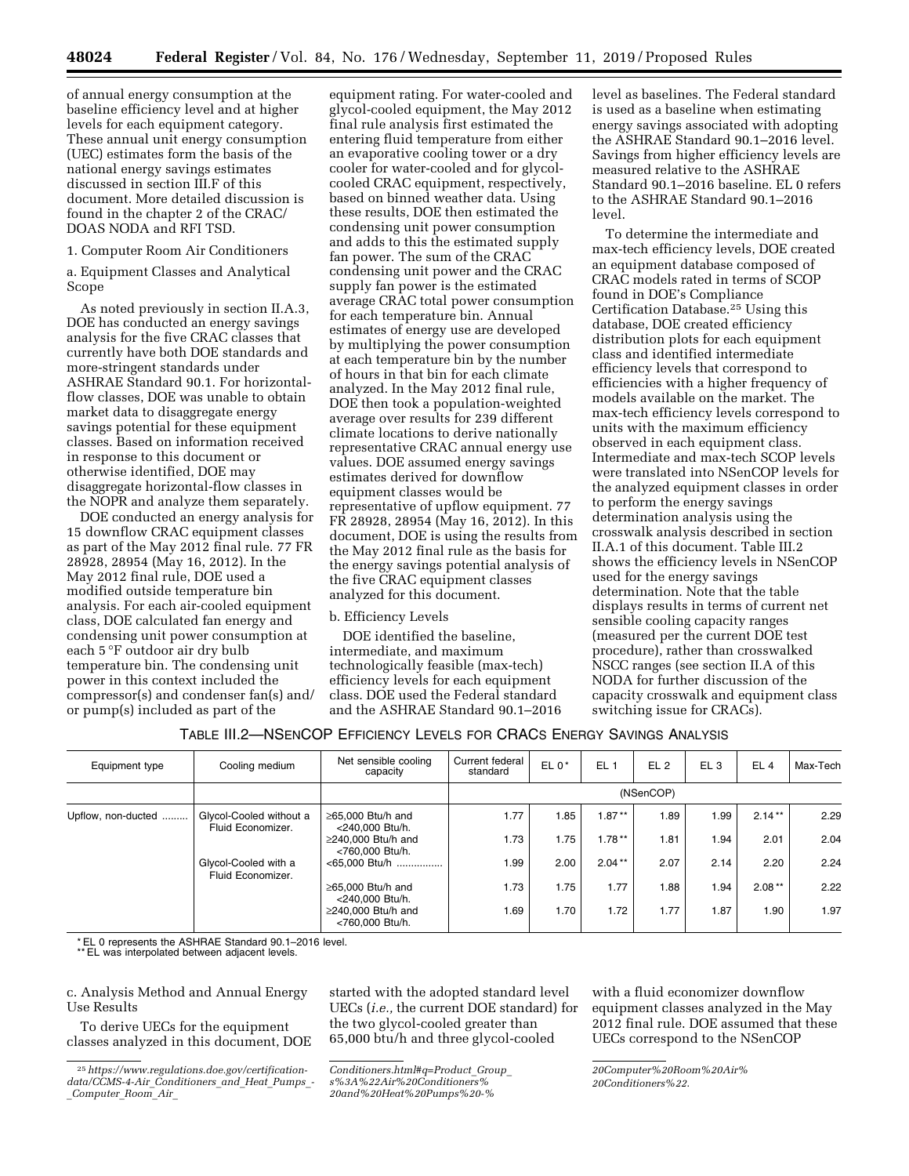of annual energy consumption at the baseline efficiency level and at higher levels for each equipment category. These annual unit energy consumption (UEC) estimates form the basis of the national energy savings estimates discussed in section III.F of this document. More detailed discussion is found in the chapter 2 of the CRAC/ DOAS NODA and RFI TSD.

1. Computer Room Air Conditioners

a. Equipment Classes and Analytical Scope

As noted previously in section II.A.3, DOE has conducted an energy savings analysis for the five CRAC classes that currently have both DOE standards and more-stringent standards under ASHRAE Standard 90.1. For horizontalflow classes, DOE was unable to obtain market data to disaggregate energy savings potential for these equipment classes. Based on information received in response to this document or otherwise identified, DOE may disaggregate horizontal-flow classes in the NOPR and analyze them separately.

DOE conducted an energy analysis for 15 downflow CRAC equipment classes as part of the May 2012 final rule. 77 FR 28928, 28954 (May 16, 2012). In the May 2012 final rule, DOE used a modified outside temperature bin analysis. For each air-cooled equipment class, DOE calculated fan energy and condensing unit power consumption at each 5 °F outdoor air dry bulb temperature bin. The condensing unit power in this context included the compressor(s) and condenser fan(s) and/ or pump(s) included as part of the

equipment rating. For water-cooled and glycol-cooled equipment, the May 2012 final rule analysis first estimated the entering fluid temperature from either an evaporative cooling tower or a dry cooler for water-cooled and for glycolcooled CRAC equipment, respectively, based on binned weather data. Using these results, DOE then estimated the condensing unit power consumption and adds to this the estimated supply fan power. The sum of the CRAC condensing unit power and the CRAC supply fan power is the estimated average CRAC total power consumption for each temperature bin. Annual estimates of energy use are developed by multiplying the power consumption at each temperature bin by the number of hours in that bin for each climate analyzed. In the May 2012 final rule, DOE then took a population-weighted average over results for 239 different climate locations to derive nationally representative CRAC annual energy use values. DOE assumed energy savings estimates derived for downflow equipment classes would be representative of upflow equipment. 77 FR 28928, 28954 (May 16, 2012). In this document, DOE is using the results from the May 2012 final rule as the basis for the energy savings potential analysis of the five CRAC equipment classes analyzed for this document.

#### b. Efficiency Levels

DOE identified the baseline, intermediate, and maximum technologically feasible (max-tech) efficiency levels for each equipment class. DOE used the Federal standard and the ASHRAE Standard 90.1–2016 level as baselines. The Federal standard is used as a baseline when estimating energy savings associated with adopting the ASHRAE Standard 90.1–2016 level. Savings from higher efficiency levels are measured relative to the ASHRAE Standard 90.1–2016 baseline. EL 0 refers to the ASHRAE Standard 90.1–2016 level.

To determine the intermediate and max-tech efficiency levels, DOE created an equipment database composed of CRAC models rated in terms of SCOP found in DOE's Compliance Certification Database.25 Using this database, DOE created efficiency distribution plots for each equipment class and identified intermediate efficiency levels that correspond to efficiencies with a higher frequency of models available on the market. The max-tech efficiency levels correspond to units with the maximum efficiency observed in each equipment class. Intermediate and max-tech SCOP levels were translated into NSenCOP levels for the analyzed equipment classes in order to perform the energy savings determination analysis using the crosswalk analysis described in section II.A.1 of this document. Table III.2 shows the efficiency levels in NSenCOP used for the energy savings determination. Note that the table displays results in terms of current net sensible cooling capacity ranges (measured per the current DOE test procedure), rather than crosswalked NSCC ranges (see section II.A of this NODA for further discussion of the capacity crosswalk and equipment class switching issue for CRACs).

## TABLE III.2—NSENCOP EFFICIENCY LEVELS FOR CRACS ENERGY SAVINGS ANALYSIS

| Equipment type     | Cooling medium                               | Net sensible cooling<br>capacity            | Current federal<br>standard | $EL 0*$ | EL <sub>1</sub> | EL <sub>2</sub> | EL <sub>3</sub> | EL <sub>4</sub> | Max-Tech |
|--------------------|----------------------------------------------|---------------------------------------------|-----------------------------|---------|-----------------|-----------------|-----------------|-----------------|----------|
|                    |                                              |                                             |                             |         |                 | (NSenCOP)       |                 |                 |          |
| Upflow, non-ducted | Glycol-Cooled without a<br>Fluid Economizer. | $\geq$ 65.000 Btu/h and<br><240.000 Btu/h.  | 1.77                        | 1.85    | $1.87**$        | 1.89            | 1.99            | $2.14***$       | 2.29     |
|                    |                                              | $\geq$ 240.000 Btu/h and<br><760.000 Btu/h. | 1.73                        | 1.75    | $1.78***$       | 1.81            | 1.94            | 2.01            | 2.04     |
|                    | Glycol-Cooled with a<br>Fluid Economizer.    | <65,000 Btu/h                               | 1.99                        | 2.00    | $2.04***$       | 2.07            | 2.14            | 2.20            | 2.24     |
|                    |                                              | $\geq$ 65.000 Btu/h and<br><240.000 Btu/h.  | 1.73                        | 1.75    | 1.77            | 1.88            | 1.94            | $2.08***$       | 2.22     |
|                    |                                              | $\geq$ 240.000 Btu/h and<br><760.000 Btu/h. | 1.69                        | 1.70    | 1.72            | 1.77            | 1.87            | 1.90            | 1.97     |

\* EL 0 represents the ASHRAE Standard 90.1–2016 level.

\*\* EL was interpolated between adjacent levels.

c. Analysis Method and Annual Energy Use Results

To derive UECs for the equipment classes analyzed in this document, DOE

started with the adopted standard level UECs (*i.e.,* the current DOE standard) for the two glycol-cooled greater than 65,000 btu/h and three glycol-cooled

*[20and%20Heat%20Pumps%20-%](https://www.regulations.doe.gov/certification-data/CCMS-4-Air_Conditioners_and_Heat_Pumps_-_Computer_Room_Air_Conditioners.html#q=Product_Group_s%3A%22Air%20Conditioners%20and%20Heat%20Pumps%20-%20Computer%20Room%20Air%20Conditioners%22)*

with a fluid economizer downflow equipment classes analyzed in the May 2012 final rule. DOE assumed that these UECs correspond to the NSenCOP

<sup>25</sup>*[https://www.regulations.doe.gov/certification](https://www.regulations.doe.gov/certification-data/CCMS-4-Air_Conditioners_and_Heat_Pumps_-_Computer_Room_Air_Conditioners.html#q=Product_Group_s%3A%22Air%20Conditioners%20and%20Heat%20Pumps%20-%20Computer%20Room%20Air%20Conditioners%22)[data/CCMS-4-Air](https://www.regulations.doe.gov/certification-data/CCMS-4-Air_Conditioners_and_Heat_Pumps_-_Computer_Room_Air_Conditioners.html#q=Product_Group_s%3A%22Air%20Conditioners%20and%20Heat%20Pumps%20-%20Computer%20Room%20Air%20Conditioners%22)*\_*Conditioners*\_*and*\_*Heat*\_*Pumps*\_*-*  \_*[Computer](https://www.regulations.doe.gov/certification-data/CCMS-4-Air_Conditioners_and_Heat_Pumps_-_Computer_Room_Air_Conditioners.html#q=Product_Group_s%3A%22Air%20Conditioners%20and%20Heat%20Pumps%20-%20Computer%20Room%20Air%20Conditioners%22)*\_*Room*\_*Air*\_

*[Conditioners.html#q=Product](https://www.regulations.doe.gov/certification-data/CCMS-4-Air_Conditioners_and_Heat_Pumps_-_Computer_Room_Air_Conditioners.html#q=Product_Group_s%3A%22Air%20Conditioners%20and%20Heat%20Pumps%20-%20Computer%20Room%20Air%20Conditioners%22)*\_*Group*\_

*[s%3A%22Air%20Conditioners%](https://www.regulations.doe.gov/certification-data/CCMS-4-Air_Conditioners_and_Heat_Pumps_-_Computer_Room_Air_Conditioners.html#q=Product_Group_s%3A%22Air%20Conditioners%20and%20Heat%20Pumps%20-%20Computer%20Room%20Air%20Conditioners%22)*

*[<sup>20</sup>Computer%20Room%20Air%](https://www.regulations.doe.gov/certification-data/CCMS-4-Air_Conditioners_and_Heat_Pumps_-_Computer_Room_Air_Conditioners.html#q=Product_Group_s%3A%22Air%20Conditioners%20and%20Heat%20Pumps%20-%20Computer%20Room%20Air%20Conditioners%22) [20Conditioners%22](https://www.regulations.doe.gov/certification-data/CCMS-4-Air_Conditioners_and_Heat_Pumps_-_Computer_Room_Air_Conditioners.html#q=Product_Group_s%3A%22Air%20Conditioners%20and%20Heat%20Pumps%20-%20Computer%20Room%20Air%20Conditioners%22)*.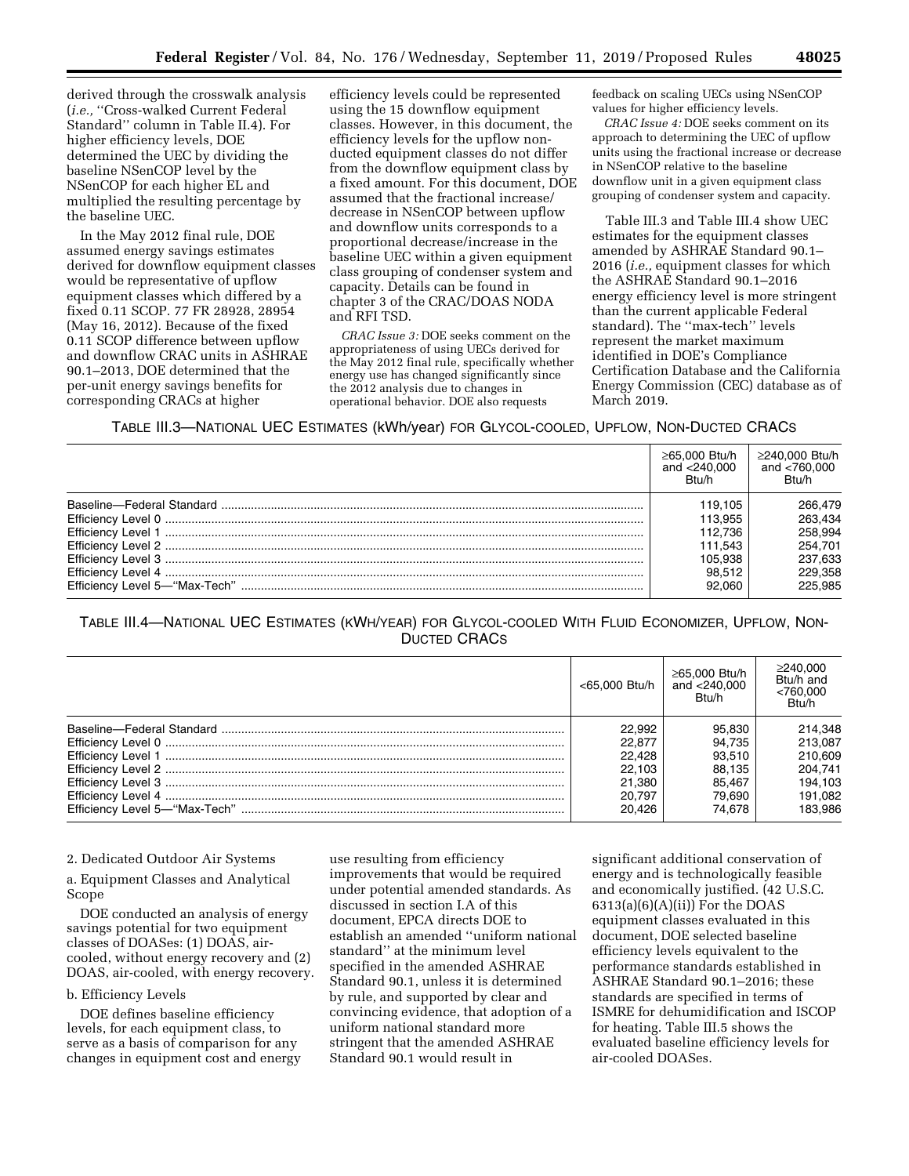derived through the crosswalk analysis (*i.e.,* ''Cross-walked Current Federal Standard'' column in Table II.4). For higher efficiency levels, DOE determined the UEC by dividing the baseline NSenCOP level by the NSenCOP for each higher EL and multiplied the resulting percentage by the baseline UEC.

In the May 2012 final rule, DOE assumed energy savings estimates derived for downflow equipment classes would be representative of upflow equipment classes which differed by a fixed 0.11 SCOP. 77 FR 28928, 28954 (May 16, 2012). Because of the fixed 0.11 SCOP difference between upflow and downflow CRAC units in ASHRAE 90.1–2013, DOE determined that the per-unit energy savings benefits for corresponding CRACs at higher

efficiency levels could be represented using the 15 downflow equipment classes. However, in this document, the efficiency levels for the upflow nonducted equipment classes do not differ from the downflow equipment class by a fixed amount. For this document, DOE assumed that the fractional increase/ decrease in NSenCOP between upflow and downflow units corresponds to a proportional decrease/increase in the baseline UEC within a given equipment class grouping of condenser system and capacity. Details can be found in chapter 3 of the CRAC/DOAS NODA and RFI TSD.

*CRAC Issue 3:* DOE seeks comment on the appropriateness of using UECs derived for the May 2012 final rule, specifically whether energy use has changed significantly since the 2012 analysis due to changes in operational behavior. DOE also requests

feedback on scaling UECs using NSenCOP values for higher efficiency levels.

*CRAC Issue 4:* DOE seeks comment on its approach to determining the UEC of upflow units using the fractional increase or decrease in NSenCOP relative to the baseline downflow unit in a given equipment class grouping of condenser system and capacity.

Table III.3 and Table III.4 show UEC estimates for the equipment classes amended by ASHRAE Standard 90.1– 2016 (*i.e.,* equipment classes for which the ASHRAE Standard 90.1–2016 energy efficiency level is more stringent than the current applicable Federal standard). The ''max-tech'' levels represent the market maximum identified in DOE's Compliance Certification Database and the California Energy Commission (CEC) database as of March 2019.

TABLE III.3—NATIONAL UEC ESTIMATES (kWh/year) FOR GLYCOL-COOLED, UPFLOW, NON-DUCTED CRACS

| $\geq 65.000$ Btu/h<br>and $<$ 240.000<br>B <sub>tu/h</sub> | ≥240.000 Btu/h<br>and $< 760.000$<br>B <sub>tu</sub> /h |
|-------------------------------------------------------------|---------------------------------------------------------|
| 119.105                                                     | 266,479                                                 |
| 113.955                                                     | 263.434                                                 |
| 112.736                                                     | 258.994                                                 |
| 111.543                                                     | 254.701                                                 |
| 105.938                                                     | 237.633                                                 |
| 98.512                                                      | 229.358                                                 |
| 92.060                                                      | 225.985                                                 |

TABLE III.4—NATIONAL UEC ESTIMATES (KWH/YEAR) FOR GLYCOL-COOLED WITH FLUID ECONOMIZER, UPFLOW, NON-DUCTED CRACS

| <65.000 Btu/h | ≥65.000 Btu/h<br>and $<$ 240,000<br>Btu/h | ≥240.000<br>Btu/h and<br>< 760.000<br>B <sub>tu/h</sub> |
|---------------|-------------------------------------------|---------------------------------------------------------|
| 22.992        | 95.830                                    | 214,348                                                 |
| 22.877        | 94.735                                    | 213.087                                                 |
| 22.428        | 93.510                                    | 210,609                                                 |
| 22.103        | 88.135                                    | 204.741                                                 |
| 21.380        | 85.467                                    | 194.103                                                 |
| 20.797        | 79.690                                    | 191.082                                                 |
| 20.426        | 74.678                                    | 183.986                                                 |

#### 2. Dedicated Outdoor Air Systems

a. Equipment Classes and Analytical Scope

DOE conducted an analysis of energy savings potential for two equipment classes of DOASes: (1) DOAS, aircooled, without energy recovery and (2) DOAS, air-cooled, with energy recovery.

#### b. Efficiency Levels

DOE defines baseline efficiency levels, for each equipment class, to serve as a basis of comparison for any changes in equipment cost and energy use resulting from efficiency improvements that would be required under potential amended standards. As discussed in section I.A of this document, EPCA directs DOE to establish an amended ''uniform national standard'' at the minimum level specified in the amended ASHRAE Standard 90.1, unless it is determined by rule, and supported by clear and convincing evidence, that adoption of a uniform national standard more stringent that the amended ASHRAE Standard 90.1 would result in

significant additional conservation of energy and is technologically feasible and economically justified. (42 U.S.C.  $6313(a)(6)(A)(ii)$  For the DOAS equipment classes evaluated in this document, DOE selected baseline efficiency levels equivalent to the performance standards established in ASHRAE Standard 90.1–2016; these standards are specified in terms of ISMRE for dehumidification and ISCOP for heating. Table III.5 shows the evaluated baseline efficiency levels for air-cooled DOASes.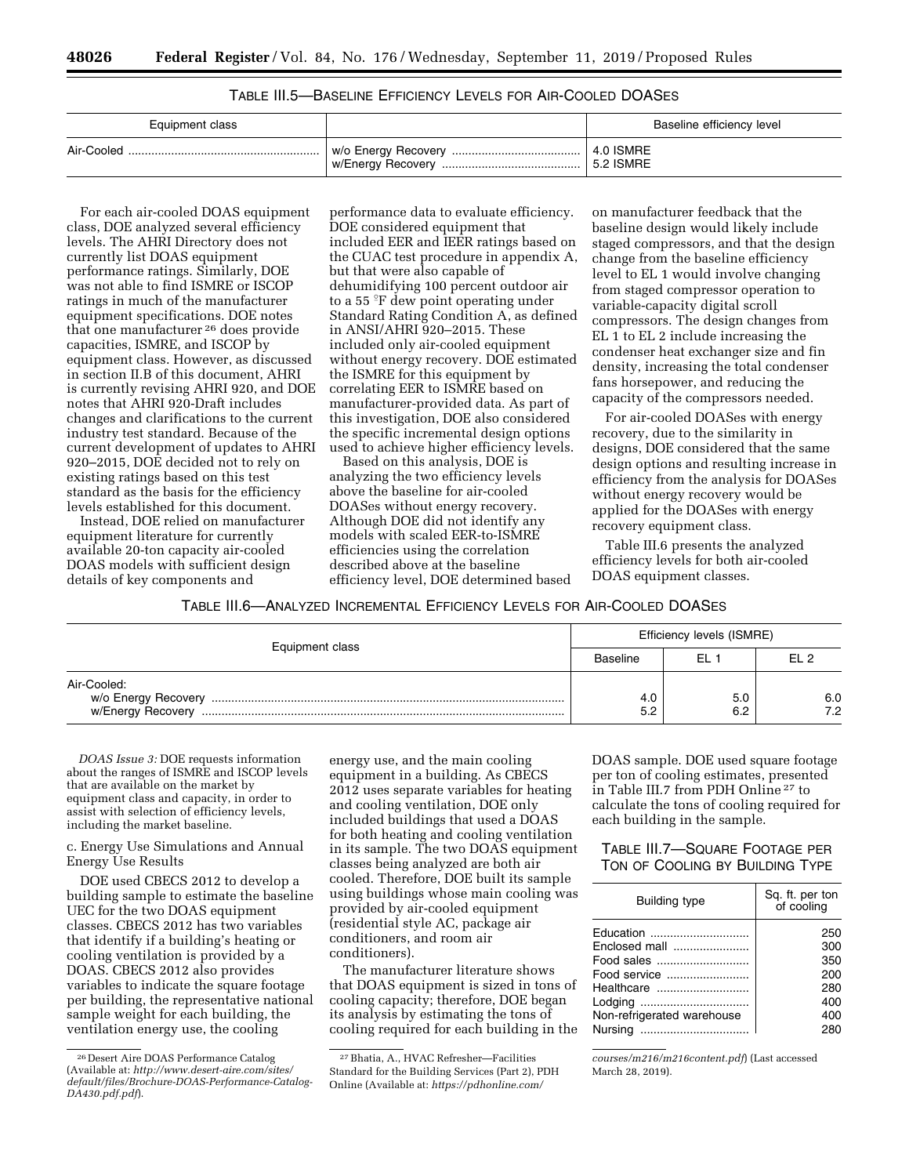| TABLE III.5-BASELINE EFFICIENCY LEVELS FOR AIR-COOLED DOASES |
|--------------------------------------------------------------|
|--------------------------------------------------------------|

| Equipment class | Baseline efficiency level         |
|-----------------|-----------------------------------|
|                 | 4.0 ISMRE<br>$^{\circ}$ 5.2 ISMRE |

For each air-cooled DOAS equipment class, DOE analyzed several efficiency levels. The AHRI Directory does not currently list DOAS equipment performance ratings. Similarly, DOE was not able to find ISMRE or ISCOP ratings in much of the manufacturer equipment specifications. DOE notes that one manufacturer 26 does provide capacities, ISMRE, and ISCOP by equipment class. However, as discussed in section II.B of this document, AHRI is currently revising AHRI 920, and DOE notes that AHRI 920-Draft includes changes and clarifications to the current industry test standard. Because of the current development of updates to AHRI 920–2015, DOE decided not to rely on existing ratings based on this test standard as the basis for the efficiency levels established for this document.

Instead, DOE relied on manufacturer equipment literature for currently available 20-ton capacity air-cooled DOAS models with sufficient design details of key components and

performance data to evaluate efficiency. DOE considered equipment that included EER and IEER ratings based on the CUAC test procedure in appendix A, but that were also capable of dehumidifying 100 percent outdoor air to a 55  $\mathrm{F}$  dew point operating under Standard Rating Condition A, as defined in ANSI/AHRI 920–2015. These included only air-cooled equipment without energy recovery. DOE estimated the ISMRE for this equipment by correlating EER to ISMRE based on manufacturer-provided data. As part of this investigation, DOE also considered the specific incremental design options used to achieve higher efficiency levels.

Based on this analysis, DOE is analyzing the two efficiency levels above the baseline for air-cooled DOASes without energy recovery. Although DOE did not identify any models with scaled EER-to-ISMRE efficiencies using the correlation described above at the baseline efficiency level, DOE determined based

on manufacturer feedback that the baseline design would likely include staged compressors, and that the design change from the baseline efficiency level to EL 1 would involve changing from staged compressor operation to variable-capacity digital scroll compressors. The design changes from EL 1 to EL 2 include increasing the condenser heat exchanger size and fin density, increasing the total condenser fans horsepower, and reducing the capacity of the compressors needed.

For air-cooled DOASes with energy recovery, due to the similarity in designs, DOE considered that the same design options and resulting increase in efficiency from the analysis for DOASes without energy recovery would be applied for the DOASes with energy recovery equipment class.

Table III.6 presents the analyzed efficiency levels for both air-cooled DOAS equipment classes.

TABLE III.6—ANALYZED INCREMENTAL EFFICIENCY LEVELS FOR AIR-COOLED DOASES

| Equipment class                  | Efficiency levels (ISMRE) |                        |            |  |
|----------------------------------|---------------------------|------------------------|------------|--|
|                                  | Baseline                  | FL 1                   | FI 2       |  |
| Air-Cooled:<br>w/Energy Recovery | 4.0<br>5.2                | 5. <sub>C</sub><br>6.2 | 6.0<br>7.2 |  |

*DOAS Issue 3:* DOE requests information about the ranges of ISMRE and ISCOP levels that are available on the market by equipment class and capacity, in order to assist with selection of efficiency levels, including the market baseline.

c. Energy Use Simulations and Annual Energy Use Results

DOE used CBECS 2012 to develop a building sample to estimate the baseline UEC for the two DOAS equipment classes. CBECS 2012 has two variables that identify if a building's heating or cooling ventilation is provided by a DOAS. CBECS 2012 also provides variables to indicate the square footage per building, the representative national sample weight for each building, the ventilation energy use, the cooling

energy use, and the main cooling equipment in a building. As CBECS 2012 uses separate variables for heating and cooling ventilation, DOE only included buildings that used a DOAS for both heating and cooling ventilation in its sample. The two DOAS equipment classes being analyzed are both air cooled. Therefore, DOE built its sample using buildings whose main cooling was provided by air-cooled equipment (residential style AC, package air conditioners, and room air conditioners).

The manufacturer literature shows that DOAS equipment is sized in tons of cooling capacity; therefore, DOE began its analysis by estimating the tons of cooling required for each building in the

DOAS sample. DOE used square footage per ton of cooling estimates, presented in Table III.7 from PDH Online 27 to calculate the tons of cooling required for each building in the sample.

## TABLE III.7—SQUARE FOOTAGE PER TON OF COOLING BY BUILDING TYPE

| <b>Building type</b>       | Sq. ft. per ton<br>of cooling |
|----------------------------|-------------------------------|
| Education                  | 250                           |
| Enclosed mall              | 300                           |
| Food sales                 | 350                           |
| Food service               | 200                           |
| Healthcare                 | 280                           |
| Lodging                    | 400                           |
| Non-refrigerated warehouse | 400                           |
|                            | 280                           |

*[courses/m216/m216content.pdf](https://pdhonline.com/courses/m216/m216content.pdf)*) (Last accessed March 28, 2019).

<sup>26</sup> Desert Aire DOAS Performance Catalog (Available at: *[http://www.desert-aire.com/sites/](http://www.desert-aire.com/sites/default/files/Brochure-DOAS-Performance-Catalog-DA430.pdf.pdf)  [default/files/Brochure-DOAS-Performance-Catalog-](http://www.desert-aire.com/sites/default/files/Brochure-DOAS-Performance-Catalog-DA430.pdf.pdf)[DA430.pdf.pdf](http://www.desert-aire.com/sites/default/files/Brochure-DOAS-Performance-Catalog-DA430.pdf.pdf)*).

<sup>27</sup>Bhatia, A., HVAC Refresher—Facilities Standard for the Building Services (Part 2), PDH Online (Available at: *[https://pdhonline.com/](https://pdhonline.com/courses/m216/m216content.pdf)*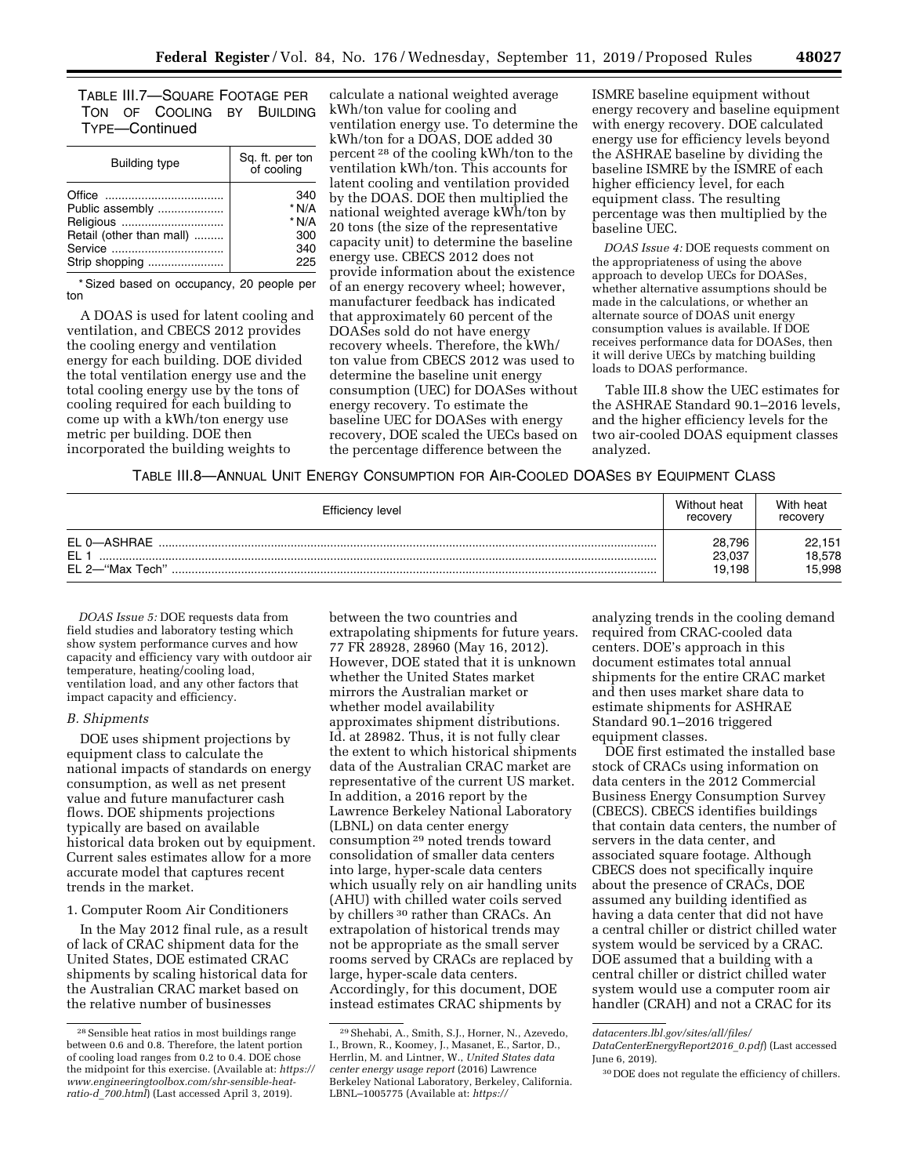TABLE III.7—SQUARE FOOTAGE PER TON OF COOLING BY BUILDING TYPE—Continued

| Building type            | Sq. ft. per ton<br>of cooling |
|--------------------------|-------------------------------|
|                          | 340                           |
| Public assembly          | $*$ N/A                       |
| Religious                | $*$ N/A                       |
| Retail (other than mall) | 300                           |
|                          | 340                           |
| Strip shopping           | 225                           |

\* Sized based on occupancy, 20 people per ton

A DOAS is used for latent cooling and ventilation, and CBECS 2012 provides the cooling energy and ventilation energy for each building. DOE divided the total ventilation energy use and the total cooling energy use by the tons of cooling required for each building to come up with a kWh/ton energy use metric per building. DOE then incorporated the building weights to

calculate a national weighted average kWh/ton value for cooling and ventilation energy use. To determine the kWh/ton for a DOAS, DOE added 30 percent 28 of the cooling kWh/ton to the ventilation kWh/ton. This accounts for latent cooling and ventilation provided by the DOAS. DOE then multiplied the national weighted average kWh/ton by 20 tons (the size of the representative capacity unit) to determine the baseline energy use. CBECS 2012 does not provide information about the existence of an energy recovery wheel; however, manufacturer feedback has indicated that approximately 60 percent of the DOASes sold do not have energy recovery wheels. Therefore, the kWh/ ton value from CBECS 2012 was used to determine the baseline unit energy consumption (UEC) for DOASes without energy recovery. To estimate the baseline UEC for DOASes with energy recovery, DOE scaled the UECs based on the percentage difference between the

ISMRE baseline equipment without energy recovery and baseline equipment with energy recovery. DOE calculated energy use for efficiency levels beyond the ASHRAE baseline by dividing the baseline ISMRE by the ISMRE of each higher efficiency level, for each equipment class. The resulting percentage was then multiplied by the baseline UEC.

*DOAS Issue 4:* DOE requests comment on the appropriateness of using the above approach to develop UECs for DOASes, whether alternative assumptions should be made in the calculations, or whether an alternate source of DOAS unit energy consumption values is available. If DOE receives performance data for DOASes, then it will derive UECs by matching building loads to DOAS performance.

Table III.8 show the UEC estimates for the ASHRAE Standard 90.1–2016 levels, and the higher efficiency levels for the two air-cooled DOAS equipment classes analyzed.

TABLE III.8—ANNUAL UNIT ENERGY CONSUMPTION FOR AIR-COOLED DOASES BY EQUIPMENT CLASS

| Efficiency level                                  | Without heat<br>recovery   | With heat<br>recovery      |
|---------------------------------------------------|----------------------------|----------------------------|
| EL 0-ASHRAE<br>EL <sub>1</sub><br>EL 2-"Max Tech" | 28.796<br>23,037<br>19.198 | 22,151<br>18,578<br>15.998 |

*DOAS Issue 5:* DOE requests data from field studies and laboratory testing which show system performance curves and how capacity and efficiency vary with outdoor air temperature, heating/cooling load, ventilation load, and any other factors that impact capacity and efficiency.

#### *B. Shipments*

DOE uses shipment projections by equipment class to calculate the national impacts of standards on energy consumption, as well as net present value and future manufacturer cash flows. DOE shipments projections typically are based on available historical data broken out by equipment. Current sales estimates allow for a more accurate model that captures recent trends in the market.

1. Computer Room Air Conditioners

In the May 2012 final rule, as a result of lack of CRAC shipment data for the United States, DOE estimated CRAC shipments by scaling historical data for the Australian CRAC market based on the relative number of businesses

between the two countries and extrapolating shipments for future years. 77 FR 28928, 28960 (May 16, 2012). However, DOE stated that it is unknown whether the United States market mirrors the Australian market or whether model availability approximates shipment distributions. Id. at 28982. Thus, it is not fully clear the extent to which historical shipments data of the Australian CRAC market are representative of the current US market. In addition, a 2016 report by the Lawrence Berkeley National Laboratory (LBNL) on data center energy consumption 29 noted trends toward consolidation of smaller data centers into large, hyper-scale data centers which usually rely on air handling units (AHU) with chilled water coils served by chillers 30 rather than CRACs. An extrapolation of historical trends may not be appropriate as the small server rooms served by CRACs are replaced by large, hyper-scale data centers. Accordingly, for this document, DOE instead estimates CRAC shipments by

analyzing trends in the cooling demand required from CRAC-cooled data centers. DOE's approach in this document estimates total annual shipments for the entire CRAC market and then uses market share data to estimate shipments for ASHRAE Standard 90.1–2016 triggered equipment classes.

DOE first estimated the installed base stock of CRACs using information on data centers in the 2012 Commercial Business Energy Consumption Survey (CBECS). CBECS identifies buildings that contain data centers, the number of servers in the data center, and associated square footage. Although CBECS does not specifically inquire about the presence of CRACs, DOE assumed any building identified as having a data center that did not have a central chiller or district chilled water system would be serviced by a CRAC. DOE assumed that a building with a central chiller or district chilled water system would use a computer room air handler (CRAH) and not a CRAC for its

*[DataCenterEnergyReport2016](https://datacenters.lbl.gov/sites/all/files/DataCenterEnergyReport2016_0.pdf)*\_*0.pdf*) (Last accessed June 6, 2019).

<sup>28</sup>Sensible heat ratios in most buildings range between 0.6 and 0.8. Therefore, the latent portion of cooling load ranges from 0.2 to 0.4. DOE chose the midpoint for this exercise. (Available at: *[https://](https://www.engineeringtoolbox.com/shr-sensible-heat-ratio-d_700.html) [www.engineeringtoolbox.com/shr-sensible-heat](https://www.engineeringtoolbox.com/shr-sensible-heat-ratio-d_700.html)ratio-d*\_*[700.html](https://www.engineeringtoolbox.com/shr-sensible-heat-ratio-d_700.html)*) (Last accessed April 3, 2019).

<sup>29</sup>Shehabi, A., Smith, S.J., Horner, N., Azevedo, I., Brown, R., Koomey, J., Masanet, E., Sartor, D., Herrlin, M. and Lintner, W., *United States data center energy usage report* (2016) Lawrence Berkeley National Laboratory, Berkeley, California. LBNL–1005775 (Available at: *[https://](https://datacenters.lbl.gov/sites/all/files/DataCenterEnergyReport2016_0.pdf)*

*[datacenters.lbl.gov/sites/all/files/](https://datacenters.lbl.gov/sites/all/files/DataCenterEnergyReport2016_0.pdf)* 

<sup>30</sup> DOE does not regulate the efficiency of chillers.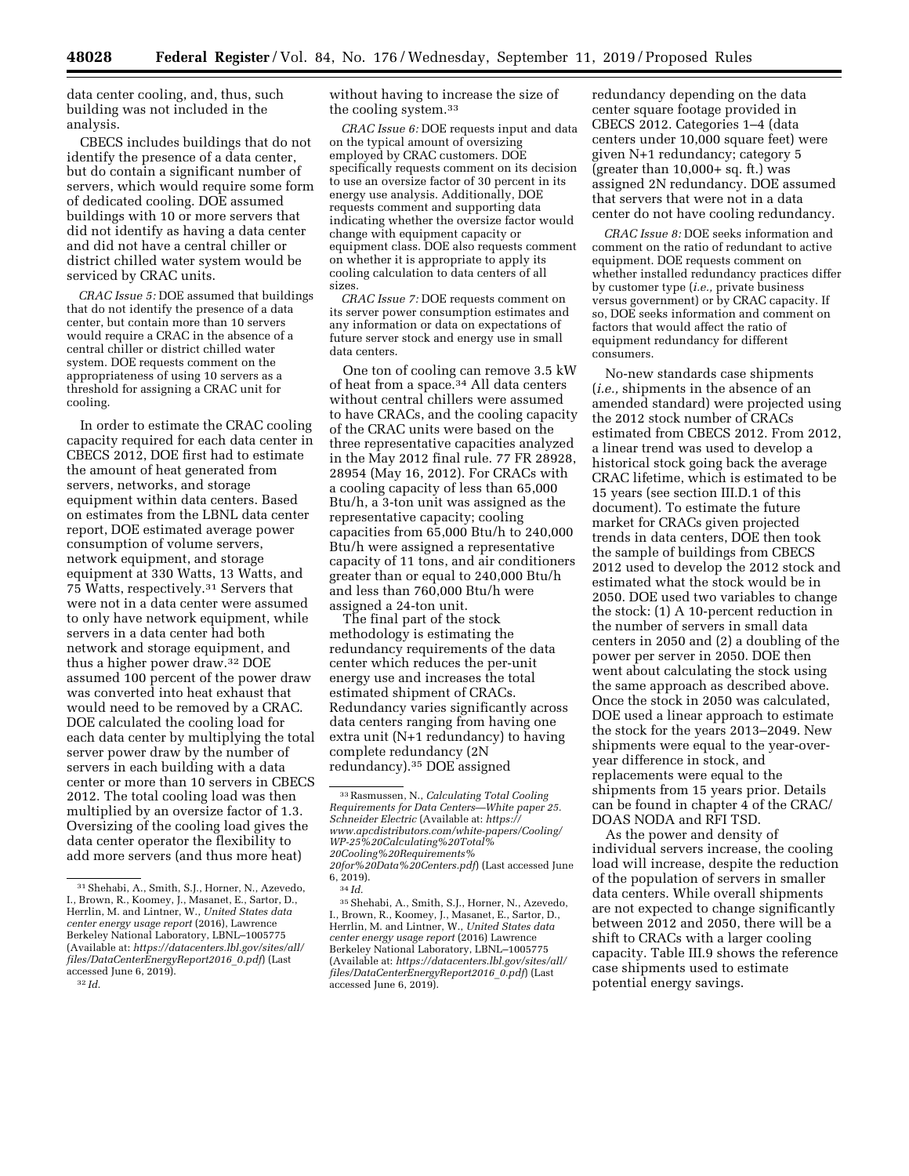data center cooling, and, thus, such building was not included in the analysis.

CBECS includes buildings that do not identify the presence of a data center, but do contain a significant number of servers, which would require some form of dedicated cooling. DOE assumed buildings with 10 or more servers that did not identify as having a data center and did not have a central chiller or district chilled water system would be serviced by CRAC units.

*CRAC Issue 5:* DOE assumed that buildings that do not identify the presence of a data center, but contain more than 10 servers would require a CRAC in the absence of a central chiller or district chilled water system. DOE requests comment on the appropriateness of using 10 servers as a threshold for assigning a CRAC unit for cooling.

In order to estimate the CRAC cooling capacity required for each data center in CBECS 2012, DOE first had to estimate the amount of heat generated from servers, networks, and storage equipment within data centers. Based on estimates from the LBNL data center report, DOE estimated average power consumption of volume servers, network equipment, and storage equipment at 330 Watts, 13 Watts, and 75 Watts, respectively.31 Servers that were not in a data center were assumed to only have network equipment, while servers in a data center had both network and storage equipment, and thus a higher power draw.32 DOE assumed 100 percent of the power draw was converted into heat exhaust that would need to be removed by a CRAC. DOE calculated the cooling load for each data center by multiplying the total server power draw by the number of servers in each building with a data center or more than 10 servers in CBECS 2012. The total cooling load was then multiplied by an oversize factor of 1.3. Oversizing of the cooling load gives the data center operator the flexibility to add more servers (and thus more heat)

without having to increase the size of the cooling system.33

*CRAC Issue 6:* DOE requests input and data on the typical amount of oversizing employed by CRAC customers. DOE specifically requests comment on its decision to use an oversize factor of 30 percent in its energy use analysis. Additionally, DOE requests comment and supporting data indicating whether the oversize factor would change with equipment capacity or equipment class. DOE also requests comment on whether it is appropriate to apply its cooling calculation to data centers of all sizes.

*CRAC Issue 7:* DOE requests comment on its server power consumption estimates and any information or data on expectations of future server stock and energy use in small data centers.

One ton of cooling can remove 3.5 kW of heat from a space.34 All data centers without central chillers were assumed to have CRACs, and the cooling capacity of the CRAC units were based on the three representative capacities analyzed in the May 2012 final rule. 77 FR 28928, 28954 (May 16, 2012). For CRACs with a cooling capacity of less than 65,000 Btu/h, a 3-ton unit was assigned as the representative capacity; cooling capacities from 65,000 Btu/h to 240,000 Btu/h were assigned a representative capacity of 11 tons, and air conditioners greater than or equal to 240,000 Btu/h and less than 760,000 Btu/h were assigned a 24-ton unit.

The final part of the stock methodology is estimating the redundancy requirements of the data center which reduces the per-unit energy use and increases the total estimated shipment of CRACs. Redundancy varies significantly across data centers ranging from having one extra unit (N+1 redundancy) to having complete redundancy (2N redundancy).35 DOE assigned

redundancy depending on the data center square footage provided in CBECS 2012. Categories 1–4 (data centers under 10,000 square feet) were given N+1 redundancy; category 5  $(greatest than 10,000+ sq. ft.)$  was assigned 2N redundancy. DOE assumed that servers that were not in a data center do not have cooling redundancy.

*CRAC Issue 8:* DOE seeks information and comment on the ratio of redundant to active equipment. DOE requests comment on whether installed redundancy practices differ by customer type (*i.e.,* private business versus government) or by CRAC capacity. If so, DOE seeks information and comment on factors that would affect the ratio of equipment redundancy for different consumers.

No-new standards case shipments (*i.e.,* shipments in the absence of an amended standard) were projected using the 2012 stock number of CRACs estimated from CBECS 2012. From 2012, a linear trend was used to develop a historical stock going back the average CRAC lifetime, which is estimated to be 15 years (see section III.D.1 of this document). To estimate the future market for CRACs given projected trends in data centers, DOE then took the sample of buildings from CBECS 2012 used to develop the 2012 stock and estimated what the stock would be in 2050. DOE used two variables to change the stock: (1) A 10-percent reduction in the number of servers in small data centers in 2050 and (2) a doubling of the power per server in 2050. DOE then went about calculating the stock using the same approach as described above. Once the stock in 2050 was calculated, DOE used a linear approach to estimate the stock for the years 2013–2049. New shipments were equal to the year-overyear difference in stock, and replacements were equal to the shipments from 15 years prior. Details can be found in chapter 4 of the CRAC/ DOAS NODA and RFI TSD.

As the power and density of individual servers increase, the cooling load will increase, despite the reduction of the population of servers in smaller data centers. While overall shipments are not expected to change significantly between 2012 and 2050, there will be a shift to CRACs with a larger cooling capacity. Table III.9 shows the reference case shipments used to estimate potential energy savings.

<sup>31</sup>Shehabi, A., Smith, S.J., Horner, N., Azevedo, I., Brown, R., Koomey, J., Masanet, E., Sartor, D., Herrlin, M. and Lintner, W., *United States data center energy usage report* (2016), Lawrence Berkeley National Laboratory, LBNL–1005775 (Available at: *[https://datacenters.lbl.gov/sites/all/](https://datacenters.lbl.gov/sites/all/files/DataCenterEnergyReport2016_0.pdf)  [files/DataCenterEnergyReport2016](https://datacenters.lbl.gov/sites/all/files/DataCenterEnergyReport2016_0.pdf)*\_*0.pdf*) (Last accessed June 6, 2019). 32 *Id.* 

<sup>33</sup>Rasmussen, N., *Calculating Total Cooling Requirements for Data Centers—White paper 25. Schneider Electric* (Available at: *[https://](https://www.apcdistributors.com/white-papers/Cooling/WP-25%20Calculating%20Total%20Cooling%20Requirements%20for%20Data%20Centers.pdf) [www.apcdistributors.com/white-papers/Cooling/](https://www.apcdistributors.com/white-papers/Cooling/WP-25%20Calculating%20Total%20Cooling%20Requirements%20for%20Data%20Centers.pdf)  [WP-25%20Calculating%20Total%](https://www.apcdistributors.com/white-papers/Cooling/WP-25%20Calculating%20Total%20Cooling%20Requirements%20for%20Data%20Centers.pdf) [20Cooling%20Requirements%](https://www.apcdistributors.com/white-papers/Cooling/WP-25%20Calculating%20Total%20Cooling%20Requirements%20for%20Data%20Centers.pdf) [20for%20Data%20Centers.pdf](https://www.apcdistributors.com/white-papers/Cooling/WP-25%20Calculating%20Total%20Cooling%20Requirements%20for%20Data%20Centers.pdf)*) (Last accessed June

<sup>6, 2019).&</sup>lt;br> $\frac{34}{1}$ *Id.* 

<sup>35</sup>Shehabi, A., Smith, S.J., Horner, N., Azevedo, I., Brown, R., Koomey, J., Masanet, E., Sartor, D., Herrlin, M. and Lintner, W., *United States data center energy usage report* (2016) Lawrence Berkeley National Laboratory, LBNL–1005775 (Available at: *[https://datacenters.lbl.gov/sites/all/](https://datacenters.lbl.gov/sites/all/files/DataCenterEnergyReport2016_0.pdf)  [files/DataCenterEnergyReport2016](https://datacenters.lbl.gov/sites/all/files/DataCenterEnergyReport2016_0.pdf)*\_*0.pdf*) (Last accessed June 6, 2019).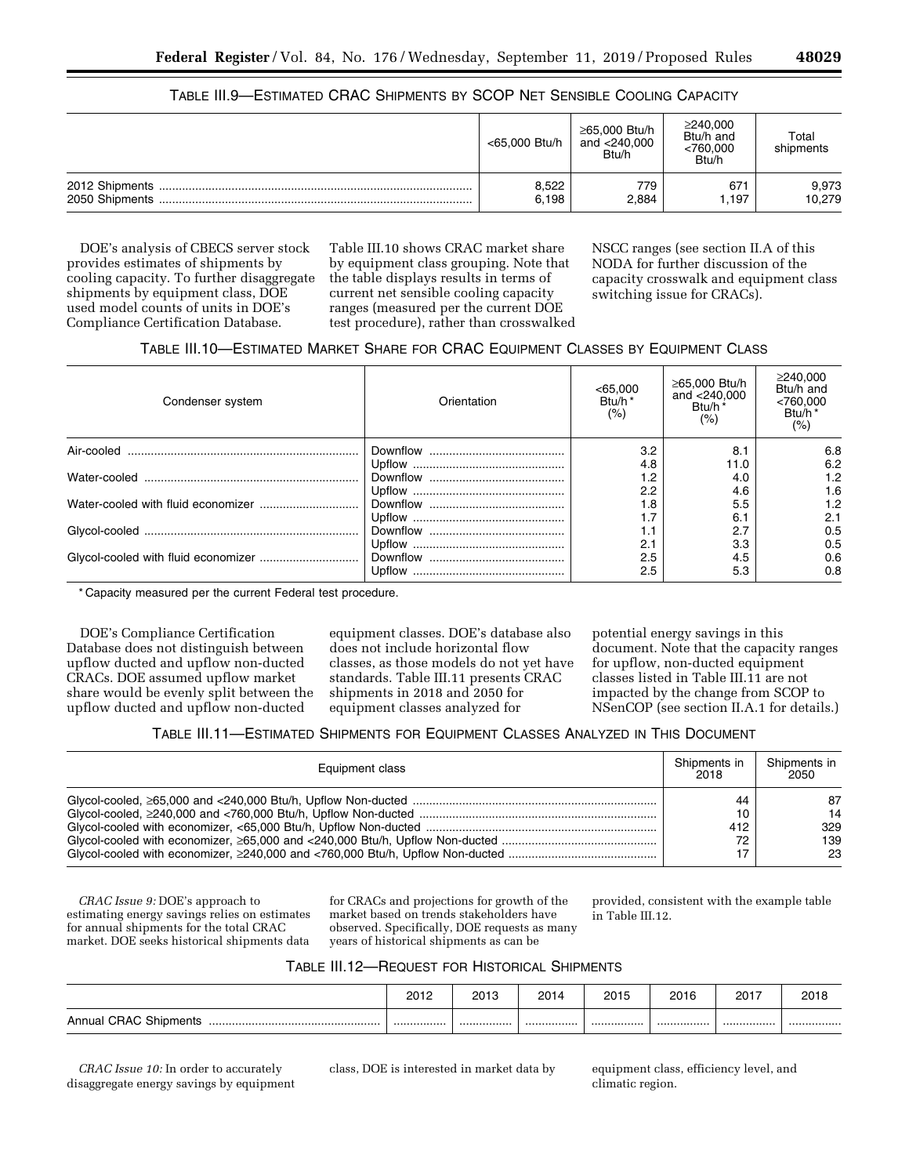## TABLE III.9—ESTIMATED CRAC SHIPMENTS BY SCOP NET SENSIBLE COOLING CAPACITY

| <65,000 Btu/h | ≥65,000 Btu/h<br>and <240,000<br>Btu/h | ≥240,000<br>Btu/h and<br>< 760,000<br>Btu/h | Total<br>shipments |
|---------------|----------------------------------------|---------------------------------------------|--------------------|
| 8,522         | 779                                    | 67 <sup>2</sup>                             | 9,973              |
| 6.198         | 2,884                                  | 1.197                                       | 10,279             |

DOE's analysis of CBECS server stock provides estimates of shipments by cooling capacity. To further disaggregate shipments by equipment class, DOE used model counts of units in DOE's Compliance Certification Database.

Table III.10 shows CRAC market share by equipment class grouping. Note that the table displays results in terms of current net sensible cooling capacity ranges (measured per the current DOE test procedure), rather than crosswalked NSCC ranges (see section II.A of this NODA for further discussion of the capacity crosswalk and equipment class switching issue for CRACs).

## TABLE III.10—ESTIMATED MARKET SHARE FOR CRAC EQUIPMENT CLASSES BY EQUIPMENT CLASS

| Condenser system | Orientation | <65,000<br>Btu/h <sup>*</sup><br>(%) | ≥65,000 Btu/h<br>and $<$ 240,000<br>Btu/h*<br>(% ) | ≥240,000<br>Btu/h and<br><760,000<br>Btu/h <sup>*</sup><br>(% ) |
|------------------|-------------|--------------------------------------|----------------------------------------------------|-----------------------------------------------------------------|
|                  |             | 3.2                                  | 8.1                                                | 6.8                                                             |
|                  |             | 4.8                                  | 11.0                                               | 6.2                                                             |
|                  |             | 1.2                                  | 4.0                                                | 1.2                                                             |
|                  |             | 2.2                                  | 4.6                                                | 1.6                                                             |
|                  |             | 1.8                                  | 5.5                                                | 1.2                                                             |
|                  |             | 1.7                                  | 6.1                                                | 2.1                                                             |
|                  |             | 1.1                                  | 2.7                                                | 0.5                                                             |
|                  |             | 2.1                                  | 3.3                                                | 0.5                                                             |
|                  |             | 2.5                                  | 4.5                                                | 0.6                                                             |
|                  | Upflow      | 2.5                                  | 5.3                                                | 0.8                                                             |

\* Capacity measured per the current Federal test procedure.

DOE's Compliance Certification Database does not distinguish between upflow ducted and upflow non-ducted CRACs. DOE assumed upflow market share would be evenly split between the upflow ducted and upflow non-ducted

equipment classes. DOE's database also does not include horizontal flow classes, as those models do not yet have standards. Table III.11 presents CRAC shipments in 2018 and 2050 for equipment classes analyzed for

potential energy savings in this document. Note that the capacity ranges for upflow, non-ducted equipment classes listed in Table III.11 are not impacted by the change from SCOP to NSenCOP (see section II.A.1 for details.)

TABLE III.11—ESTIMATED SHIPMENTS FOR EQUIPMENT CLASSES ANALYZED IN THIS DOCUMENT

| Equipment class | Shipments in<br>2018  | Shipments in<br>2050         |
|-----------------|-----------------------|------------------------------|
|                 | 44<br>10<br>412<br>72 | 87<br>14<br>329<br>139<br>23 |

*CRAC Issue 9:* DOE's approach to estimating energy savings relies on estimates for annual shipments for the total CRAC market. DOE seeks historical shipments data

for CRACs and projections for growth of the market based on trends stakeholders have observed. Specifically, DOE requests as many years of historical shipments as can be

provided, consistent with the example table in Table III.12.

| TABLE III.12-REQUEST FOR HISTORICAL SHIPMENTS |
|-----------------------------------------------|
|                                               |

|                                | 2012 | 2013 | 2014 | 2015 | 2016 | 2017 | 2018 |
|--------------------------------|------|------|------|------|------|------|------|
| Annual CRAC Shipments<br><br>. |      |      |      |      | .    | .    |      |

*CRAC Issue 10:* In order to accurately disaggregate energy savings by equipment

class, DOE is interested in market data by equipment class, efficiency level, and climatic region.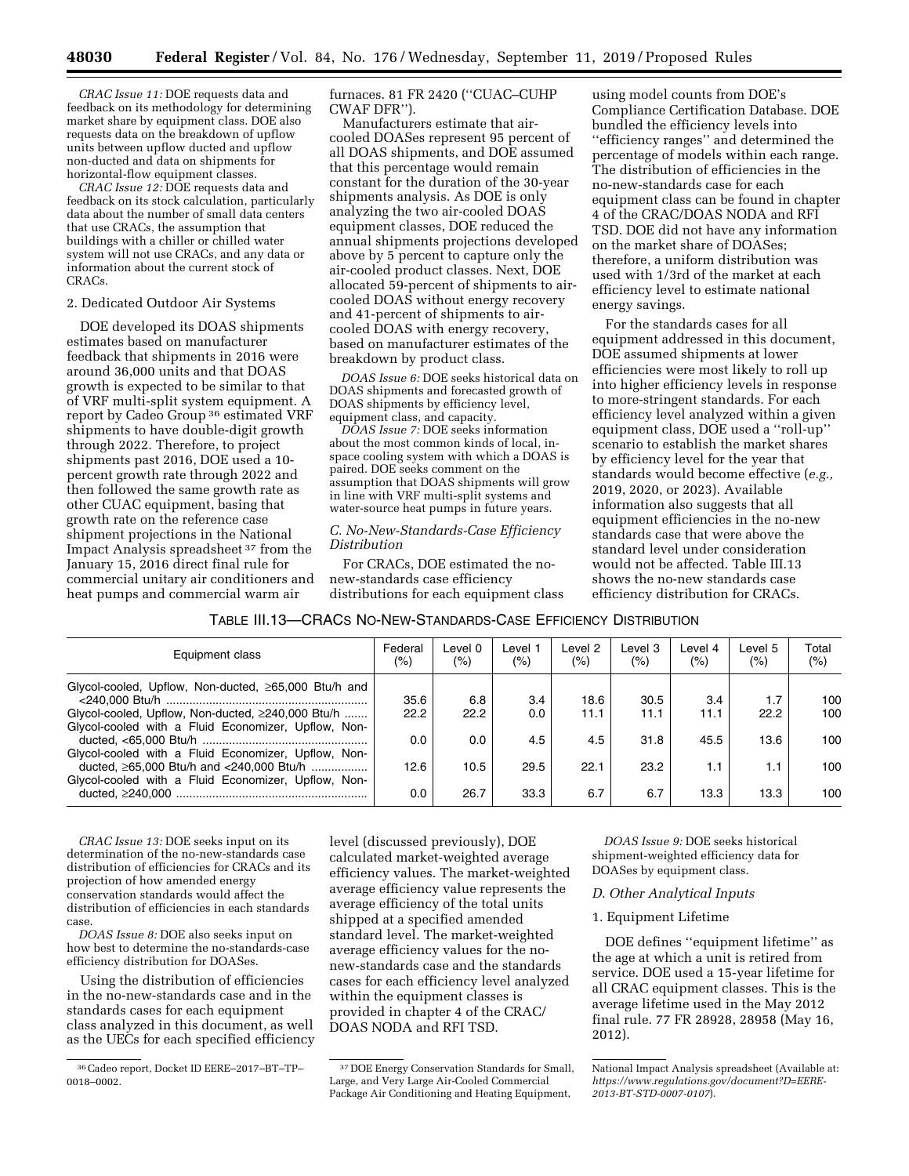*CRAC Issue 11:* DOE requests data and feedback on its methodology for determining market share by equipment class. DOE also requests data on the breakdown of upflow units between upflow ducted and upflow non-ducted and data on shipments for horizontal-flow equipment classes.

*CRAC Issue 12:* DOE requests data and feedback on its stock calculation, particularly data about the number of small data centers that use CRACs, the assumption that buildings with a chiller or chilled water system will not use CRACs, and any data or information about the current stock of CRACs.

#### 2. Dedicated Outdoor Air Systems

DOE developed its DOAS shipments estimates based on manufacturer feedback that shipments in 2016 were around 36,000 units and that DOAS growth is expected to be similar to that of VRF multi-split system equipment. A report by Cadeo Group 36 estimated VRF shipments to have double-digit growth through 2022. Therefore, to project shipments past 2016, DOE used a 10 percent growth rate through 2022 and then followed the same growth rate as other CUAC equipment, basing that growth rate on the reference case shipment projections in the National Impact Analysis spreadsheet 37 from the January 15, 2016 direct final rule for commercial unitary air conditioners and heat pumps and commercial warm air

furnaces. 81 FR 2420 (''CUAC–CUHP CWAF DFR'').

Manufacturers estimate that aircooled DOASes represent 95 percent of all DOAS shipments, and DOE assumed that this percentage would remain constant for the duration of the 30-year shipments analysis. As DOE is only analyzing the two air-cooled DOAS equipment classes, DOE reduced the annual shipments projections developed above by 5 percent to capture only the air-cooled product classes. Next, DOE allocated 59-percent of shipments to aircooled DOAS without energy recovery and 41-percent of shipments to aircooled DOAS with energy recovery, based on manufacturer estimates of the breakdown by product class.

*DOAS Issue 6:* DOE seeks historical data on DOAS shipments and forecasted growth of DOAS shipments by efficiency level, equipment class, and capacity.

*DOAS Issue 7:* DOE seeks information about the most common kinds of local, inspace cooling system with which a DOAS is paired. DOE seeks comment on the assumption that DOAS shipments will grow in line with VRF multi-split systems and water-source heat pumps in future years.

## *C. No-New-Standards-Case Efficiency Distribution*

For CRACs, DOE estimated the nonew-standards case efficiency distributions for each equipment class

using model counts from DOE's Compliance Certification Database. DOE bundled the efficiency levels into ''efficiency ranges'' and determined the percentage of models within each range. The distribution of efficiencies in the no-new-standards case for each equipment class can be found in chapter 4 of the CRAC/DOAS NODA and RFI TSD. DOE did not have any information on the market share of DOASes; therefore, a uniform distribution was used with 1/3rd of the market at each efficiency level to estimate national energy savings.

For the standards cases for all equipment addressed in this document, DOE assumed shipments at lower efficiencies were most likely to roll up into higher efficiency levels in response to more-stringent standards. For each efficiency level analyzed within a given equipment class, DOE used a ''roll-up'' scenario to establish the market shares by efficiency level for the year that standards would become effective (*e.g.,*  2019, 2020, or 2023). Available information also suggests that all equipment efficiencies in the no-new standards case that were above the standard level under consideration would not be affected. Table III.13 shows the no-new standards case efficiency distribution for CRACs.

| TABLE III.13—CRACS NO-NEW-STANDARDS-CASE EFFICIENCY DISTRIBUTION |
|------------------------------------------------------------------|
|------------------------------------------------------------------|

| Equipment class                                                                                       | Federal<br>(%) | ∟evel 0<br>$(\%)$ | Level 1<br>(%) | Level 2<br>(%) | Level 3<br>$(\%)$ | Level 4<br>(%) | Level 5<br>(%) | Total<br>$(\% )$ |
|-------------------------------------------------------------------------------------------------------|----------------|-------------------|----------------|----------------|-------------------|----------------|----------------|------------------|
| Glycol-cooled, Upflow, Non-ducted, $\geq 65,000$ Btu/h and                                            | 35.6           | 6.8               | 3.4            | 18.6           | 30.5              | 3.4            | 1.7            | 100              |
| Glycol-cooled, Upflow, Non-ducted, ≥240,000 Btu/h                                                     | 22.2           | 22.2              | 0.0            | 11.1           | 11.1              | 11.1           | 22.2           | 100              |
| Glycol-cooled with a Fluid Economizer, Upflow, Non-                                                   | 0.0            | 0.0               | 4.5            | 4.5            | 31.8              | 45.5           | 13.6           | 100              |
| Glycol-cooled with a Fluid Economizer, Upflow, Non-<br>ducted, $\geq 65,000$ Btu/h and <240,000 Btu/h | 12.6           | 10.5              | 29.5           | 22.1           | 23.2              | 1.1            | 1.1            | 100              |
| Glycol-cooled with a Fluid Economizer, Upflow, Non-                                                   | 0.0            | 26.7              | 33.3           | 6.7            | 6.7               | 13.3           | 13.3           | 100              |

*CRAC Issue 13:* DOE seeks input on its determination of the no-new-standards case distribution of efficiencies for CRACs and its projection of how amended energy conservation standards would affect the distribution of efficiencies in each standards case.

*DOAS Issue 8:* DOE also seeks input on how best to determine the no-standards-case efficiency distribution for DOASes.

Using the distribution of efficiencies in the no-new-standards case and in the standards cases for each equipment class analyzed in this document, as well as the UECs for each specified efficiency level (discussed previously), DOE calculated market-weighted average efficiency values. The market-weighted average efficiency value represents the average efficiency of the total units shipped at a specified amended standard level. The market-weighted average efficiency values for the nonew-standards case and the standards cases for each efficiency level analyzed within the equipment classes is provided in chapter 4 of the CRAC/ DOAS NODA and RFI TSD.

*DOAS Issue 9:* DOE seeks historical shipment-weighted efficiency data for DOASes by equipment class.

#### *D. Other Analytical Inputs*

## 1. Equipment Lifetime

DOE defines ''equipment lifetime'' as the age at which a unit is retired from service. DOE used a 15-year lifetime for all CRAC equipment classes. This is the average lifetime used in the May 2012 final rule. 77 FR 28928, 28958 (May 16, 2012).

<sup>36</sup>Cadeo report, Docket ID EERE–2017–BT–TP– 0018–0002.

<sup>37</sup> DOE Energy Conservation Standards for Small, Large, and Very Large Air-Cooled Commercial Package Air Conditioning and Heating Equipment,

National Impact Analysis spreadsheet (Available at: *[https://www.regulations.gov/document?D=EERE-](https://www.regulations.gov/document?D=EERE-2013-BT-STD-0007-0107)[2013-BT-STD-0007-0107](https://www.regulations.gov/document?D=EERE-2013-BT-STD-0007-0107)*).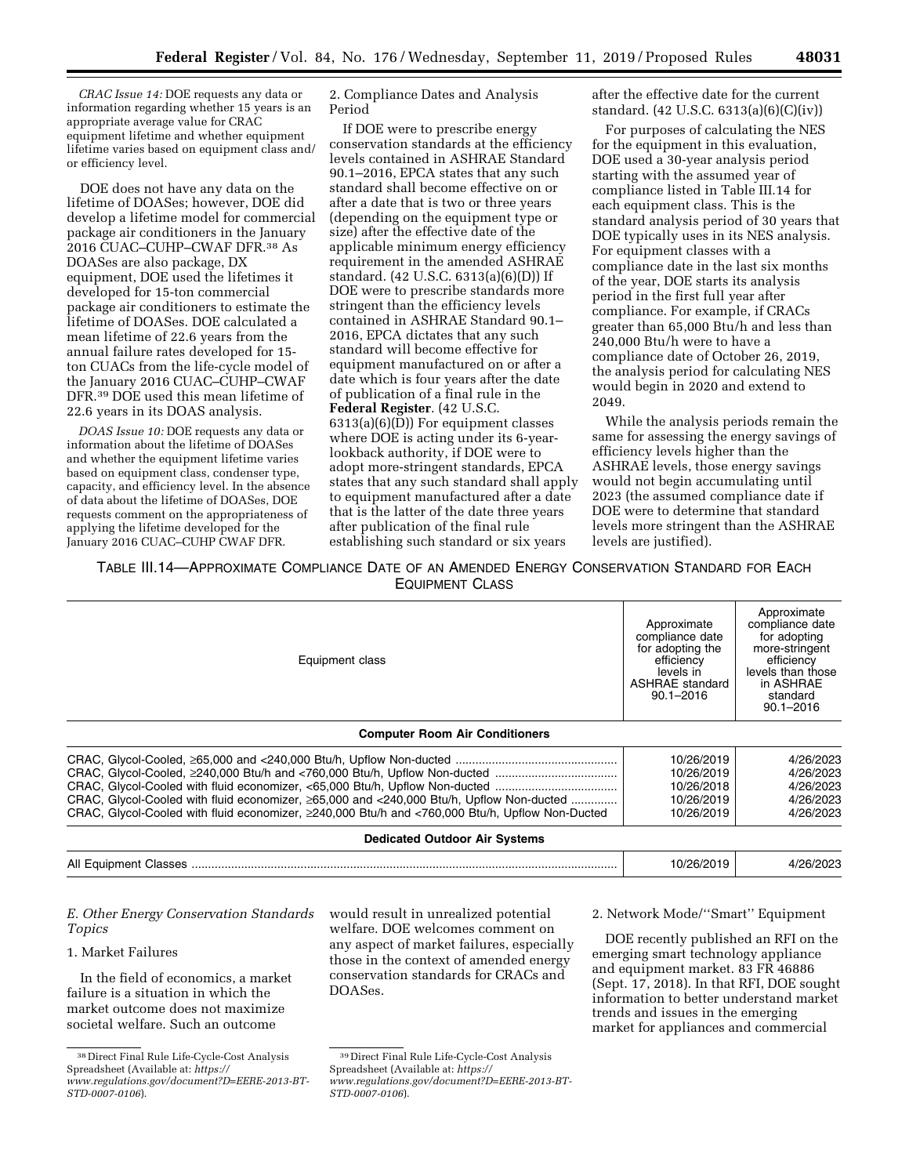*CRAC Issue 14:* DOE requests any data or information regarding whether 15 years is an appropriate average value for CRAC equipment lifetime and whether equipment lifetime varies based on equipment class and/ or efficiency level.

DOE does not have any data on the lifetime of DOASes; however, DOE did develop a lifetime model for commercial package air conditioners in the January 2016 CUAC–CUHP–CWAF DFR.38 As DOASes are also package, DX equipment, DOE used the lifetimes it developed for 15-ton commercial package air conditioners to estimate the lifetime of DOASes. DOE calculated a mean lifetime of 22.6 years from the annual failure rates developed for 15 ton CUACs from the life-cycle model of the January 2016 CUAC–CUHP–CWAF DFR.39 DOE used this mean lifetime of 22.6 years in its DOAS analysis.

*DOAS Issue 10:* DOE requests any data or information about the lifetime of DOASes and whether the equipment lifetime varies based on equipment class, condenser type, capacity, and efficiency level. In the absence of data about the lifetime of DOASes, DOE requests comment on the appropriateness of applying the lifetime developed for the January 2016 CUAC–CUHP CWAF DFR.

2. Compliance Dates and Analysis Period

If DOE were to prescribe energy conservation standards at the efficiency levels contained in ASHRAE Standard 90.1–2016, EPCA states that any such standard shall become effective on or after a date that is two or three years (depending on the equipment type or size) after the effective date of the applicable minimum energy efficiency requirement in the amended ASHRAE standard. (42 U.S.C. 6313(a)(6)(D)) If DOE were to prescribe standards more stringent than the efficiency levels contained in ASHRAE Standard 90.1– 2016, EPCA dictates that any such standard will become effective for equipment manufactured on or after a date which is four years after the date of publication of a final rule in the **Federal Register**. (42 U.S.C. 6313(a)(6)(D)) For equipment classes where DOE is acting under its 6-yearlookback authority, if DOE were to adopt more-stringent standards, EPCA states that any such standard shall apply to equipment manufactured after a date that is the latter of the date three years after publication of the final rule establishing such standard or six years

after the effective date for the current standard. (42 U.S.C. 6313(a)(6)(C)(iv))

For purposes of calculating the NES for the equipment in this evaluation, DOE used a 30-year analysis period starting with the assumed year of compliance listed in Table III.14 for each equipment class. This is the standard analysis period of 30 years that DOE typically uses in its NES analysis. For equipment classes with a compliance date in the last six months of the year, DOE starts its analysis period in the first full year after compliance. For example, if CRACs greater than 65,000 Btu/h and less than 240,000 Btu/h were to have a compliance date of October 26, 2019, the analysis period for calculating NES would begin in 2020 and extend to 2049.

While the analysis periods remain the same for assessing the energy savings of efficiency levels higher than the ASHRAE levels, those energy savings would not begin accumulating until 2023 (the assumed compliance date if DOE were to determine that standard levels more stringent than the ASHRAE levels are justified).

## TABLE III.14—APPROXIMATE COMPLIANCE DATE OF AN AMENDED ENERGY CONSERVATION STANDARD FOR EACH EQUIPMENT CLASS

| Equipment class<br><b>Computer Room Air Conditioners</b>                                                                                                                                    | Approximate<br>compliance date<br>for adopting the<br>efficiency<br>levels in<br><b>ASHRAE</b> standard<br>$90.1 - 2016$ | Approximate<br>compliance date<br>for adopting<br>more-stringent<br>efficiency<br>levels than those<br>in ASHRAE<br>standard<br>$90.1 - 2016$ |  |
|---------------------------------------------------------------------------------------------------------------------------------------------------------------------------------------------|--------------------------------------------------------------------------------------------------------------------------|-----------------------------------------------------------------------------------------------------------------------------------------------|--|
|                                                                                                                                                                                             |                                                                                                                          |                                                                                                                                               |  |
| CRAC, Glycol-Cooled with fluid economizer, ≥65,000 and <240,000 Btu/h, Upflow Non-ducted<br>CRAC, Glycol-Cooled with fluid economizer, ≥240,000 Btu/h and <760,000 Btu/h, Upflow Non-Ducted | 10/26/2019<br>10/26/2019<br>10/26/2018<br>10/26/2019<br>10/26/2019                                                       | 4/26/2023<br>4/26/2023<br>4/26/2023<br>4/26/2023<br>4/26/2023                                                                                 |  |
| <b>Dedicated Outdoor Air Systems</b>                                                                                                                                                        |                                                                                                                          |                                                                                                                                               |  |

*E. Other Energy Conservation Standards Topics* 

## 1. Market Failures

In the field of economics, a market failure is a situation in which the market outcome does not maximize societal welfare. Such an outcome

would result in unrealized potential welfare. DOE welcomes comment on any aspect of market failures, especially those in the context of amended energy conservation standards for CRACs and DOASes.

2. Network Mode/''Smart'' Equipment

DOE recently published an RFI on the emerging smart technology appliance and equipment market. 83 FR 46886 (Sept. 17, 2018). In that RFI, DOE sought information to better understand market trends and issues in the emerging market for appliances and commercial

<sup>38</sup> Direct Final Rule Life-Cycle-Cost Analysis Spreadsheet (Available at: *[https://](https://www.regulations.gov/document?D=EERE-2013-BT-STD-0007-0106) [www.regulations.gov/document?D=EERE-2013-BT-](https://www.regulations.gov/document?D=EERE-2013-BT-STD-0007-0106)[STD-0007-0106](https://www.regulations.gov/document?D=EERE-2013-BT-STD-0007-0106)*).

<sup>39</sup> Direct Final Rule Life-Cycle-Cost Analysis Spreadsheet (Available at: *[https://](https://www.regulations.gov/document?D=EERE-2013-BT-STD-0007-0106)*

*[www.regulations.gov/document?D=EERE-2013-BT-](https://www.regulations.gov/document?D=EERE-2013-BT-STD-0007-0106)[STD-0007-0106](https://www.regulations.gov/document?D=EERE-2013-BT-STD-0007-0106)*).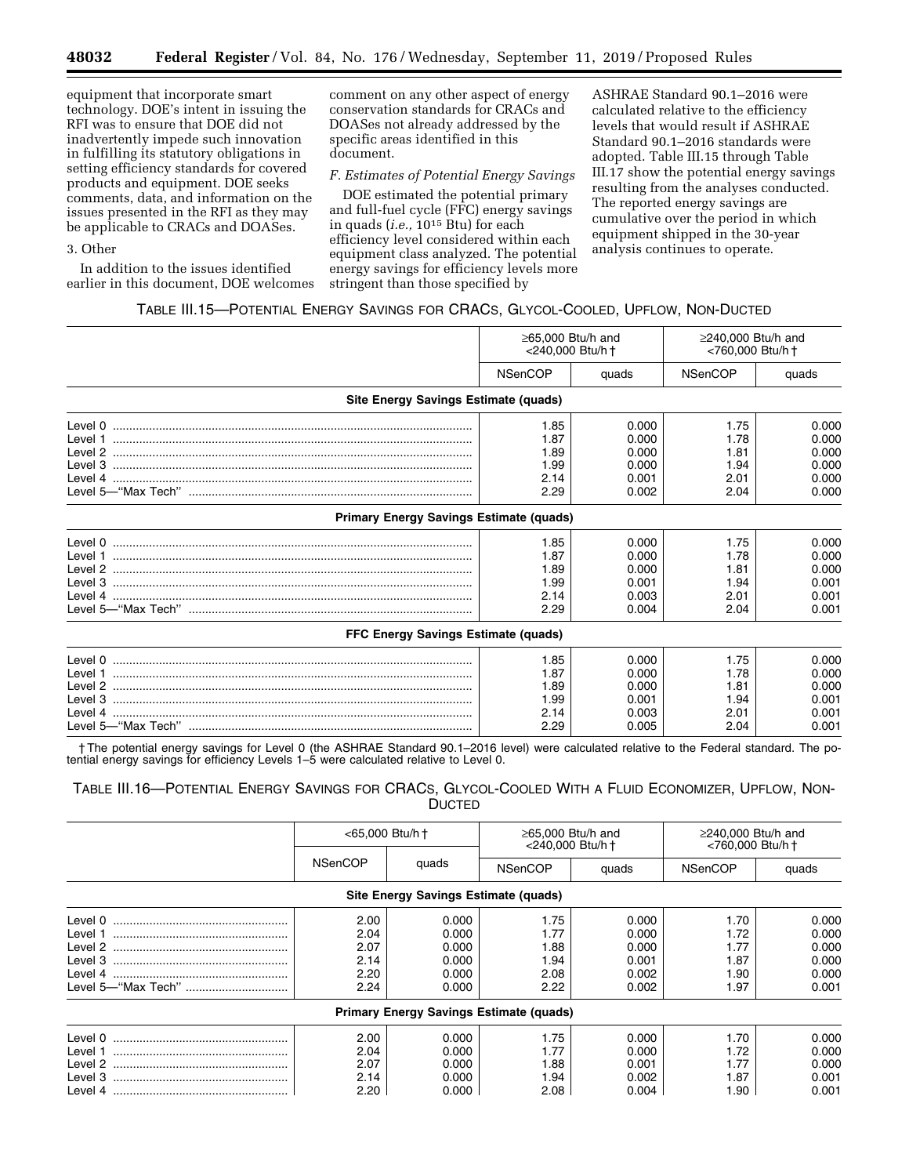equipment that incorporate smart technology. DOE's intent in issuing the RFI was to ensure that DOE did not inadvertently impede such innovation in fulfilling its statutory obligations in setting efficiency standards for covered products and equipment. DOE seeks comments, data, and information on the issues presented in the RFI as they may be applicable to CRACs and DOASes.

## 3. Other

In addition to the issues identified earlier in this document, DOE welcomes

comment on any other aspect of energy conservation standards for CRACs and DOASes not already addressed by the specific areas identified in this document.

## *F. Estimates of Potential Energy Savings*

DOE estimated the potential primary and full-fuel cycle (FFC) energy savings in quads (*i.e.,* 1015 Btu) for each efficiency level considered within each equipment class analyzed. The potential energy savings for efficiency levels more stringent than those specified by

ASHRAE Standard 90.1–2016 were calculated relative to the efficiency levels that would result if ASHRAE Standard 90.1–2016 standards were adopted. Table III.15 through Table III.17 show the potential energy savings resulting from the analyses conducted. The reported energy savings are cumulative over the period in which equipment shipped in the 30-year analysis continues to operate.

## TABLE III.15—POTENTIAL ENERGY SAVINGS FOR CRACS, GLYCOL-COOLED, UPFLOW, NON-DUCTED

|                                                 | $\geq$ 65.000 Btu/h and<br>$\geq$ 240.000 Btu/h and<br><240.000 Btu/h +<br><760,000 Btu/h + |       |                |       |
|-------------------------------------------------|---------------------------------------------------------------------------------------------|-------|----------------|-------|
|                                                 | <b>NSenCOP</b>                                                                              | quads | <b>NSenCOP</b> | quads |
| Site Energy Savings Estimate (quads)            |                                                                                             |       |                |       |
|                                                 | 1.85                                                                                        | 0.000 | 1.75           | 0.000 |
|                                                 | 1.87                                                                                        | 0.000 | 1.78           | 0.000 |
|                                                 | 1.89                                                                                        | 0.000 | 1.81           | 0.000 |
|                                                 | 1.99                                                                                        | 0.000 | 1.94           | 0.000 |
|                                                 | 2.14                                                                                        | 0.001 | 2.01           | 0.000 |
| Level 5—"Max Tech" ………………………………………………………………………  | 2.29                                                                                        | 0.002 | 2.04           | 0.000 |
| <b>Primary Energy Savings Estimate (quads)</b>  |                                                                                             |       |                |       |
|                                                 | 1.85                                                                                        | 0.000 | 1.75           | 0.000 |
|                                                 | 1.87                                                                                        | 0.000 | 1.78           | 0.000 |
|                                                 | 1.89                                                                                        | 0.000 | 1.81           | 0.000 |
|                                                 | 1.99                                                                                        | 0.001 | 1.94           | 0.001 |
|                                                 | 2.14                                                                                        | 0.003 | 2.01           | 0.001 |
| Level 5—"Max Tech" ………………………………………………………………………… | 2.29                                                                                        | 0.004 | 2.04           | 0.001 |
| FFC Energy Savings Estimate (quads)             |                                                                                             |       |                |       |
|                                                 | 1.85                                                                                        | 0.000 | 1.75           | 0.000 |
|                                                 | 1.87                                                                                        | 0.000 | 1.78           | 0.000 |
|                                                 | 1.89                                                                                        | 0.000 | 1.81           | 0.000 |
|                                                 | 1.99                                                                                        | 0.001 | 1.94           | 0.001 |
|                                                 | 2.14                                                                                        | 0.003 | 2.01           | 0.001 |
|                                                 | 2.29                                                                                        | 0.005 | 2.04           | 0.001 |

† The potential energy savings for Level 0 (the ASHRAE Standard 90.1–2016 level) were calculated relative to the Federal standard. The potential energy savings for efficiency Levels 1-5 were calculated relative to Level 0.

## TABLE III.16—POTENTIAL ENERGY SAVINGS FOR CRACS, GLYCOL-COOLED WITH A FLUID ECONOMIZER, UPFLOW, NON-DUCTED

|                                      | <65,000 Btu/h + |       |                                                | $\geq$ 65,000 Btu/h and<br><240,000 Btu/h + | $\geq$ 240,000 Btu/h and<br><760,000 Btu/h + |       |  |  |
|--------------------------------------|-----------------|-------|------------------------------------------------|---------------------------------------------|----------------------------------------------|-------|--|--|
|                                      | <b>NSenCOP</b>  | quads | <b>NSenCOP</b>                                 | quads                                       | <b>NSenCOP</b>                               | quads |  |  |
| Site Energy Savings Estimate (quads) |                 |       |                                                |                                             |                                              |       |  |  |
| Level 0                              | 2.00            | 0.000 | 1.75                                           | 0.000                                       | 1.70                                         | 0.000 |  |  |
| Level 1                              | 2.04            | 0.000 | 1.77                                           | 0.000                                       | 1.72                                         | 0.000 |  |  |
| Level 2                              | 2.07            | 0.000 | 1.88                                           | 0.000                                       | 1.77                                         | 0.000 |  |  |
| Level 3                              | 2.14            | 0.000 | 1.94                                           | 0.001                                       | 1.87                                         | 0.000 |  |  |
| Level 4                              | 2.20            | 0.000 | 2.08                                           | 0.002                                       | 1.90                                         | 0.000 |  |  |
| Level 5—"Max Tech"                   | 2.24            | 0.000 | 2.22                                           | 0.002                                       | 1.97                                         | 0.001 |  |  |
|                                      |                 |       | <b>Primary Energy Savings Estimate (quads)</b> |                                             |                                              |       |  |  |
| Level 0                              | 2.00            | 0.000 | 1.75                                           | 0.000                                       | 1.70                                         | 0.000 |  |  |
| Level 1                              | 2.04            | 0.000 | 1.77                                           | 0.000                                       | 1.72                                         | 0.000 |  |  |
| Level 2                              | 2.07            | 0.000 | 1.88                                           | 0.001                                       | 1.77                                         | 0.000 |  |  |
| Level 3                              | 2.14            | 0.000 | 1.94                                           | 0.002                                       | 1.87                                         | 0.001 |  |  |
|                                      | 2.20            | 0.000 | 2.08                                           | 0.004                                       | 1.90                                         | 0.001 |  |  |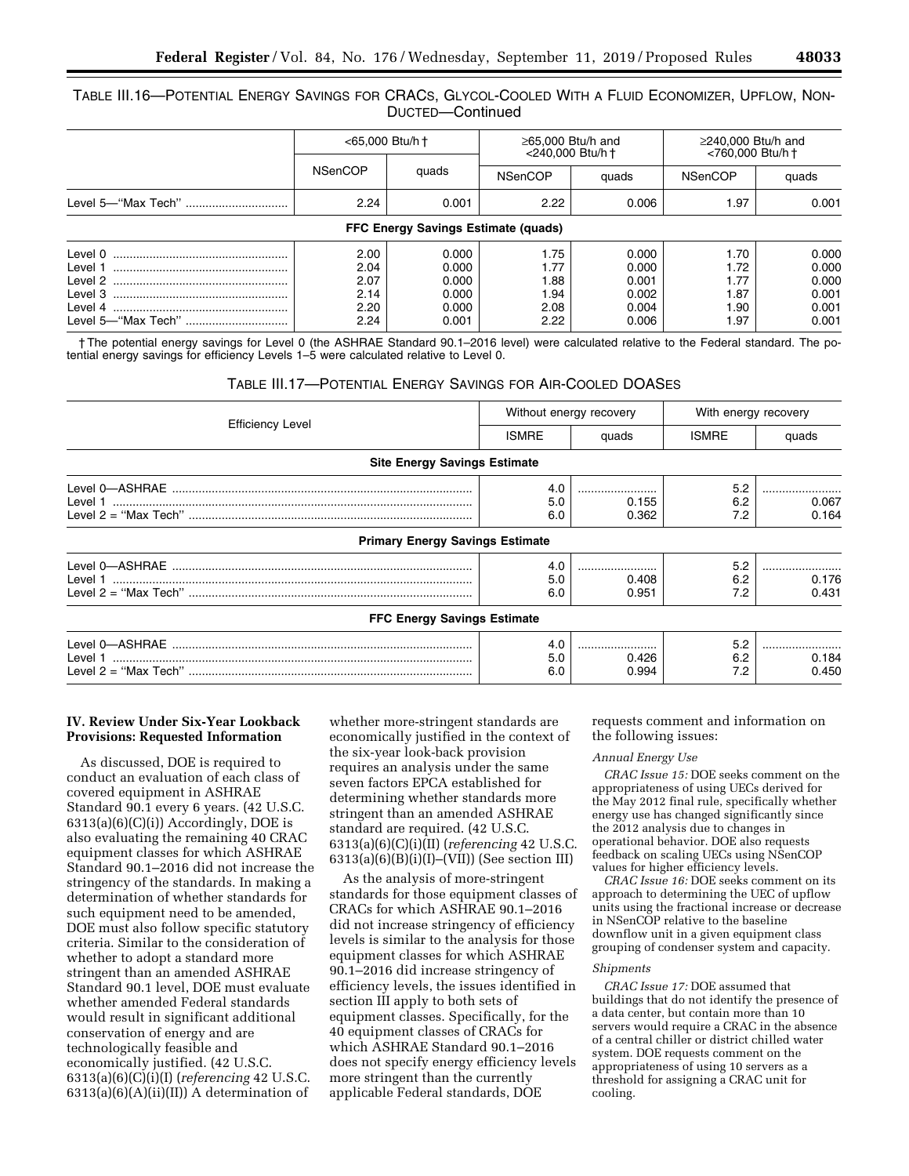## TABLE III.16—POTENTIAL ENERGY SAVINGS FOR CRACS, GLYCOL-COOLED WITH A FLUID ECONOMIZER, UPFLOW, NON-DUCTED—Continued

|                                                     | <65,000 Btu/h +                              |                                                    | $\geq$ 65,000 Btu/h and<br><240,000 Btu/h +  |                                                    | $\geq$ 240,000 Btu/h and<br><760,000 Btu/h +  |                                                    |  |  |  |  |
|-----------------------------------------------------|----------------------------------------------|----------------------------------------------------|----------------------------------------------|----------------------------------------------------|-----------------------------------------------|----------------------------------------------------|--|--|--|--|
|                                                     | <b>NSenCOP</b>                               | quads                                              | <b>NSenCOP</b>                               | quads                                              | <b>NSenCOP</b>                                | quads                                              |  |  |  |  |
|                                                     | 2.24                                         | 0.001                                              | 2.22                                         | 0.006                                              | 1.97                                          | 0.001                                              |  |  |  |  |
| FFC Energy Savings Estimate (quads)                 |                                              |                                                    |                                              |                                                    |                                               |                                                    |  |  |  |  |
| Level 0<br>Level 1<br>Level 2<br>Level 3<br>Level 4 | 2.00<br>2.04<br>2.07<br>2.14<br>2.20<br>2.24 | 0.000<br>0.000<br>0.000<br>0.000<br>0.000<br>0.001 | 1.75<br>1.77<br>1.88<br>1.94<br>2.08<br>2.22 | 0.000<br>0.000<br>0.001<br>0.002<br>0.004<br>0.006 | 1.70<br>1.72<br>1.77<br>1.87<br>90. ا<br>l.97 | 0.000<br>0.000<br>0.000<br>0.001<br>0.001<br>0.001 |  |  |  |  |

† The potential energy savings for Level 0 (the ASHRAE Standard 90.1–2016 level) were calculated relative to the Federal standard. The potential energy savings for efficiency Levels 1–5 were calculated relative to Level 0.

## TABLE III.17—POTENTIAL ENERGY SAVINGS FOR AIR-COOLED DOASES

|                                        |              | Without energy recovery | With energy recovery |       |  |
|----------------------------------------|--------------|-------------------------|----------------------|-------|--|
| <b>Efficiency Level</b>                | <b>ISMRE</b> | quads                   | <b>ISMRE</b>         | quads |  |
| <b>Site Energy Savings Estimate</b>    |              |                         |                      |       |  |
|                                        | 4.0          |                         | 5.2                  |       |  |
|                                        | 5.0          | 0.155                   | 6.2                  | 0.067 |  |
|                                        | 6.0          | 0.362                   | 7.2                  | 0.164 |  |
| <b>Primary Energy Savings Estimate</b> |              |                         |                      |       |  |
|                                        | 4.0          |                         | 5.2                  |       |  |
|                                        | 5.0          | 0.408                   | 6.2                  | 0.176 |  |
|                                        | 6.0          | 0.951                   | 7.2                  | 0.431 |  |
| <b>FFC Energy Savings Estimate</b>     |              |                         |                      |       |  |
|                                        | 4.0          |                         | 5.2                  |       |  |
|                                        | 5.0          | 0.426                   | 6.2                  | 0.184 |  |
|                                        | 6.0          | 0.994                   | 7.2                  | 0.450 |  |

## **IV. Review Under Six-Year Lookback Provisions: Requested Information**

As discussed, DOE is required to conduct an evaluation of each class of covered equipment in ASHRAE Standard 90.1 every 6 years. (42 U.S.C.  $6313(a)(6)(C)(i)$ ) Accordingly, DOE is also evaluating the remaining 40 CRAC equipment classes for which ASHRAE Standard 90.1–2016 did not increase the stringency of the standards. In making a determination of whether standards for such equipment need to be amended, DOE must also follow specific statutory criteria. Similar to the consideration of whether to adopt a standard more stringent than an amended ASHRAE Standard 90.1 level, DOE must evaluate whether amended Federal standards would result in significant additional conservation of energy and are technologically feasible and economically justified. (42 U.S.C. 6313(a)(6)(C)(i)(I) (*referencing* 42 U.S.C.  $6313(a)(6)(A)(ii)(II)$  A determination of

whether more-stringent standards are economically justified in the context of the six-year look-back provision requires an analysis under the same seven factors EPCA established for determining whether standards more stringent than an amended ASHRAE standard are required. (42 U.S.C. 6313(a)(6)(C)(i)(II) (*referencing* 42 U.S.C. 6313(a)(6)(B)(i)(I)–(VII)) (See section III)

As the analysis of more-stringent standards for those equipment classes of CRACs for which ASHRAE 90.1–2016 did not increase stringency of efficiency levels is similar to the analysis for those equipment classes for which ASHRAE 90.1–2016 did increase stringency of efficiency levels, the issues identified in section III apply to both sets of equipment classes. Specifically, for the 40 equipment classes of CRACs for which ASHRAE Standard 90.1–2016 does not specify energy efficiency levels more stringent than the currently applicable Federal standards, DOE

requests comment and information on the following issues:

## *Annual Energy Use*

*CRAC Issue 15:* DOE seeks comment on the appropriateness of using UECs derived for the May 2012 final rule, specifically whether energy use has changed significantly since the 2012 analysis due to changes in operational behavior. DOE also requests feedback on scaling UECs using NSenCOP values for higher efficiency levels.

*CRAC Issue 16:* DOE seeks comment on its approach to determining the UEC of upflow units using the fractional increase or decrease in NSenCOP relative to the baseline downflow unit in a given equipment class grouping of condenser system and capacity.

#### *Shipments*

*CRAC Issue 17:* DOE assumed that buildings that do not identify the presence of a data center, but contain more than 10 servers would require a CRAC in the absence of a central chiller or district chilled water system. DOE requests comment on the appropriateness of using 10 servers as a threshold for assigning a CRAC unit for cooling.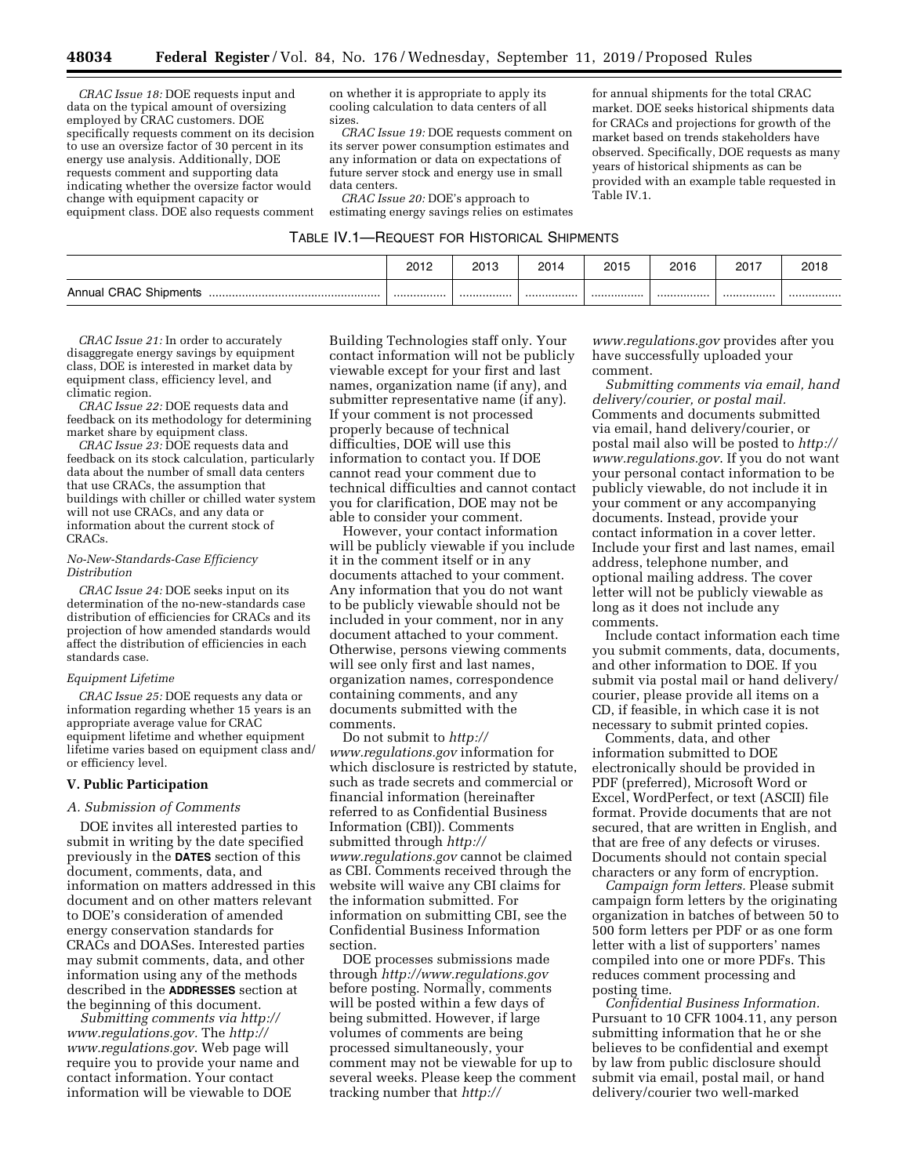*CRAC Issue 18:* DOE requests input and data on the typical amount of oversizing employed by CRAC customers. DOE specifically requests comment on its decision to use an oversize factor of 30 percent in its energy use analysis. Additionally, DOE requests comment and supporting data indicating whether the oversize factor would change with equipment capacity or equipment class. DOE also requests comment

on whether it is appropriate to apply its cooling calculation to data centers of all sizes.

*CRAC Issue 19:* DOE requests comment on its server power consumption estimates and any information or data on expectations of future server stock and energy use in small data centers.

*CRAC Issue 20:* DOE's approach to estimating energy savings relies on estimates

for annual shipments for the total CRAC market. DOE seeks historical shipments data for CRACs and projections for growth of the market based on trends stakeholders have observed. Specifically, DOE requests as many years of historical shipments as can be provided with an example table requested in Table IV.1.

| TABLE IV.1-REQUEST FOR HISTORICAL SHIPMENTS |  |  |
|---------------------------------------------|--|--|
|---------------------------------------------|--|--|

|                              | 2012 | 2013 | 2014 | 2015 | 2016 | 2017 | 2018 |
|------------------------------|------|------|------|------|------|------|------|
| <b>Annual CRAC Shipments</b> |      |      |      |      |      | .    |      |

*CRAC Issue 21:* In order to accurately disaggregate energy savings by equipment class, DOE is interested in market data by equipment class, efficiency level, and climatic region.

*CRAC Issue 22:* DOE requests data and feedback on its methodology for determining market share by equipment class.

*CRAC Issue 23:* DOE requests data and feedback on its stock calculation, particularly data about the number of small data centers that use CRACs, the assumption that buildings with chiller or chilled water system will not use CRACs, and any data or information about the current stock of CRACs.

#### *No-New-Standards-Case Efficiency Distribution*

*CRAC Issue 24:* DOE seeks input on its determination of the no-new-standards case distribution of efficiencies for CRACs and its projection of how amended standards would affect the distribution of efficiencies in each standards case.

## *Equipment Lifetime*

*CRAC Issue 25:* DOE requests any data or information regarding whether 15 years is an appropriate average value for CRAC equipment lifetime and whether equipment lifetime varies based on equipment class and/ or efficiency level.

#### **V. Public Participation**

## *A. Submission of Comments*

DOE invites all interested parties to submit in writing by the date specified previously in the **DATES** section of this document, comments, data, and information on matters addressed in this document and on other matters relevant to DOE's consideration of amended energy conservation standards for CRACs and DOASes. Interested parties may submit comments, data, and other information using any of the methods described in the **ADDRESSES** section at the beginning of this document.

*Submitting comments via [http://](http://www.regulations.gov) [www.regulations.gov.](http://www.regulations.gov)* The *[http://](http://www.regulations.gov) [www.regulations.gov](http://www.regulations.gov)*. Web page will require you to provide your name and contact information. Your contact information will be viewable to DOE

Building Technologies staff only. Your contact information will not be publicly viewable except for your first and last names, organization name (if any), and submitter representative name (if any). If your comment is not processed properly because of technical difficulties, DOE will use this information to contact you. If DOE cannot read your comment due to technical difficulties and cannot contact you for clarification, DOE may not be able to consider your comment.

However, your contact information will be publicly viewable if you include it in the comment itself or in any documents attached to your comment. Any information that you do not want to be publicly viewable should not be included in your comment, nor in any document attached to your comment. Otherwise, persons viewing comments will see only first and last names, organization names, correspondence containing comments, and any documents submitted with the comments.

Do not submit to *[http://](http://www.regulations.gov) [www.regulations.gov](http://www.regulations.gov)* information for which disclosure is restricted by statute, such as trade secrets and commercial or financial information (hereinafter referred to as Confidential Business Information (CBI)). Comments submitted through *[http://](http://www.regulations.gov) [www.regulations.gov](http://www.regulations.gov)* cannot be claimed as CBI. Comments received through the website will waive any CBI claims for the information submitted. For information on submitting CBI, see the Confidential Business Information section.

DOE processes submissions made through *<http://www.regulations.gov>*  before posting. Normally, comments will be posted within a few days of being submitted. However, if large volumes of comments are being processed simultaneously, your comment may not be viewable for up to several weeks. Please keep the comment tracking number that *[http://](http://www.regulations.gov)*

*[www.regulations.gov](http://www.regulations.gov)* provides after you have successfully uploaded your comment.

*Submitting comments via email, hand delivery/courier, or postal mail.*  Comments and documents submitted via email, hand delivery/courier, or postal mail also will be posted to *[http://](http://www.regulations.gov) [www.regulations.gov](http://www.regulations.gov)*. If you do not want your personal contact information to be publicly viewable, do not include it in your comment or any accompanying documents. Instead, provide your contact information in a cover letter. Include your first and last names, email address, telephone number, and optional mailing address. The cover letter will not be publicly viewable as long as it does not include any comments.

Include contact information each time you submit comments, data, documents, and other information to DOE. If you submit via postal mail or hand delivery/ courier, please provide all items on a CD, if feasible, in which case it is not necessary to submit printed copies.

Comments, data, and other information submitted to DOE electronically should be provided in PDF (preferred), Microsoft Word or Excel, WordPerfect, or text (ASCII) file format. Provide documents that are not secured, that are written in English, and that are free of any defects or viruses. Documents should not contain special characters or any form of encryption.

*Campaign form letters.* Please submit campaign form letters by the originating organization in batches of between 50 to 500 form letters per PDF or as one form letter with a list of supporters' names compiled into one or more PDFs. This reduces comment processing and posting time.

*Confidential Business Information.*  Pursuant to 10 CFR 1004.11, any person submitting information that he or she believes to be confidential and exempt by law from public disclosure should submit via email, postal mail, or hand delivery/courier two well-marked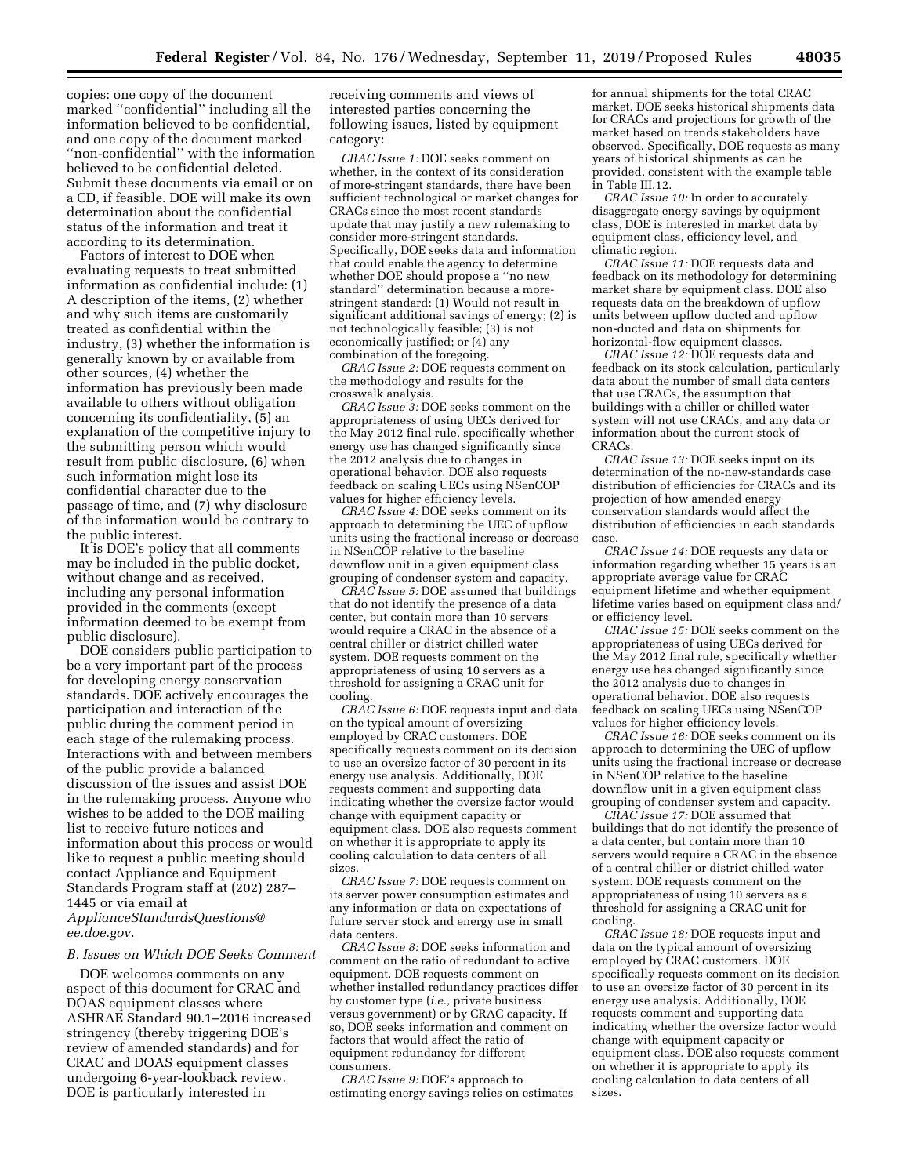copies: one copy of the document marked ''confidential'' including all the information believed to be confidential, and one copy of the document marked ''non-confidential'' with the information believed to be confidential deleted. Submit these documents via email or on a CD, if feasible. DOE will make its own determination about the confidential status of the information and treat it according to its determination.

Factors of interest to DOE when evaluating requests to treat submitted information as confidential include: (1) A description of the items, (2) whether and why such items are customarily treated as confidential within the industry, (3) whether the information is generally known by or available from other sources, (4) whether the information has previously been made available to others without obligation concerning its confidentiality, (5) an explanation of the competitive injury to the submitting person which would result from public disclosure, (6) when such information might lose its confidential character due to the passage of time, and (7) why disclosure of the information would be contrary to the public interest.

It is DOE's policy that all comments may be included in the public docket, without change and as received, including any personal information provided in the comments (except information deemed to be exempt from public disclosure).

DOE considers public participation to be a very important part of the process for developing energy conservation standards. DOE actively encourages the participation and interaction of the public during the comment period in each stage of the rulemaking process. Interactions with and between members of the public provide a balanced discussion of the issues and assist DOE in the rulemaking process. Anyone who wishes to be added to the DOE mailing list to receive future notices and information about this process or would like to request a public meeting should contact Appliance and Equipment Standards Program staff at (202) 287– 1445 or via email at *[ApplianceStandardsQuestions@](mailto:ApplianceStandardsQuestions@ee.doe.gov)*

*[ee.doe.gov](mailto:ApplianceStandardsQuestions@ee.doe.gov)*.

## *B. Issues on Which DOE Seeks Comment*

DOE welcomes comments on any aspect of this document for CRAC and DOAS equipment classes where ASHRAE Standard 90.1–2016 increased stringency (thereby triggering DOE's review of amended standards) and for CRAC and DOAS equipment classes undergoing 6-year-lookback review. DOE is particularly interested in

receiving comments and views of interested parties concerning the following issues, listed by equipment category:

*CRAC Issue 1:* DOE seeks comment on whether, in the context of its consideration of more-stringent standards, there have been sufficient technological or market changes for CRACs since the most recent standards update that may justify a new rulemaking to consider more-stringent standards. Specifically, DOE seeks data and information that could enable the agency to determine whether DOE should propose a ''no new standard'' determination because a morestringent standard: (1) Would not result in significant additional savings of energy; (2) is not technologically feasible; (3) is not economically justified; or (4) any combination of the foregoing.

*CRAC Issue 2:* DOE requests comment on the methodology and results for the crosswalk analysis.

*CRAC Issue 3:* DOE seeks comment on the appropriateness of using UECs derived for the May 2012 final rule, specifically whether energy use has changed significantly since the 2012 analysis due to changes in operational behavior. DOE also requests feedback on scaling UECs using NSenCOP values for higher efficiency levels.

*CRAC Issue 4:* DOE seeks comment on its approach to determining the UEC of upflow units using the fractional increase or decrease in NSenCOP relative to the baseline downflow unit in a given equipment class grouping of condenser system and capacity.

*CRAC Issue 5:* DOE assumed that buildings that do not identify the presence of a data center, but contain more than 10 servers would require a CRAC in the absence of a central chiller or district chilled water system. DOE requests comment on the appropriateness of using 10 servers as a threshold for assigning a CRAC unit for cooling.

*CRAC Issue 6:* DOE requests input and data on the typical amount of oversizing employed by CRAC customers. DOE specifically requests comment on its decision to use an oversize factor of 30 percent in its energy use analysis. Additionally, DOE requests comment and supporting data indicating whether the oversize factor would change with equipment capacity or equipment class. DOE also requests comment on whether it is appropriate to apply its cooling calculation to data centers of all sizes.

*CRAC Issue 7:* DOE requests comment on its server power consumption estimates and any information or data on expectations of future server stock and energy use in small data centers.

*CRAC Issue 8:* DOE seeks information and comment on the ratio of redundant to active equipment. DOE requests comment on whether installed redundancy practices differ by customer type (*i.e.,* private business versus government) or by CRAC capacity. If so, DOE seeks information and comment on factors that would affect the ratio of equipment redundancy for different consumers.

*CRAC Issue 9:* DOE's approach to estimating energy savings relies on estimates

for annual shipments for the total CRAC market. DOE seeks historical shipments data for CRACs and projections for growth of the market based on trends stakeholders have observed. Specifically, DOE requests as many years of historical shipments as can be provided, consistent with the example table in Table III.12.

*CRAC Issue 10:* In order to accurately disaggregate energy savings by equipment class, DOE is interested in market data by equipment class, efficiency level, and climatic region.

*CRAC Issue 11:* DOE requests data and feedback on its methodology for determining market share by equipment class. DOE also requests data on the breakdown of upflow units between upflow ducted and upflow non-ducted and data on shipments for horizontal-flow equipment classes.

*CRAC Issue 12:* DOE requests data and feedback on its stock calculation, particularly data about the number of small data centers that use CRACs, the assumption that buildings with a chiller or chilled water system will not use CRACs, and any data or information about the current stock of CRACs.

*CRAC Issue 13:* DOE seeks input on its determination of the no-new-standards case distribution of efficiencies for CRACs and its projection of how amended energy conservation standards would affect the distribution of efficiencies in each standards case.

*CRAC Issue 14:* DOE requests any data or information regarding whether 15 years is an appropriate average value for CRAC equipment lifetime and whether equipment lifetime varies based on equipment class and/ or efficiency level.

*CRAC Issue 15:* DOE seeks comment on the appropriateness of using UECs derived for the May 2012 final rule, specifically whether energy use has changed significantly since the 2012 analysis due to changes in operational behavior. DOE also requests feedback on scaling UECs using NSenCOP values for higher efficiency levels.

*CRAC Issue 16:* DOE seeks comment on its approach to determining the UEC of upflow units using the fractional increase or decrease in NSenCOP relative to the baseline downflow unit in a given equipment class grouping of condenser system and capacity.

*CRAC Issue 17:* DOE assumed that buildings that do not identify the presence of a data center, but contain more than 10 servers would require a CRAC in the absence of a central chiller or district chilled water system. DOE requests comment on the appropriateness of using 10 servers as a threshold for assigning a CRAC unit for cooling.

*CRAC Issue 18:* DOE requests input and data on the typical amount of oversizing employed by CRAC customers. DOE specifically requests comment on its decision to use an oversize factor of 30 percent in its energy use analysis. Additionally, DOE requests comment and supporting data indicating whether the oversize factor would change with equipment capacity or equipment class. DOE also requests comment on whether it is appropriate to apply its cooling calculation to data centers of all sizes.